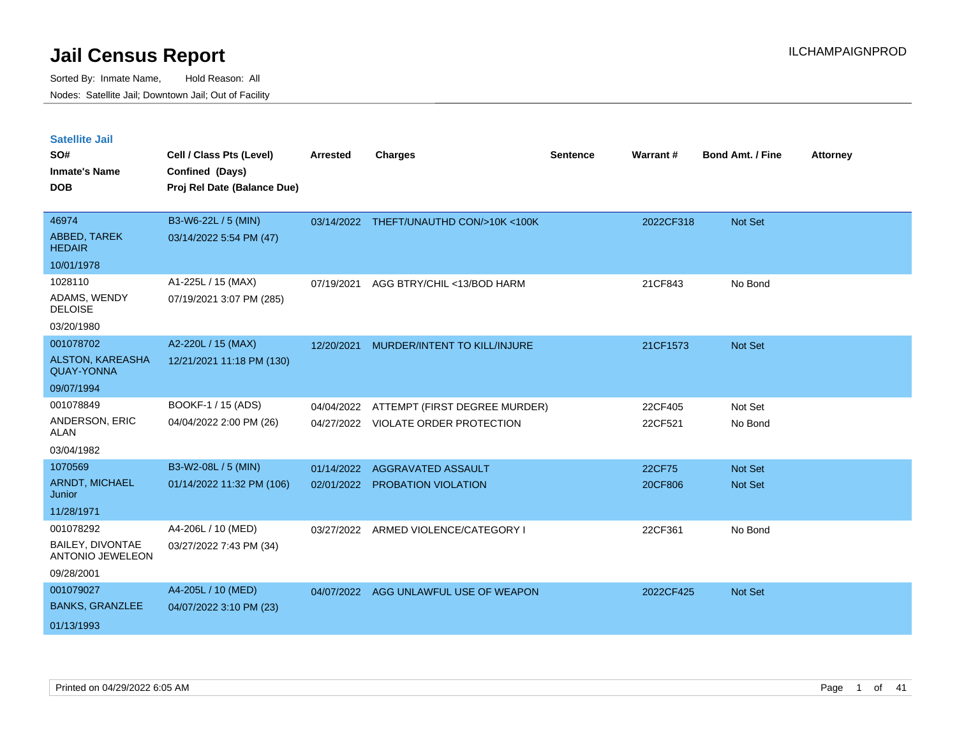| <b>Satellite Jail</b><br>SO#<br><b>Inmate's Name</b><br><b>DOB</b> | Cell / Class Pts (Level)<br>Confined (Days)<br>Proj Rel Date (Balance Due) | <b>Arrested</b> | <b>Charges</b>                      | Sentence | Warrant#  | <b>Bond Amt. / Fine</b> | <b>Attorney</b> |
|--------------------------------------------------------------------|----------------------------------------------------------------------------|-----------------|-------------------------------------|----------|-----------|-------------------------|-----------------|
|                                                                    |                                                                            |                 |                                     |          |           |                         |                 |
| 46974                                                              | B3-W6-22L / 5 (MIN)                                                        | 03/14/2022      | THEFT/UNAUTHD CON/>10K <100K        |          | 2022CF318 | Not Set                 |                 |
| ABBED, TAREK<br><b>HEDAIR</b>                                      | 03/14/2022 5:54 PM (47)                                                    |                 |                                     |          |           |                         |                 |
| 10/01/1978                                                         |                                                                            |                 |                                     |          |           |                         |                 |
| 1028110                                                            | A1-225L / 15 (MAX)                                                         | 07/19/2021      | AGG BTRY/CHIL <13/BOD HARM          |          | 21CF843   | No Bond                 |                 |
| ADAMS, WENDY<br><b>DELOISE</b>                                     | 07/19/2021 3:07 PM (285)                                                   |                 |                                     |          |           |                         |                 |
| 03/20/1980                                                         |                                                                            |                 |                                     |          |           |                         |                 |
| 001078702                                                          | A2-220L / 15 (MAX)                                                         | 12/20/2021      | MURDER/INTENT TO KILL/INJURE        |          | 21CF1573  | Not Set                 |                 |
| <b>ALSTON, KAREASHA</b><br><b>QUAY-YONNA</b>                       | 12/21/2021 11:18 PM (130)                                                  |                 |                                     |          |           |                         |                 |
| 09/07/1994                                                         |                                                                            |                 |                                     |          |           |                         |                 |
| 001078849                                                          | BOOKF-1 / 15 (ADS)                                                         | 04/04/2022      | ATTEMPT (FIRST DEGREE MURDER)       |          | 22CF405   | Not Set                 |                 |
| ANDERSON, ERIC<br>ALAN                                             | 04/04/2022 2:00 PM (26)                                                    |                 | 04/27/2022 VIOLATE ORDER PROTECTION |          | 22CF521   | No Bond                 |                 |
| 03/04/1982                                                         |                                                                            |                 |                                     |          |           |                         |                 |
| 1070569                                                            | B3-W2-08L / 5 (MIN)                                                        | 01/14/2022      | AGGRAVATED ASSAULT                  |          | 22CF75    | Not Set                 |                 |
| ARNDT, MICHAEL<br>Junior                                           | 01/14/2022 11:32 PM (106)                                                  | 02/01/2022      | PROBATION VIOLATION                 |          | 20CF806   | Not Set                 |                 |
| 11/28/1971                                                         |                                                                            |                 |                                     |          |           |                         |                 |
| 001078292                                                          | A4-206L / 10 (MED)                                                         | 03/27/2022      | ARMED VIOLENCE/CATEGORY I           |          | 22CF361   | No Bond                 |                 |
| <b>BAILEY, DIVONTAE</b><br><b>ANTONIO JEWELEON</b>                 | 03/27/2022 7:43 PM (34)                                                    |                 |                                     |          |           |                         |                 |
| 09/28/2001                                                         |                                                                            |                 |                                     |          |           |                         |                 |
| 001079027                                                          | A4-205L / 10 (MED)                                                         | 04/07/2022      | AGG UNLAWFUL USE OF WEAPON          |          | 2022CF425 | <b>Not Set</b>          |                 |
| <b>BANKS, GRANZLEE</b>                                             | 04/07/2022 3:10 PM (23)                                                    |                 |                                     |          |           |                         |                 |
| 01/13/1993                                                         |                                                                            |                 |                                     |          |           |                         |                 |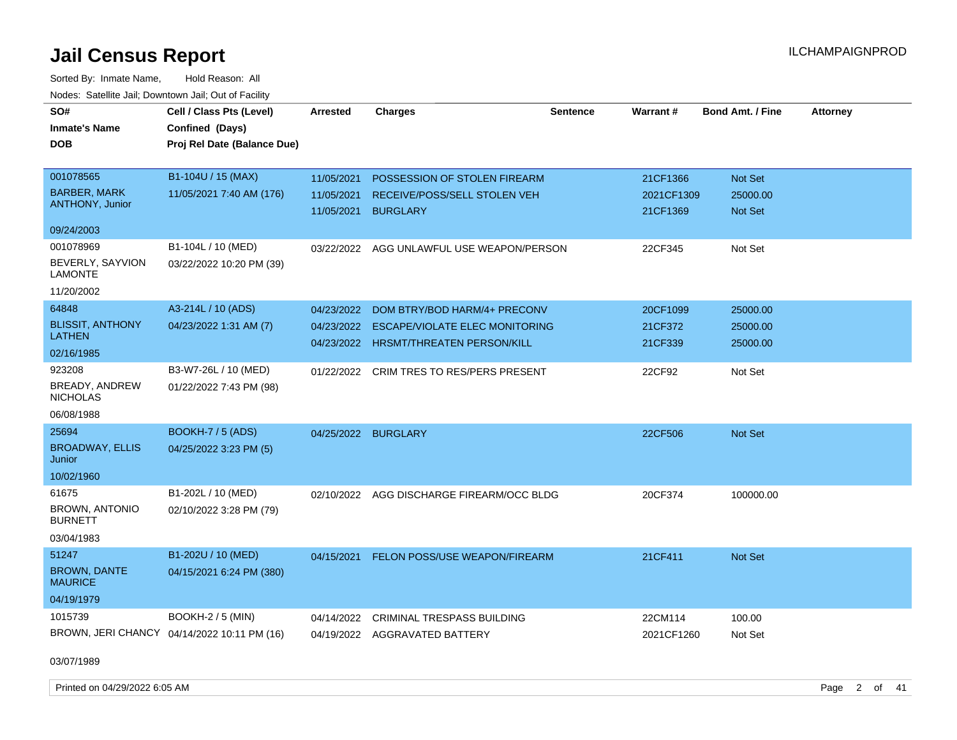Sorted By: Inmate Name, Hold Reason: All Nodes: Satellite Jail; Downtown Jail; Out of Facility

| SO#<br><b>Inmate's Name</b><br><b>DOB</b>                        | Cell / Class Pts (Level)<br>Confined (Days)<br>Proj Rel Date (Balance Due) | <b>Arrested</b>                        | <b>Charges</b>                                                                                          | <b>Sentence</b> | Warrant#                           | <b>Bond Amt. / Fine</b>          | <b>Attorney</b> |
|------------------------------------------------------------------|----------------------------------------------------------------------------|----------------------------------------|---------------------------------------------------------------------------------------------------------|-----------------|------------------------------------|----------------------------------|-----------------|
| 001078565<br><b>BARBER, MARK</b><br><b>ANTHONY, Junior</b>       | B1-104U / 15 (MAX)<br>11/05/2021 7:40 AM (176)                             | 11/05/2021<br>11/05/2021<br>11/05/2021 | POSSESSION OF STOLEN FIREARM<br>RECEIVE/POSS/SELL STOLEN VEH<br><b>BURGLARY</b>                         |                 | 21CF1366<br>2021CF1309<br>21CF1369 | Not Set<br>25000.00<br>Not Set   |                 |
| 09/24/2003                                                       |                                                                            |                                        |                                                                                                         |                 |                                    |                                  |                 |
| 001078969<br>BEVERLY, SAYVION<br><b>LAMONTE</b><br>11/20/2002    | B1-104L / 10 (MED)<br>03/22/2022 10:20 PM (39)                             |                                        | 03/22/2022 AGG UNLAWFUL USE WEAPON/PERSON                                                               |                 | 22CF345                            | Not Set                          |                 |
| 64848<br><b>BLISSIT, ANTHONY</b><br>LATHEN<br>02/16/1985         | A3-214L / 10 (ADS)<br>04/23/2022 1:31 AM (7)                               | 04/23/2022<br>04/23/2022               | DOM BTRY/BOD HARM/4+ PRECONV<br>ESCAPE/VIOLATE ELEC MONITORING<br>04/23/2022 HRSMT/THREATEN PERSON/KILL |                 | 20CF1099<br>21CF372<br>21CF339     | 25000.00<br>25000.00<br>25000.00 |                 |
| 923208<br><b>BREADY, ANDREW</b><br><b>NICHOLAS</b><br>06/08/1988 | B3-W7-26L / 10 (MED)<br>01/22/2022 7:43 PM (98)                            | 01/22/2022                             | CRIM TRES TO RES/PERS PRESENT                                                                           |                 | 22CF92                             | Not Set                          |                 |
| 25694<br><b>BROADWAY, ELLIS</b><br>Junior<br>10/02/1960          | <b>BOOKH-7 / 5 (ADS)</b><br>04/25/2022 3:23 PM (5)                         |                                        | 04/25/2022 BURGLARY                                                                                     |                 | 22CF506                            | <b>Not Set</b>                   |                 |
| 61675<br><b>BROWN, ANTONIO</b><br><b>BURNETT</b><br>03/04/1983   | B1-202L / 10 (MED)<br>02/10/2022 3:28 PM (79)                              | 02/10/2022                             | AGG DISCHARGE FIREARM/OCC BLDG                                                                          |                 | 20CF374                            | 100000.00                        |                 |
| 51247<br><b>BROWN, DANTE</b><br><b>MAURICE</b><br>04/19/1979     | B1-202U / 10 (MED)<br>04/15/2021 6:24 PM (380)                             | 04/15/2021                             | FELON POSS/USE WEAPON/FIREARM                                                                           |                 | 21CF411                            | <b>Not Set</b>                   |                 |
| 1015739                                                          | <b>BOOKH-2 / 5 (MIN)</b><br>BROWN, JERI CHANCY 04/14/2022 10:11 PM (16)    | 04/14/2022                             | <b>CRIMINAL TRESPASS BUILDING</b><br>04/19/2022 AGGRAVATED BATTERY                                      |                 | 22CM114<br>2021CF1260              | 100.00<br>Not Set                |                 |

03/07/1989

Printed on 04/29/2022 6:05 AM Page 2 of 41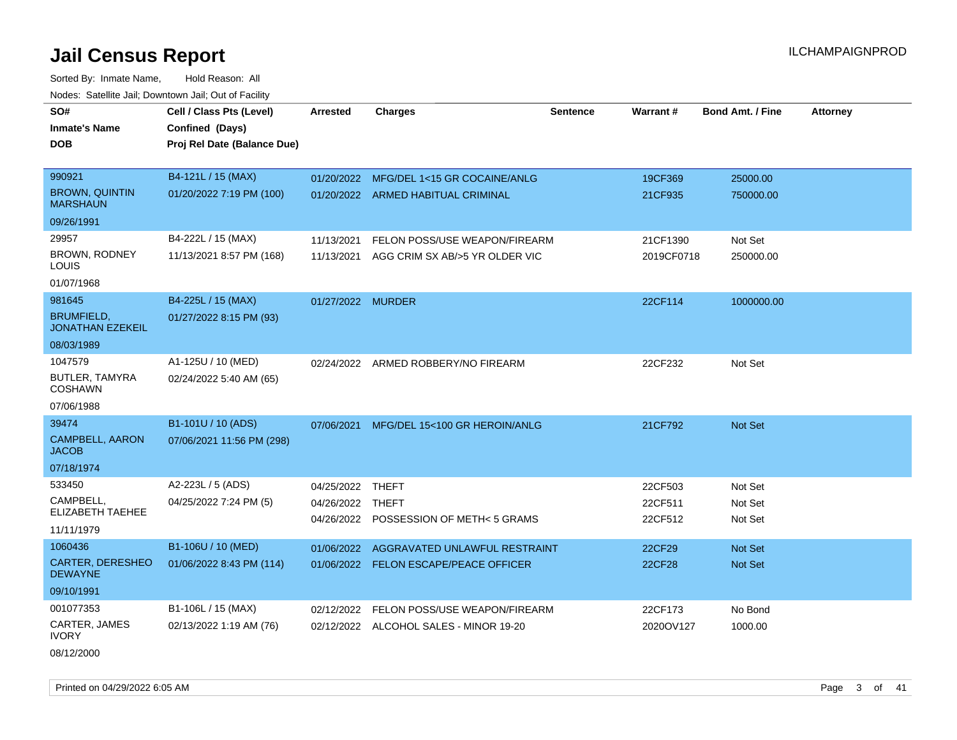Sorted By: Inmate Name, Hold Reason: All Nodes: Satellite Jail; Downtown Jail; Out of Facility

| SO#                                          | Cell / Class Pts (Level)    | <b>Arrested</b>   | <b>Charges</b>                          | <b>Sentence</b> | <b>Warrant#</b> | <b>Bond Amt. / Fine</b> | <b>Attorney</b> |
|----------------------------------------------|-----------------------------|-------------------|-----------------------------------------|-----------------|-----------------|-------------------------|-----------------|
| <b>Inmate's Name</b>                         |                             |                   |                                         |                 |                 |                         |                 |
|                                              | Confined (Days)             |                   |                                         |                 |                 |                         |                 |
| <b>DOB</b>                                   | Proj Rel Date (Balance Due) |                   |                                         |                 |                 |                         |                 |
|                                              |                             |                   |                                         |                 |                 |                         |                 |
| 990921                                       | B4-121L / 15 (MAX)          |                   | 01/20/2022 MFG/DEL 1<15 GR COCAINE/ANLG |                 | 19CF369         | 25000.00                |                 |
| <b>BROWN, QUINTIN</b><br><b>MARSHAUN</b>     | 01/20/2022 7:19 PM (100)    |                   | 01/20/2022 ARMED HABITUAL CRIMINAL      |                 | 21CF935         | 750000.00               |                 |
| 09/26/1991                                   |                             |                   |                                         |                 |                 |                         |                 |
| 29957                                        | B4-222L / 15 (MAX)          | 11/13/2021        | FELON POSS/USE WEAPON/FIREARM           |                 | 21CF1390        | Not Set                 |                 |
| BROWN, RODNEY<br>LOUIS                       | 11/13/2021 8:57 PM (168)    | 11/13/2021        | AGG CRIM SX AB/>5 YR OLDER VIC          |                 | 2019CF0718      | 250000.00               |                 |
| 01/07/1968                                   |                             |                   |                                         |                 |                 |                         |                 |
| 981645                                       | B4-225L / 15 (MAX)          | 01/27/2022 MURDER |                                         |                 | 22CF114         | 1000000.00              |                 |
| <b>BRUMFIELD,</b><br><b>JONATHAN EZEKEIL</b> | 01/27/2022 8:15 PM (93)     |                   |                                         |                 |                 |                         |                 |
| 08/03/1989                                   |                             |                   |                                         |                 |                 |                         |                 |
| 1047579                                      | A1-125U / 10 (MED)          | 02/24/2022        | ARMED ROBBERY/NO FIREARM                |                 | 22CF232         | Not Set                 |                 |
| <b>BUTLER, TAMYRA</b><br><b>COSHAWN</b>      | 02/24/2022 5:40 AM (65)     |                   |                                         |                 |                 |                         |                 |
| 07/06/1988                                   |                             |                   |                                         |                 |                 |                         |                 |
| 39474                                        | B1-101U / 10 (ADS)          | 07/06/2021        | MFG/DEL 15<100 GR HEROIN/ANLG           |                 | 21CF792         | Not Set                 |                 |
| <b>CAMPBELL, AARON</b><br><b>JACOB</b>       | 07/06/2021 11:56 PM (298)   |                   |                                         |                 |                 |                         |                 |
| 07/18/1974                                   |                             |                   |                                         |                 |                 |                         |                 |
| 533450                                       | A2-223L / 5 (ADS)           | 04/25/2022 THEFT  |                                         |                 | 22CF503         | Not Set                 |                 |
| CAMPBELL.                                    | 04/25/2022 7:24 PM (5)      | 04/26/2022 THEFT  |                                         |                 | 22CF511         | Not Set                 |                 |
| <b>ELIZABETH TAEHEE</b>                      |                             |                   | 04/26/2022 POSSESSION OF METH< 5 GRAMS  |                 | 22CF512         | Not Set                 |                 |
| 11/11/1979                                   |                             |                   |                                         |                 |                 |                         |                 |
| 1060436                                      | B1-106U / 10 (MED)          | 01/06/2022        | AGGRAVATED UNLAWFUL RESTRAINT           |                 | 22CF29          | Not Set                 |                 |
| <b>CARTER, DERESHEO</b><br><b>DEWAYNE</b>    | 01/06/2022 8:43 PM (114)    |                   | 01/06/2022 FELON ESCAPE/PEACE OFFICER   |                 | <b>22CF28</b>   | <b>Not Set</b>          |                 |
| 09/10/1991                                   |                             |                   |                                         |                 |                 |                         |                 |
| 001077353                                    | B1-106L / 15 (MAX)          | 02/12/2022        | FELON POSS/USE WEAPON/FIREARM           |                 | 22CF173         | No Bond                 |                 |
| CARTER, JAMES<br><b>IVORY</b>                | 02/13/2022 1:19 AM (76)     |                   | 02/12/2022 ALCOHOL SALES - MINOR 19-20  |                 | 2020OV127       | 1000.00                 |                 |

08/12/2000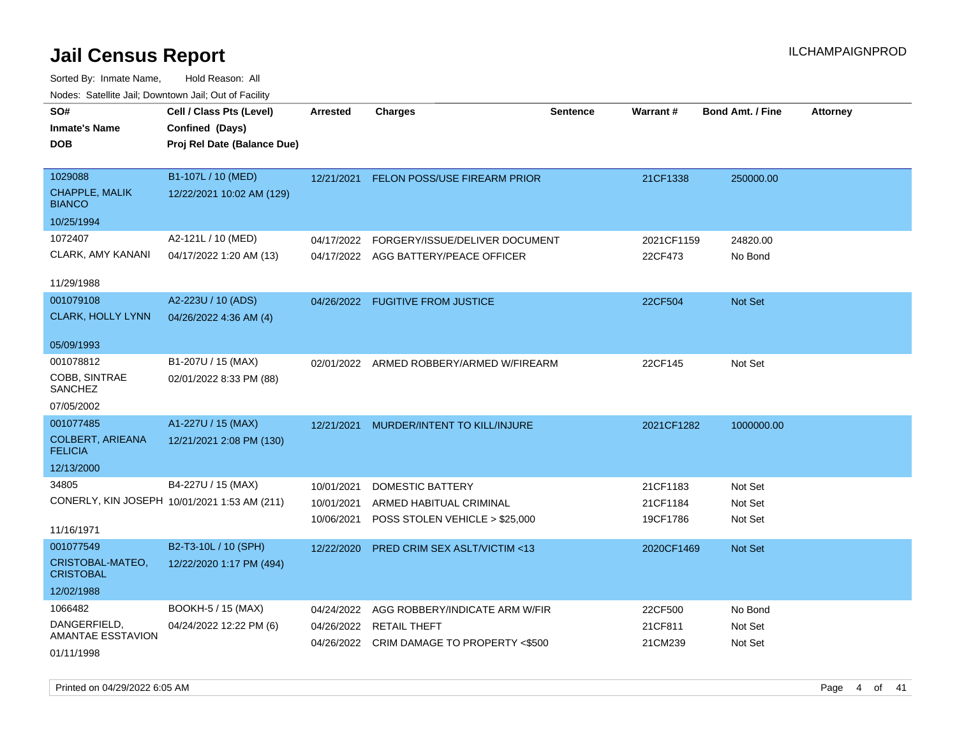| SO#<br><b>Inmate's Name</b><br><b>DOB</b>         | Cell / Class Pts (Level)<br>Confined (Days)<br>Proj Rel Date (Balance Due) | <b>Arrested</b>                        | <b>Charges</b>                                                                       | <b>Sentence</b> | Warrant#                         | <b>Bond Amt. / Fine</b>       | <b>Attorney</b> |
|---------------------------------------------------|----------------------------------------------------------------------------|----------------------------------------|--------------------------------------------------------------------------------------|-----------------|----------------------------------|-------------------------------|-----------------|
| 1029088<br><b>CHAPPLE, MALIK</b><br><b>BIANCO</b> | B1-107L / 10 (MED)<br>12/22/2021 10:02 AM (129)                            | 12/21/2021                             | FELON POSS/USE FIREARM PRIOR                                                         |                 | 21CF1338                         | 250000.00                     |                 |
| 10/25/1994                                        |                                                                            |                                        |                                                                                      |                 |                                  |                               |                 |
| 1072407<br>CLARK, AMY KANANI                      | A2-121L / 10 (MED)<br>04/17/2022 1:20 AM (13)                              | 04/17/2022                             | FORGERY/ISSUE/DELIVER DOCUMENT<br>04/17/2022 AGG BATTERY/PEACE OFFICER               |                 | 2021CF1159<br>22CF473            | 24820.00<br>No Bond           |                 |
| 11/29/1988                                        |                                                                            |                                        |                                                                                      |                 |                                  |                               |                 |
| 001079108<br>CLARK, HOLLY LYNN                    | A2-223U / 10 (ADS)<br>04/26/2022 4:36 AM (4)                               |                                        | 04/26/2022 FUGITIVE FROM JUSTICE                                                     |                 | 22CF504                          | Not Set                       |                 |
| 05/09/1993                                        |                                                                            |                                        |                                                                                      |                 |                                  |                               |                 |
| 001078812<br>COBB, SINTRAE<br><b>SANCHEZ</b>      | B1-207U / 15 (MAX)<br>02/01/2022 8:33 PM (88)                              |                                        | 02/01/2022 ARMED ROBBERY/ARMED W/FIREARM                                             |                 | 22CF145                          | Not Set                       |                 |
| 07/05/2002                                        |                                                                            |                                        |                                                                                      |                 |                                  |                               |                 |
| 001077485                                         | A1-227U / 15 (MAX)                                                         | 12/21/2021                             | MURDER/INTENT TO KILL/INJURE                                                         |                 | 2021CF1282                       | 1000000.00                    |                 |
| <b>COLBERT, ARIEANA</b><br><b>FELICIA</b>         | 12/21/2021 2:08 PM (130)                                                   |                                        |                                                                                      |                 |                                  |                               |                 |
| 12/13/2000                                        |                                                                            |                                        |                                                                                      |                 |                                  |                               |                 |
| 34805<br>11/16/1971                               | B4-227U / 15 (MAX)<br>CONERLY, KIN JOSEPH 10/01/2021 1:53 AM (211)         | 10/01/2021<br>10/01/2021<br>10/06/2021 | <b>DOMESTIC BATTERY</b><br>ARMED HABITUAL CRIMINAL<br>POSS STOLEN VEHICLE > \$25,000 |                 | 21CF1183<br>21CF1184<br>19CF1786 | Not Set<br>Not Set<br>Not Set |                 |
| 001077549                                         | B2-T3-10L / 10 (SPH)                                                       | 12/22/2020                             | PRED CRIM SEX ASLT/VICTIM <13                                                        |                 | 2020CF1469                       | Not Set                       |                 |
| CRISTOBAL-MATEO,<br><b>CRISTOBAL</b>              | 12/22/2020 1:17 PM (494)                                                   |                                        |                                                                                      |                 |                                  |                               |                 |
| 12/02/1988                                        |                                                                            |                                        |                                                                                      |                 |                                  |                               |                 |
| 1066482                                           | BOOKH-5 / 15 (MAX)                                                         | 04/24/2022                             | AGG ROBBERY/INDICATE ARM W/FIR                                                       |                 | 22CF500                          | No Bond                       |                 |
| DANGERFIELD,<br>AMANTAE ESSTAVION<br>01/11/1998   | 04/24/2022 12:22 PM (6)                                                    | 04/26/2022                             | <b>RETAIL THEFT</b><br>04/26/2022 CRIM DAMAGE TO PROPERTY <\$500                     |                 | 21CF811<br>21CM239               | Not Set<br>Not Set            |                 |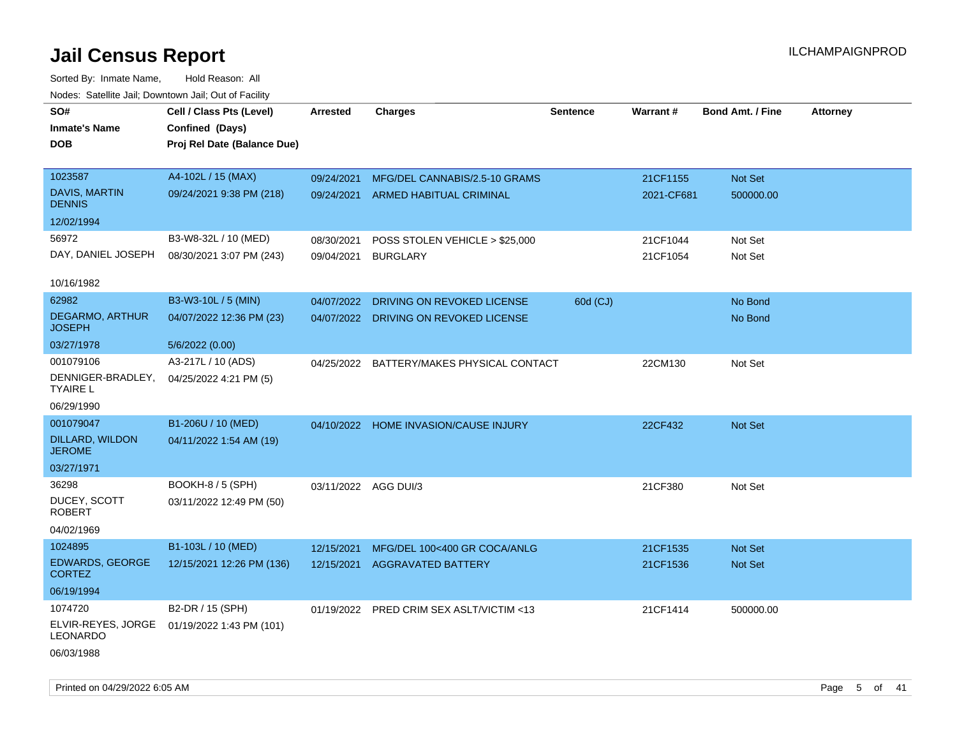| SO#<br><b>Inmate's Name</b><br><b>DOB</b>                   | Cell / Class Pts (Level)<br>Confined (Days)<br>Proj Rel Date (Balance Due) | <b>Arrested</b>          | <b>Charges</b>                                            | <b>Sentence</b> | Warrant#               | <b>Bond Amt. / Fine</b>     | <b>Attorney</b> |
|-------------------------------------------------------------|----------------------------------------------------------------------------|--------------------------|-----------------------------------------------------------|-----------------|------------------------|-----------------------------|-----------------|
| 1023587<br><b>DAVIS, MARTIN</b><br><b>DENNIS</b>            | A4-102L / 15 (MAX)<br>09/24/2021 9:38 PM (218)                             | 09/24/2021<br>09/24/2021 | MFG/DEL CANNABIS/2.5-10 GRAMS<br>ARMED HABITUAL CRIMINAL  |                 | 21CF1155<br>2021-CF681 | <b>Not Set</b><br>500000.00 |                 |
| 12/02/1994                                                  |                                                                            |                          |                                                           |                 |                        |                             |                 |
| 56972<br>DAY, DANIEL JOSEPH                                 | B3-W8-32L / 10 (MED)<br>08/30/2021 3:07 PM (243)                           | 08/30/2021<br>09/04/2021 | POSS STOLEN VEHICLE > \$25,000<br><b>BURGLARY</b>         |                 | 21CF1044<br>21CF1054   | Not Set<br>Not Set          |                 |
| 10/16/1982                                                  |                                                                            |                          |                                                           |                 |                        |                             |                 |
| 62982<br>DEGARMO, ARTHUR<br><b>JOSEPH</b>                   | B3-W3-10L / 5 (MIN)<br>04/07/2022 12:36 PM (23)                            | 04/07/2022<br>04/07/2022 | DRIVING ON REVOKED LICENSE<br>DRIVING ON REVOKED LICENSE  | 60d (CJ)        |                        | No Bond<br>No Bond          |                 |
| 03/27/1978                                                  | 5/6/2022 (0.00)                                                            |                          |                                                           |                 |                        |                             |                 |
| 001079106<br>DENNIGER-BRADLEY,<br><b>TYAIRE L</b>           | A3-217L / 10 (ADS)<br>04/25/2022 4:21 PM (5)                               | 04/25/2022               | BATTERY/MAKES PHYSICAL CONTACT                            |                 | 22CM130                | Not Set                     |                 |
| 06/29/1990                                                  |                                                                            |                          |                                                           |                 |                        |                             |                 |
| 001079047<br>DILLARD, WILDON<br><b>JEROME</b><br>03/27/1971 | B1-206U / 10 (MED)<br>04/11/2022 1:54 AM (19)                              | 04/10/2022               | <b>HOME INVASION/CAUSE INJURY</b>                         |                 | 22CF432                | <b>Not Set</b>              |                 |
| 36298                                                       | BOOKH-8 / 5 (SPH)                                                          | 03/11/2022 AGG DUI/3     |                                                           |                 | 21CF380                | Not Set                     |                 |
| DUCEY, SCOTT<br><b>ROBERT</b>                               | 03/11/2022 12:49 PM (50)                                                   |                          |                                                           |                 |                        |                             |                 |
| 04/02/1969                                                  |                                                                            |                          |                                                           |                 |                        |                             |                 |
| 1024895<br><b>EDWARDS, GEORGE</b><br><b>CORTEZ</b>          | B1-103L / 10 (MED)<br>12/15/2021 12:26 PM (136)                            | 12/15/2021<br>12/15/2021 | MFG/DEL 100<400 GR COCA/ANLG<br><b>AGGRAVATED BATTERY</b> |                 | 21CF1535<br>21CF1536   | Not Set<br><b>Not Set</b>   |                 |
| 06/19/1994                                                  |                                                                            |                          |                                                           |                 |                        |                             |                 |
| 1074720<br>ELVIR-REYES, JORGE<br>LEONARDO                   | B2-DR / 15 (SPH)<br>01/19/2022 1:43 PM (101)                               |                          | 01/19/2022 PRED CRIM SEX ASLT/VICTIM <13                  |                 | 21CF1414               | 500000.00                   |                 |
| 06/03/1988                                                  |                                                                            |                          |                                                           |                 |                        |                             |                 |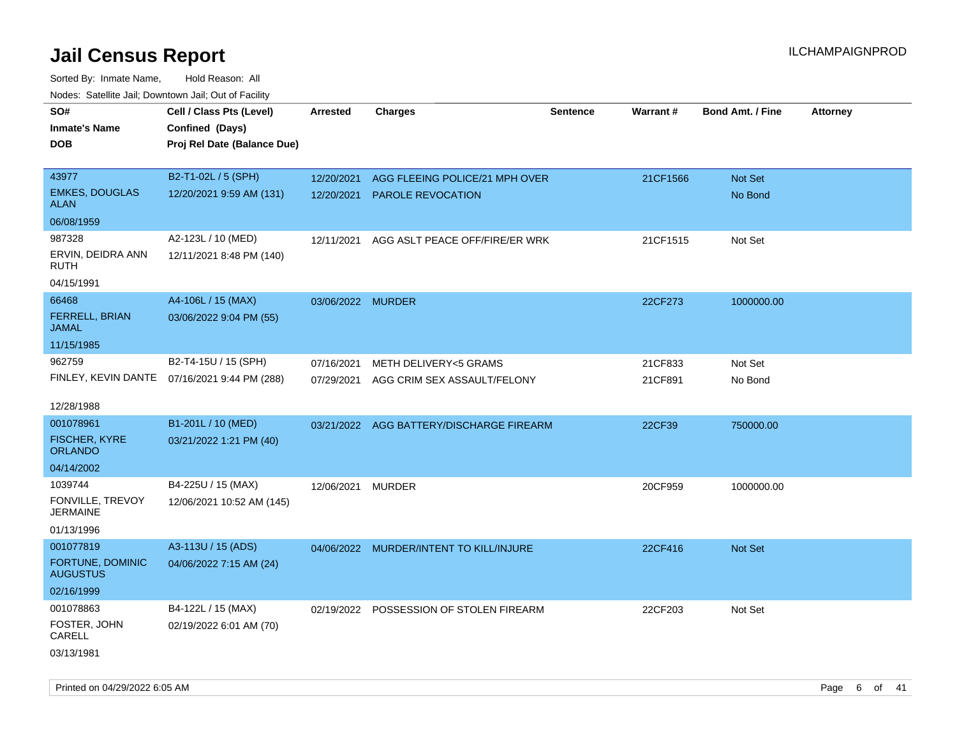| roaco. Catolino dall, Downtown dall, Out of Fability |                                              |                   |                                          |                 |          |                         |                 |
|------------------------------------------------------|----------------------------------------------|-------------------|------------------------------------------|-----------------|----------|-------------------------|-----------------|
| SO#                                                  | Cell / Class Pts (Level)                     | <b>Arrested</b>   | <b>Charges</b>                           | <b>Sentence</b> | Warrant# | <b>Bond Amt. / Fine</b> | <b>Attorney</b> |
| <b>Inmate's Name</b>                                 | Confined (Days)                              |                   |                                          |                 |          |                         |                 |
| <b>DOB</b>                                           | Proj Rel Date (Balance Due)                  |                   |                                          |                 |          |                         |                 |
|                                                      |                                              |                   |                                          |                 |          |                         |                 |
| 43977                                                | B2-T1-02L / 5 (SPH)                          | 12/20/2021        | AGG FLEEING POLICE/21 MPH OVER           |                 | 21CF1566 | Not Set                 |                 |
| <b>EMKES, DOUGLAS</b><br>ALAN                        | 12/20/2021 9:59 AM (131)                     |                   | 12/20/2021 PAROLE REVOCATION             |                 |          | No Bond                 |                 |
| 06/08/1959                                           |                                              |                   |                                          |                 |          |                         |                 |
| 987328                                               | A2-123L / 10 (MED)                           | 12/11/2021        | AGG ASLT PEACE OFF/FIRE/ER WRK           |                 | 21CF1515 | Not Set                 |                 |
| ERVIN, DEIDRA ANN<br>RUTH                            | 12/11/2021 8:48 PM (140)                     |                   |                                          |                 |          |                         |                 |
| 04/15/1991                                           |                                              |                   |                                          |                 |          |                         |                 |
| 66468                                                | A4-106L / 15 (MAX)                           | 03/06/2022 MURDER |                                          |                 | 22CF273  | 1000000.00              |                 |
| FERRELL, BRIAN<br><b>JAMAL</b>                       | 03/06/2022 9:04 PM (55)                      |                   |                                          |                 |          |                         |                 |
| 11/15/1985                                           |                                              |                   |                                          |                 |          |                         |                 |
| 962759                                               | B2-T4-15U / 15 (SPH)                         | 07/16/2021        | <b>METH DELIVERY&lt;5 GRAMS</b>          |                 | 21CF833  | Not Set                 |                 |
|                                                      | FINLEY, KEVIN DANTE 07/16/2021 9:44 PM (288) | 07/29/2021        | AGG CRIM SEX ASSAULT/FELONY              |                 | 21CF891  | No Bond                 |                 |
|                                                      |                                              |                   |                                          |                 |          |                         |                 |
| 12/28/1988                                           |                                              |                   |                                          |                 |          |                         |                 |
| 001078961                                            | B1-201L / 10 (MED)                           |                   | 03/21/2022 AGG BATTERY/DISCHARGE FIREARM |                 | 22CF39   | 750000.00               |                 |
| <b>FISCHER, KYRE</b><br>ORLANDO                      | 03/21/2022 1:21 PM (40)                      |                   |                                          |                 |          |                         |                 |
| 04/14/2002                                           |                                              |                   |                                          |                 |          |                         |                 |
| 1039744                                              | B4-225U / 15 (MAX)                           | 12/06/2021 MURDER |                                          |                 | 20CF959  | 1000000.00              |                 |
| FONVILLE, TREVOY<br><b>JERMAINE</b>                  | 12/06/2021 10:52 AM (145)                    |                   |                                          |                 |          |                         |                 |
| 01/13/1996                                           |                                              |                   |                                          |                 |          |                         |                 |
| 001077819                                            | A3-113U / 15 (ADS)                           |                   | 04/06/2022 MURDER/INTENT TO KILL/INJURE  |                 | 22CF416  | Not Set                 |                 |
| FORTUNE, DOMINIC<br><b>AUGUSTUS</b>                  | 04/06/2022 7:15 AM (24)                      |                   |                                          |                 |          |                         |                 |
| 02/16/1999                                           |                                              |                   |                                          |                 |          |                         |                 |
| 001078863                                            | B4-122L / 15 (MAX)                           |                   | 02/19/2022 POSSESSION OF STOLEN FIREARM  |                 | 22CF203  | Not Set                 |                 |
| FOSTER, JOHN<br>CARELL                               | 02/19/2022 6:01 AM (70)                      |                   |                                          |                 |          |                         |                 |
| 03/13/1981                                           |                                              |                   |                                          |                 |          |                         |                 |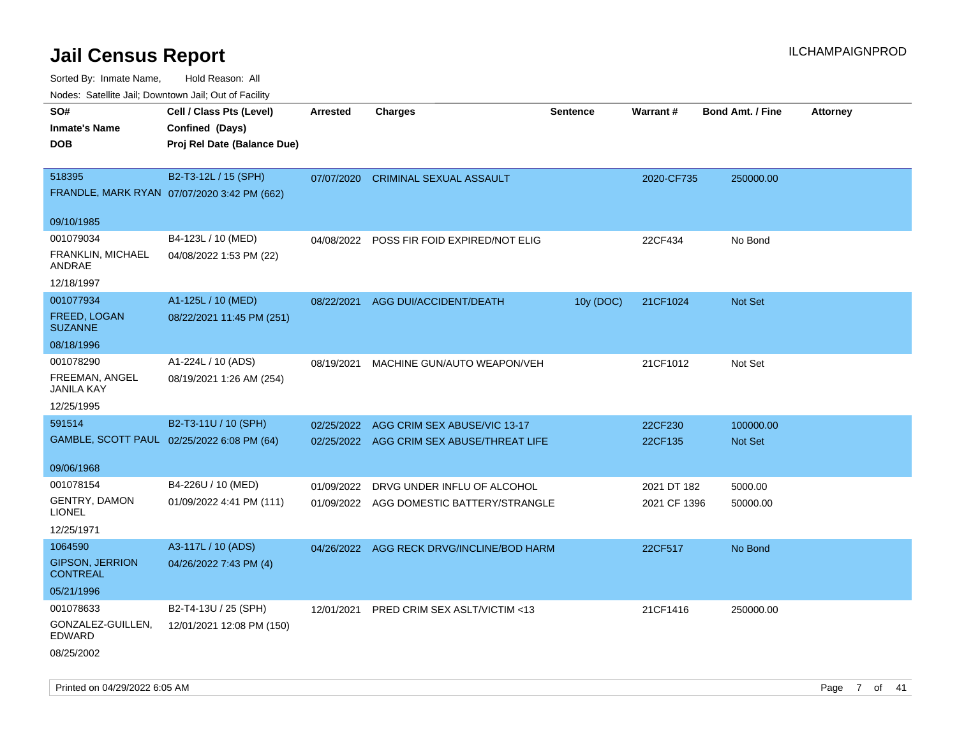Sorted By: Inmate Name, Hold Reason: All

|  |  |  | Nodes: Satellite Jail; Downtown Jail; Out of Facility |  |  |  |  |
|--|--|--|-------------------------------------------------------|--|--|--|--|
|--|--|--|-------------------------------------------------------|--|--|--|--|

| SO#                    | Cell / Class Pts (Level)                    | <b>Arrested</b> | <b>Charges</b>                            | <b>Sentence</b> | Warrant#     | <b>Bond Amt. / Fine</b> | <b>Attorney</b> |
|------------------------|---------------------------------------------|-----------------|-------------------------------------------|-----------------|--------------|-------------------------|-----------------|
| <b>Inmate's Name</b>   | Confined (Days)                             |                 |                                           |                 |              |                         |                 |
| <b>DOB</b>             | Proj Rel Date (Balance Due)                 |                 |                                           |                 |              |                         |                 |
|                        |                                             |                 |                                           |                 |              |                         |                 |
| 518395                 | B2-T3-12L / 15 (SPH)                        | 07/07/2020      | <b>CRIMINAL SEXUAL ASSAULT</b>            |                 | 2020-CF735   | 250000.00               |                 |
|                        | FRANDLE, MARK RYAN 07/07/2020 3:42 PM (662) |                 |                                           |                 |              |                         |                 |
|                        |                                             |                 |                                           |                 |              |                         |                 |
| 09/10/1985             |                                             |                 |                                           |                 |              |                         |                 |
| 001079034              | B4-123L / 10 (MED)                          | 04/08/2022      | POSS FIR FOID EXPIRED/NOT ELIG            |                 | 22CF434      | No Bond                 |                 |
| FRANKLIN, MICHAEL      | 04/08/2022 1:53 PM (22)                     |                 |                                           |                 |              |                         |                 |
| ANDRAE                 |                                             |                 |                                           |                 |              |                         |                 |
| 12/18/1997             |                                             |                 |                                           |                 |              |                         |                 |
| 001077934              | A1-125L / 10 (MED)                          | 08/22/2021      | AGG DUI/ACCIDENT/DEATH                    | 10y (DOC)       | 21CF1024     | Not Set                 |                 |
| FREED, LOGAN           | 08/22/2021 11:45 PM (251)                   |                 |                                           |                 |              |                         |                 |
| <b>SUZANNE</b>         |                                             |                 |                                           |                 |              |                         |                 |
| 08/18/1996             |                                             |                 |                                           |                 |              |                         |                 |
| 001078290              | A1-224L / 10 (ADS)                          | 08/19/2021      | MACHINE GUN/AUTO WEAPON/VEH               |                 | 21CF1012     | Not Set                 |                 |
| FREEMAN, ANGEL         | 08/19/2021 1:26 AM (254)                    |                 |                                           |                 |              |                         |                 |
| <b>JANILA KAY</b>      |                                             |                 |                                           |                 |              |                         |                 |
| 12/25/1995             |                                             |                 |                                           |                 |              |                         |                 |
| 591514                 | B2-T3-11U / 10 (SPH)                        | 02/25/2022      | AGG CRIM SEX ABUSE/VIC 13-17              |                 | 22CF230      | 100000.00               |                 |
|                        | GAMBLE, SCOTT PAUL 02/25/2022 6:08 PM (64)  |                 | 02/25/2022 AGG CRIM SEX ABUSE/THREAT LIFE |                 | 22CF135      | <b>Not Set</b>          |                 |
|                        |                                             |                 |                                           |                 |              |                         |                 |
| 09/06/1968             |                                             |                 |                                           |                 |              |                         |                 |
| 001078154              | B4-226U / 10 (MED)                          | 01/09/2022      | DRVG UNDER INFLU OF ALCOHOL               |                 | 2021 DT 182  | 5000.00                 |                 |
| GENTRY, DAMON          | 01/09/2022 4:41 PM (111)                    |                 | 01/09/2022 AGG DOMESTIC BATTERY/STRANGLE  |                 | 2021 CF 1396 | 50000.00                |                 |
| <b>LIONEL</b>          |                                             |                 |                                           |                 |              |                         |                 |
| 12/25/1971             |                                             |                 |                                           |                 |              |                         |                 |
| 1064590                | A3-117L / 10 (ADS)                          |                 | 04/26/2022 AGG RECK DRVG/INCLINE/BOD HARM |                 | 22CF517      | No Bond                 |                 |
| <b>GIPSON, JERRION</b> | 04/26/2022 7:43 PM (4)                      |                 |                                           |                 |              |                         |                 |
| <b>CONTREAL</b>        |                                             |                 |                                           |                 |              |                         |                 |
| 05/21/1996             |                                             |                 |                                           |                 |              |                         |                 |
| 001078633              | B2-T4-13U / 25 (SPH)                        | 12/01/2021      | PRED CRIM SEX ASLT/VICTIM <13             |                 | 21CF1416     | 250000.00               |                 |
| GONZALEZ-GUILLEN,      | 12/01/2021 12:08 PM (150)                   |                 |                                           |                 |              |                         |                 |
| EDWARD                 |                                             |                 |                                           |                 |              |                         |                 |
| 08/25/2002             |                                             |                 |                                           |                 |              |                         |                 |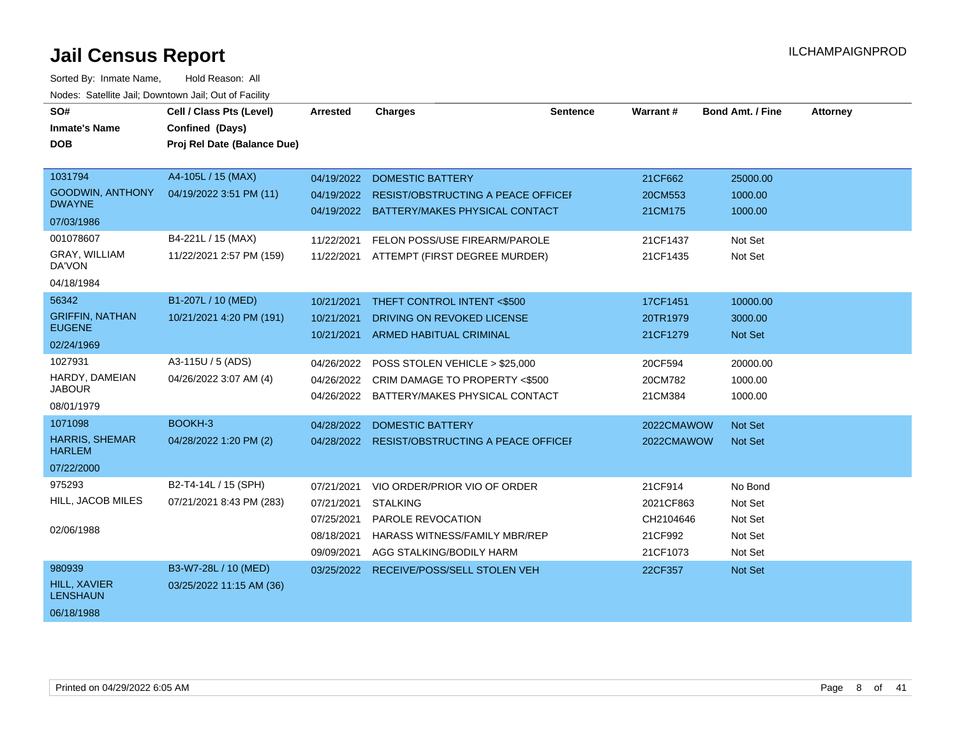| SO#<br><b>Inmate's Name</b>              | Cell / Class Pts (Level)<br>Confined (Days) | <b>Arrested</b> | <b>Charges</b>                                                                  | <b>Sentence</b> | Warrant#           | <b>Bond Amt. / Fine</b> | <b>Attorney</b> |
|------------------------------------------|---------------------------------------------|-----------------|---------------------------------------------------------------------------------|-----------------|--------------------|-------------------------|-----------------|
| <b>DOB</b>                               | Proj Rel Date (Balance Due)                 |                 |                                                                                 |                 |                    |                         |                 |
| 1031794                                  | A4-105L / 15 (MAX)                          | 04/19/2022      | <b>DOMESTIC BATTERY</b>                                                         |                 | 21CF662            | 25000.00                |                 |
| <b>GOODWIN, ANTHONY</b><br><b>DWAYNE</b> | 04/19/2022 3:51 PM (11)                     | 04/19/2022      | RESIST/OBSTRUCTING A PEACE OFFICEI<br>04/19/2022 BATTERY/MAKES PHYSICAL CONTACT |                 | 20CM553<br>21CM175 | 1000.00<br>1000.00      |                 |
| 07/03/1986                               |                                             |                 |                                                                                 |                 |                    |                         |                 |
| 001078607                                | B4-221L / 15 (MAX)                          | 11/22/2021      | FELON POSS/USE FIREARM/PAROLE                                                   |                 | 21CF1437           | Not Set                 |                 |
| GRAY, WILLIAM<br>DA'VON                  | 11/22/2021 2:57 PM (159)                    | 11/22/2021      | ATTEMPT (FIRST DEGREE MURDER)                                                   |                 | 21CF1435           | Not Set                 |                 |
| 04/18/1984                               |                                             |                 |                                                                                 |                 |                    |                         |                 |
| 56342                                    | B1-207L / 10 (MED)                          | 10/21/2021      | THEFT CONTROL INTENT <\$500                                                     |                 | 17CF1451           | 10000.00                |                 |
| <b>GRIFFIN, NATHAN</b>                   | 10/21/2021 4:20 PM (191)                    | 10/21/2021      | DRIVING ON REVOKED LICENSE                                                      |                 | 20TR1979           | 3000.00                 |                 |
| <b>EUGENE</b>                            |                                             | 10/21/2021      | <b>ARMED HABITUAL CRIMINAL</b>                                                  |                 | 21CF1279           | Not Set                 |                 |
| 02/24/1969                               |                                             |                 |                                                                                 |                 |                    |                         |                 |
| 1027931                                  | A3-115U / 5 (ADS)                           | 04/26/2022      | POSS STOLEN VEHICLE > \$25,000                                                  |                 | 20CF594            | 20000.00                |                 |
| HARDY, DAMEIAN<br><b>JABOUR</b>          | 04/26/2022 3:07 AM (4)                      |                 | 04/26/2022 CRIM DAMAGE TO PROPERTY <\$500                                       |                 | 20CM782            | 1000.00                 |                 |
| 08/01/1979                               |                                             |                 | 04/26/2022 BATTERY/MAKES PHYSICAL CONTACT                                       |                 | 21CM384            | 1000.00                 |                 |
| 1071098                                  | BOOKH-3                                     | 04/28/2022      | <b>DOMESTIC BATTERY</b>                                                         |                 | 2022CMAWOW         | Not Set                 |                 |
| <b>HARRIS, SHEMAR</b><br><b>HARLEM</b>   | 04/28/2022 1:20 PM (2)                      |                 | 04/28/2022 RESIST/OBSTRUCTING A PEACE OFFICE                                    |                 | 2022CMAWOW         | <b>Not Set</b>          |                 |
| 07/22/2000                               |                                             |                 |                                                                                 |                 |                    |                         |                 |
| 975293                                   | B2-T4-14L / 15 (SPH)                        | 07/21/2021      | VIO ORDER/PRIOR VIO OF ORDER                                                    |                 | 21CF914            | No Bond                 |                 |
| HILL, JACOB MILES                        | 07/21/2021 8:43 PM (283)                    | 07/21/2021      | <b>STALKING</b>                                                                 |                 | 2021CF863          | Not Set                 |                 |
|                                          |                                             | 07/25/2021      | <b>PAROLE REVOCATION</b>                                                        |                 | CH2104646          | Not Set                 |                 |
| 02/06/1988                               |                                             | 08/18/2021      | HARASS WITNESS/FAMILY MBR/REP                                                   |                 | 21CF992            | Not Set                 |                 |
|                                          |                                             | 09/09/2021      | AGG STALKING/BODILY HARM                                                        |                 | 21CF1073           | Not Set                 |                 |
| 980939                                   | B3-W7-28L / 10 (MED)                        |                 | 03/25/2022 RECEIVE/POSS/SELL STOLEN VEH                                         |                 | 22CF357            | Not Set                 |                 |
| HILL, XAVIER<br><b>LENSHAUN</b>          | 03/25/2022 11:15 AM (36)                    |                 |                                                                                 |                 |                    |                         |                 |
| 06/18/1988                               |                                             |                 |                                                                                 |                 |                    |                         |                 |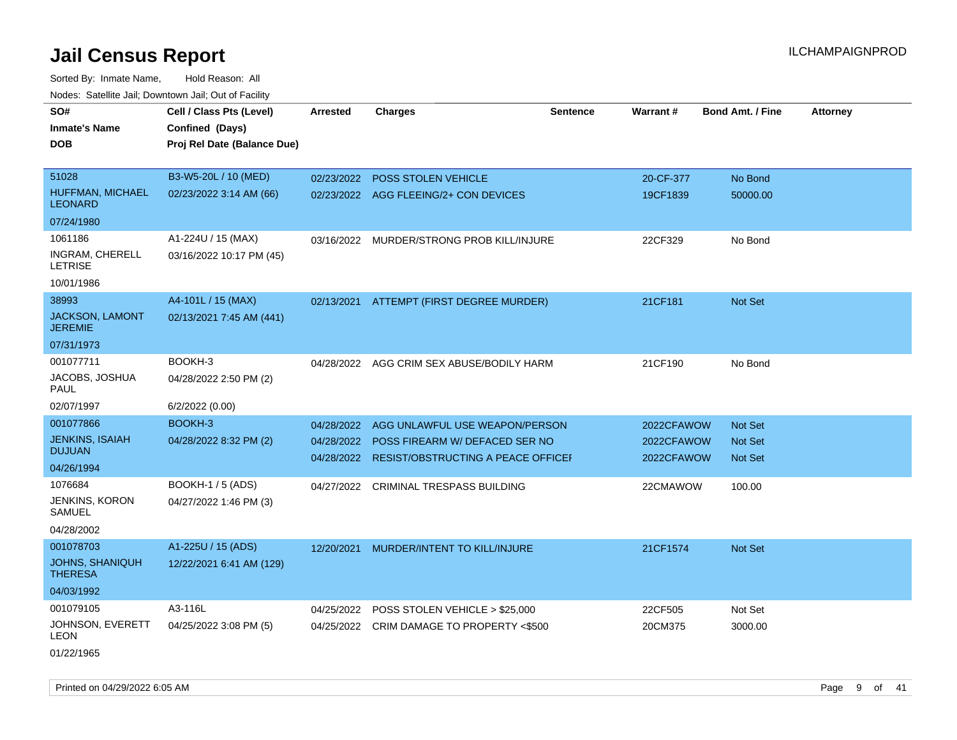Sorted By: Inmate Name, Hold Reason: All Nodes: Satellite Jail; Downtown Jail; Out of Facility

| noaco. Catomto can, Domntonn can, Cat or I domt |                             |                 |                                           |                 |            |                         |                 |
|-------------------------------------------------|-----------------------------|-----------------|-------------------------------------------|-----------------|------------|-------------------------|-----------------|
| SO#                                             | Cell / Class Pts (Level)    | <b>Arrested</b> | <b>Charges</b>                            | <b>Sentence</b> | Warrant#   | <b>Bond Amt. / Fine</b> | <b>Attorney</b> |
| <b>Inmate's Name</b>                            | Confined (Days)             |                 |                                           |                 |            |                         |                 |
| <b>DOB</b>                                      | Proj Rel Date (Balance Due) |                 |                                           |                 |            |                         |                 |
| 51028                                           | B3-W5-20L / 10 (MED)        | 02/23/2022      | <b>POSS STOLEN VEHICLE</b>                |                 | 20-CF-377  | No Bond                 |                 |
| HUFFMAN, MICHAEL<br><b>LEONARD</b>              | 02/23/2022 3:14 AM (66)     |                 | 02/23/2022 AGG FLEEING/2+ CON DEVICES     |                 | 19CF1839   | 50000.00                |                 |
| 07/24/1980                                      |                             |                 |                                           |                 |            |                         |                 |
| 1061186                                         | A1-224U / 15 (MAX)          | 03/16/2022      | MURDER/STRONG PROB KILL/INJURE            |                 | 22CF329    | No Bond                 |                 |
| INGRAM, CHERELL<br>LETRISE                      | 03/16/2022 10:17 PM (45)    |                 |                                           |                 |            |                         |                 |
| 10/01/1986                                      |                             |                 |                                           |                 |            |                         |                 |
| 38993                                           | A4-101L / 15 (MAX)          |                 | 02/13/2021 ATTEMPT (FIRST DEGREE MURDER)  |                 | 21CF181    | Not Set                 |                 |
| <b>JACKSON, LAMONT</b><br><b>JEREMIE</b>        | 02/13/2021 7:45 AM (441)    |                 |                                           |                 |            |                         |                 |
| 07/31/1973                                      |                             |                 |                                           |                 |            |                         |                 |
| 001077711                                       | BOOKH-3                     |                 | 04/28/2022 AGG CRIM SEX ABUSE/BODILY HARM |                 | 21CF190    | No Bond                 |                 |
| JACOBS, JOSHUA<br>PAUL                          | 04/28/2022 2:50 PM (2)      |                 |                                           |                 |            |                         |                 |
| 02/07/1997                                      | 6/2/2022 (0.00)             |                 |                                           |                 |            |                         |                 |
| 001077866                                       | BOOKH-3                     | 04/28/2022      | AGG UNLAWFUL USE WEAPON/PERSON            |                 | 2022CFAWOW | <b>Not Set</b>          |                 |
| <b>JENKINS, ISAIAH</b>                          | 04/28/2022 8:32 PM (2)      | 04/28/2022      | POSS FIREARM W/ DEFACED SER NO            |                 | 2022CFAWOW | <b>Not Set</b>          |                 |
| <b>DUJUAN</b>                                   |                             | 04/28/2022      | RESIST/OBSTRUCTING A PEACE OFFICEI        |                 | 2022CFAWOW | <b>Not Set</b>          |                 |
| 04/26/1994                                      |                             |                 |                                           |                 |            |                         |                 |
| 1076684                                         | <b>BOOKH-1 / 5 (ADS)</b>    | 04/27/2022      | <b>CRIMINAL TRESPASS BUILDING</b>         |                 | 22CMAWOW   | 100.00                  |                 |
| JENKINS, KORON<br>SAMUEL                        | 04/27/2022 1:46 PM (3)      |                 |                                           |                 |            |                         |                 |
| 04/28/2002                                      |                             |                 |                                           |                 |            |                         |                 |
| 001078703                                       | A1-225U / 15 (ADS)          | 12/20/2021      | MURDER/INTENT TO KILL/INJURE              |                 | 21CF1574   | Not Set                 |                 |
| <b>JOHNS, SHANIQUH</b><br><b>THERESA</b>        | 12/22/2021 6:41 AM (129)    |                 |                                           |                 |            |                         |                 |
| 04/03/1992                                      |                             |                 |                                           |                 |            |                         |                 |
| 001079105                                       | A3-116L                     | 04/25/2022      | POSS STOLEN VEHICLE > \$25,000            |                 | 22CF505    | Not Set                 |                 |
| JOHNSON, EVERETT<br>LEON                        | 04/25/2022 3:08 PM (5)      |                 | 04/25/2022 CRIM DAMAGE TO PROPERTY <\$500 |                 | 20CM375    | 3000.00                 |                 |
| 01/22/1965                                      |                             |                 |                                           |                 |            |                         |                 |

Printed on 04/29/2022 6:05 AM **Page 9 of 41**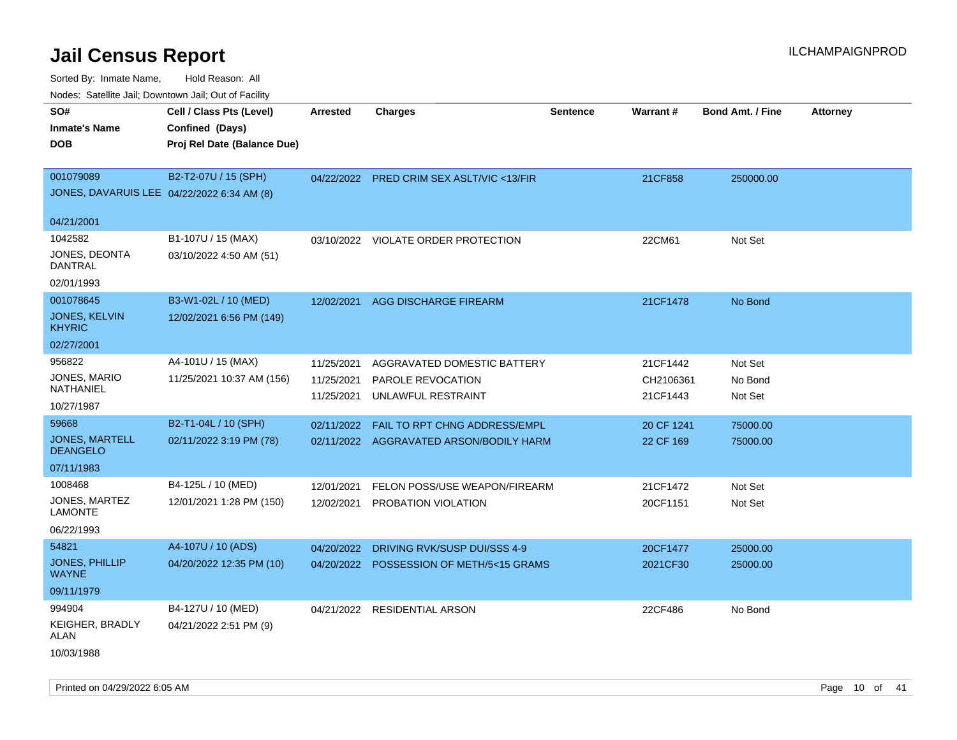Sorted By: Inmate Name, Hold Reason: All

|--|

| SO#                                      | Cell / Class Pts (Level)                   | <b>Arrested</b> | <b>Charges</b>                           | <b>Sentence</b> | Warrant#   | <b>Bond Amt. / Fine</b> | <b>Attorney</b> |
|------------------------------------------|--------------------------------------------|-----------------|------------------------------------------|-----------------|------------|-------------------------|-----------------|
| <b>Inmate's Name</b>                     | Confined (Days)                            |                 |                                          |                 |            |                         |                 |
| <b>DOB</b>                               | Proj Rel Date (Balance Due)                |                 |                                          |                 |            |                         |                 |
| 001079089                                | B2-T2-07U / 15 (SPH)                       | 04/22/2022      | PRED CRIM SEX ASLT/VIC <13/FIR           |                 | 21CF858    | 250000.00               |                 |
|                                          | JONES, DAVARUIS LEE 04/22/2022 6:34 AM (8) |                 |                                          |                 |            |                         |                 |
|                                          |                                            |                 |                                          |                 |            |                         |                 |
| 04/21/2001                               |                                            |                 |                                          |                 |            |                         |                 |
| 1042582                                  | B1-107U / 15 (MAX)                         |                 | 03/10/2022 VIOLATE ORDER PROTECTION      |                 | 22CM61     | Not Set                 |                 |
| JONES, DEONTA<br><b>DANTRAL</b>          | 03/10/2022 4:50 AM (51)                    |                 |                                          |                 |            |                         |                 |
| 02/01/1993                               |                                            |                 |                                          |                 |            |                         |                 |
| 001078645                                | B3-W1-02L / 10 (MED)                       | 12/02/2021      | AGG DISCHARGE FIREARM                    |                 | 21CF1478   | No Bond                 |                 |
| JONES, KELVIN<br><b>KHYRIC</b>           | 12/02/2021 6:56 PM (149)                   |                 |                                          |                 |            |                         |                 |
| 02/27/2001                               |                                            |                 |                                          |                 |            |                         |                 |
| 956822                                   | A4-101U / 15 (MAX)                         | 11/25/2021      | AGGRAVATED DOMESTIC BATTERY              |                 | 21CF1442   | Not Set                 |                 |
| JONES, MARIO                             | 11/25/2021 10:37 AM (156)                  | 11/25/2021      | PAROLE REVOCATION                        |                 | CH2106361  | No Bond                 |                 |
| NATHANIEL                                |                                            | 11/25/2021      | UNLAWFUL RESTRAINT                       |                 | 21CF1443   | Not Set                 |                 |
| 10/27/1987                               |                                            |                 |                                          |                 |            |                         |                 |
| 59668                                    | B2-T1-04L / 10 (SPH)                       | 02/11/2022      | FAIL TO RPT CHNG ADDRESS/EMPL            |                 | 20 CF 1241 | 75000.00                |                 |
| <b>JONES, MARTELL</b><br><b>DEANGELO</b> | 02/11/2022 3:19 PM (78)                    |                 | 02/11/2022 AGGRAVATED ARSON/BODILY HARM  |                 | 22 CF 169  | 75000.00                |                 |
| 07/11/1983                               |                                            |                 |                                          |                 |            |                         |                 |
| 1008468                                  | B4-125L / 10 (MED)                         | 12/01/2021      | FELON POSS/USE WEAPON/FIREARM            |                 | 21CF1472   | Not Set                 |                 |
| JONES, MARTEZ                            | 12/01/2021 1:28 PM (150)                   | 12/02/2021      | PROBATION VIOLATION                      |                 | 20CF1151   | Not Set                 |                 |
| <b>LAMONTE</b>                           |                                            |                 |                                          |                 |            |                         |                 |
| 06/22/1993                               |                                            |                 |                                          |                 |            |                         |                 |
| 54821                                    | A4-107U / 10 (ADS)                         | 04/20/2022      | DRIVING RVK/SUSP DUI/SSS 4-9             |                 | 20CF1477   | 25000.00                |                 |
| <b>JONES, PHILLIP</b><br><b>WAYNE</b>    | 04/20/2022 12:35 PM (10)                   |                 | 04/20/2022 POSSESSION OF METH/5<15 GRAMS |                 | 2021CF30   | 25000.00                |                 |
| 09/11/1979                               |                                            |                 |                                          |                 |            |                         |                 |
| 994904                                   | B4-127U / 10 (MED)                         |                 | 04/21/2022 RESIDENTIAL ARSON             |                 | 22CF486    | No Bond                 |                 |
| KEIGHER, BRADLY<br><b>ALAN</b>           | 04/21/2022 2:51 PM (9)                     |                 |                                          |                 |            |                         |                 |
| 10/03/1988                               |                                            |                 |                                          |                 |            |                         |                 |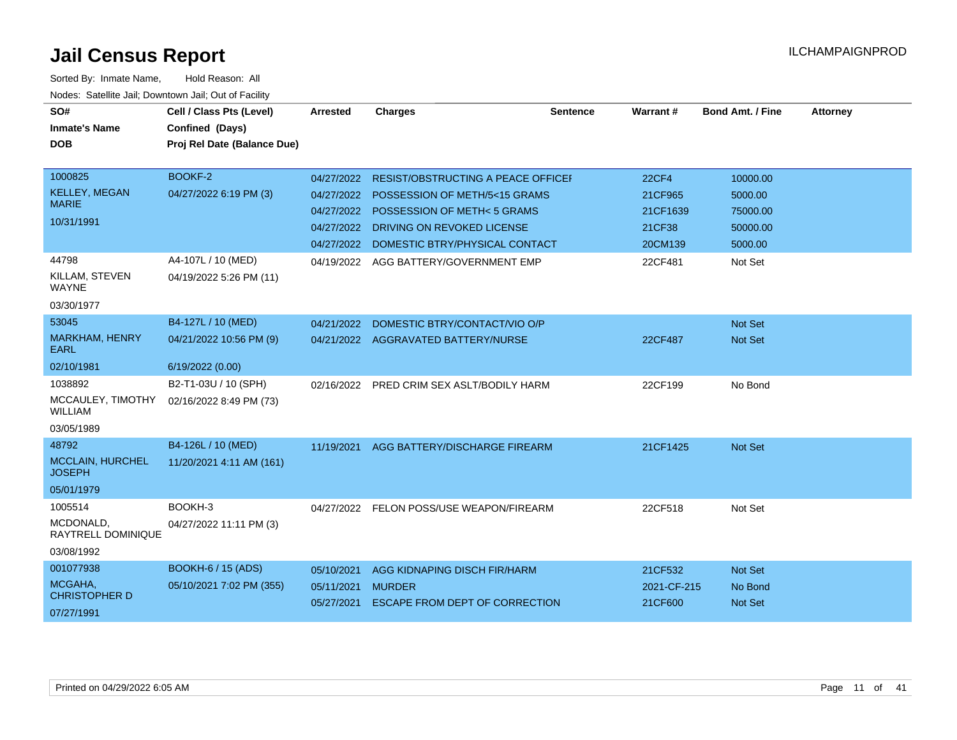| SO#<br><b>Inmate's Name</b><br><b>DOB</b>                                                                | Cell / Class Pts (Level)<br>Confined (Days)<br>Proj Rel Date (Balance Due)         | <b>Arrested</b>                                                    | <b>Charges</b>                                                                                                                                                                                                              | <b>Sentence</b> | Warrant#                                                            | <b>Bond Amt. / Fine</b>                                           | <b>Attorney</b> |
|----------------------------------------------------------------------------------------------------------|------------------------------------------------------------------------------------|--------------------------------------------------------------------|-----------------------------------------------------------------------------------------------------------------------------------------------------------------------------------------------------------------------------|-----------------|---------------------------------------------------------------------|-------------------------------------------------------------------|-----------------|
| 1000825<br><b>KELLEY, MEGAN</b><br><b>MARIE</b><br>10/31/1991<br>44798<br>KILLAM, STEVEN<br><b>WAYNE</b> | BOOKF-2<br>04/27/2022 6:19 PM (3)<br>A4-107L / 10 (MED)<br>04/19/2022 5:26 PM (11) | 04/27/2022<br>04/27/2022<br>04/27/2022<br>04/27/2022<br>04/19/2022 | <b>RESIST/OBSTRUCTING A PEACE OFFICEF</b><br>POSSESSION OF METH/5<15 GRAMS<br><b>POSSESSION OF METH&lt;5 GRAMS</b><br>DRIVING ON REVOKED LICENSE<br>04/27/2022 DOMESTIC BTRY/PHYSICAL CONTACT<br>AGG BATTERY/GOVERNMENT EMP |                 | <b>22CF4</b><br>21CF965<br>21CF1639<br>21CF38<br>20CM139<br>22CF481 | 10000.00<br>5000.00<br>75000.00<br>50000.00<br>5000.00<br>Not Set |                 |
| 03/30/1977                                                                                               |                                                                                    |                                                                    |                                                                                                                                                                                                                             |                 |                                                                     |                                                                   |                 |
| 53045<br>MARKHAM, HENRY<br><b>EARL</b>                                                                   | B4-127L / 10 (MED)<br>04/21/2022 10:56 PM (9)                                      | 04/21/2022                                                         | DOMESTIC BTRY/CONTACT/VIO O/P<br>04/21/2022 AGGRAVATED BATTERY/NURSE                                                                                                                                                        |                 | 22CF487                                                             | <b>Not Set</b><br>Not Set                                         |                 |
| 02/10/1981<br>1038892<br>MCCAULEY, TIMOTHY<br><b>WILLIAM</b><br>03/05/1989                               | 6/19/2022 (0.00)<br>B2-T1-03U / 10 (SPH)<br>02/16/2022 8:49 PM (73)                |                                                                    | 02/16/2022 PRED CRIM SEX ASLT/BODILY HARM                                                                                                                                                                                   |                 | 22CF199                                                             | No Bond                                                           |                 |
| 48792<br>MCCLAIN, HURCHEL<br><b>JOSEPH</b><br>05/01/1979                                                 | B4-126L / 10 (MED)<br>11/20/2021 4:11 AM (161)                                     | 11/19/2021                                                         | AGG BATTERY/DISCHARGE FIREARM                                                                                                                                                                                               |                 | 21CF1425                                                            | Not Set                                                           |                 |
| 1005514<br>MCDONALD,<br>RAYTRELL DOMINIQUE<br>03/08/1992                                                 | BOOKH-3<br>04/27/2022 11:11 PM (3)                                                 |                                                                    | 04/27/2022 FELON POSS/USE WEAPON/FIREARM                                                                                                                                                                                    |                 | 22CF518                                                             | Not Set                                                           |                 |
| 001077938<br>MCGAHA,<br><b>CHRISTOPHER D</b><br>07/27/1991                                               | <b>BOOKH-6 / 15 (ADS)</b><br>05/10/2021 7:02 PM (355)                              | 05/10/2021<br>05/11/2021<br>05/27/2021                             | AGG KIDNAPING DISCH FIR/HARM<br><b>MURDER</b><br><b>ESCAPE FROM DEPT OF CORRECTION</b>                                                                                                                                      |                 | 21CF532<br>2021-CF-215<br>21CF600                                   | <b>Not Set</b><br>No Bond<br>Not Set                              |                 |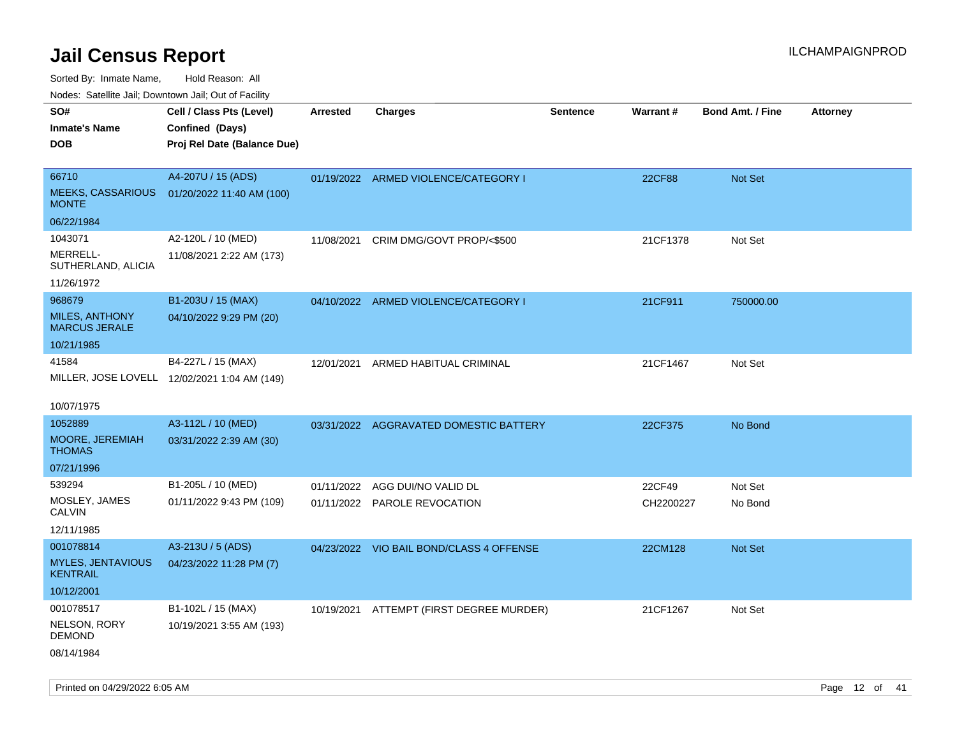Sorted By: Inmate Name, Hold Reason: All

Nodes: Satellite Jail; Downtown Jail; Out of Facility

| roaco. Catolino dall, Downtown dall, Out of Fability |                                              |                 |                                          |                 |           |                         |                 |
|------------------------------------------------------|----------------------------------------------|-----------------|------------------------------------------|-----------------|-----------|-------------------------|-----------------|
| SO#                                                  | Cell / Class Pts (Level)                     | <b>Arrested</b> | <b>Charges</b>                           | <b>Sentence</b> | Warrant#  | <b>Bond Amt. / Fine</b> | <b>Attorney</b> |
| <b>Inmate's Name</b>                                 | Confined (Days)                              |                 |                                          |                 |           |                         |                 |
| <b>DOB</b>                                           | Proj Rel Date (Balance Due)                  |                 |                                          |                 |           |                         |                 |
|                                                      |                                              |                 |                                          |                 |           |                         |                 |
| 66710                                                | A4-207U / 15 (ADS)                           |                 | 01/19/2022 ARMED VIOLENCE/CATEGORY I     |                 | 22CF88    | Not Set                 |                 |
| <b>MEEKS, CASSARIOUS</b><br><b>MONTE</b>             | 01/20/2022 11:40 AM (100)                    |                 |                                          |                 |           |                         |                 |
| 06/22/1984                                           |                                              |                 |                                          |                 |           |                         |                 |
| 1043071                                              | A2-120L / 10 (MED)                           | 11/08/2021      | CRIM DMG/GOVT PROP/<\$500                |                 | 21CF1378  | Not Set                 |                 |
| MERRELL-<br>SUTHERLAND, ALICIA                       | 11/08/2021 2:22 AM (173)                     |                 |                                          |                 |           |                         |                 |
| 11/26/1972                                           |                                              |                 |                                          |                 |           |                         |                 |
| 968679                                               | B1-203U / 15 (MAX)                           |                 | 04/10/2022 ARMED VIOLENCE/CATEGORY I     |                 | 21CF911   | 750000.00               |                 |
| <b>MILES, ANTHONY</b><br><b>MARCUS JERALE</b>        | 04/10/2022 9:29 PM (20)                      |                 |                                          |                 |           |                         |                 |
| 10/21/1985                                           |                                              |                 |                                          |                 |           |                         |                 |
| 41584                                                | B4-227L / 15 (MAX)                           |                 | 12/01/2021 ARMED HABITUAL CRIMINAL       |                 | 21CF1467  | Not Set                 |                 |
|                                                      | MILLER, JOSE LOVELL 12/02/2021 1:04 AM (149) |                 |                                          |                 |           |                         |                 |
|                                                      |                                              |                 |                                          |                 |           |                         |                 |
| 10/07/1975                                           |                                              |                 |                                          |                 |           |                         |                 |
| 1052889                                              | A3-112L / 10 (MED)                           |                 | 03/31/2022 AGGRAVATED DOMESTIC BATTERY   |                 | 22CF375   | No Bond                 |                 |
| <b>MOORE, JEREMIAH</b><br><b>THOMAS</b>              | 03/31/2022 2:39 AM (30)                      |                 |                                          |                 |           |                         |                 |
| 07/21/1996                                           |                                              |                 |                                          |                 |           |                         |                 |
| 539294                                               | B1-205L / 10 (MED)                           | 01/11/2022      | AGG DUI/NO VALID DL                      |                 | 22CF49    | Not Set                 |                 |
| MOSLEY, JAMES<br><b>CALVIN</b>                       | 01/11/2022 9:43 PM (109)                     |                 | 01/11/2022 PAROLE REVOCATION             |                 | CH2200227 | No Bond                 |                 |
| 12/11/1985                                           |                                              |                 |                                          |                 |           |                         |                 |
| 001078814                                            | A3-213U / 5 (ADS)                            |                 | 04/23/2022 VIO BAIL BOND/CLASS 4 OFFENSE |                 | 22CM128   | Not Set                 |                 |
| <b>MYLES, JENTAVIOUS</b><br><b>KENTRAIL</b>          | 04/23/2022 11:28 PM (7)                      |                 |                                          |                 |           |                         |                 |
| 10/12/2001                                           |                                              |                 |                                          |                 |           |                         |                 |
| 001078517                                            | B1-102L / 15 (MAX)                           |                 | 10/19/2021 ATTEMPT (FIRST DEGREE MURDER) |                 | 21CF1267  | Not Set                 |                 |
| NELSON, RORY<br><b>DEMOND</b>                        | 10/19/2021 3:55 AM (193)                     |                 |                                          |                 |           |                         |                 |
| 08/14/1984                                           |                                              |                 |                                          |                 |           |                         |                 |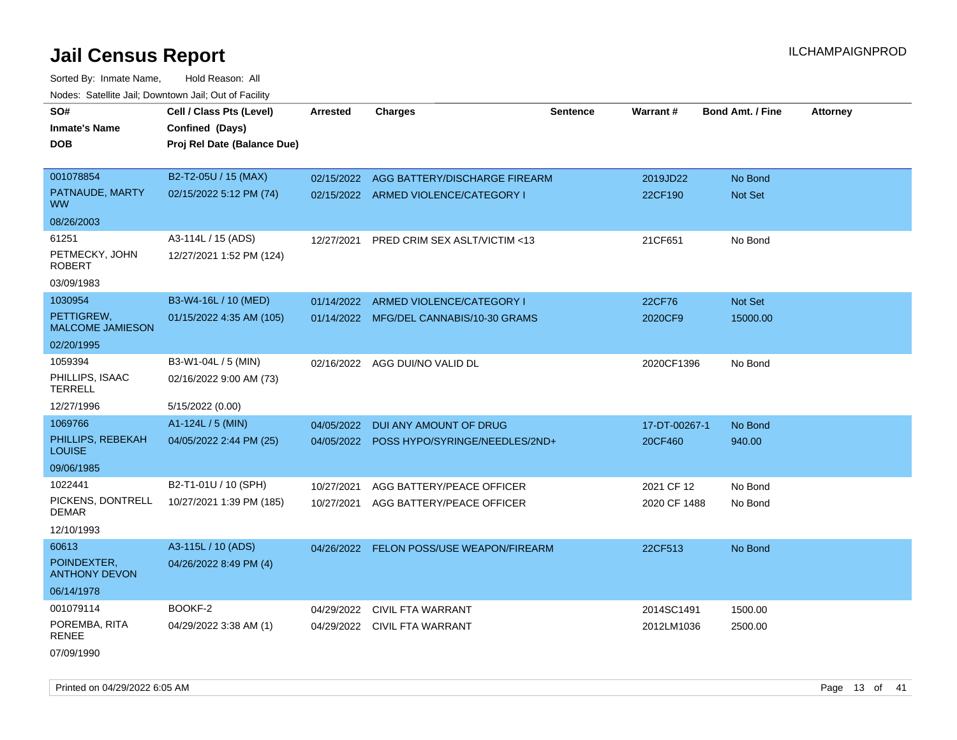Sorted By: Inmate Name, Hold Reason: All Nodes: Satellite Jail; Downtown Jail; Out of Facility

| SO#                                   | Cell / Class Pts (Level)    | <b>Arrested</b> | <b>Charges</b>                            | <b>Sentence</b> | Warrant#      | <b>Bond Amt. / Fine</b> | <b>Attorney</b> |
|---------------------------------------|-----------------------------|-----------------|-------------------------------------------|-----------------|---------------|-------------------------|-----------------|
| <b>Inmate's Name</b>                  | Confined (Days)             |                 |                                           |                 |               |                         |                 |
| <b>DOB</b>                            | Proj Rel Date (Balance Due) |                 |                                           |                 |               |                         |                 |
|                                       |                             |                 |                                           |                 |               |                         |                 |
| 001078854                             | B2-T2-05U / 15 (MAX)        |                 | 02/15/2022 AGG BATTERY/DISCHARGE FIREARM  |                 | 2019JD22      | No Bond                 |                 |
| PATNAUDE, MARTY<br><b>WW</b>          | 02/15/2022 5:12 PM (74)     |                 | 02/15/2022 ARMED VIOLENCE/CATEGORY I      |                 | 22CF190       | Not Set                 |                 |
| 08/26/2003                            |                             |                 |                                           |                 |               |                         |                 |
| 61251                                 | A3-114L / 15 (ADS)          | 12/27/2021      | PRED CRIM SEX ASLT/VICTIM <13             |                 | 21CF651       | No Bond                 |                 |
| PETMECKY, JOHN<br><b>ROBERT</b>       | 12/27/2021 1:52 PM (124)    |                 |                                           |                 |               |                         |                 |
| 03/09/1983                            |                             |                 |                                           |                 |               |                         |                 |
| 1030954                               | B3-W4-16L / 10 (MED)        | 01/14/2022      | ARMED VIOLENCE/CATEGORY I                 |                 | 22CF76        | Not Set                 |                 |
| PETTIGREW.<br><b>MALCOME JAMIESON</b> | 01/15/2022 4:35 AM (105)    |                 | 01/14/2022 MFG/DEL CANNABIS/10-30 GRAMS   |                 | 2020CF9       | 15000.00                |                 |
| 02/20/1995                            |                             |                 |                                           |                 |               |                         |                 |
| 1059394                               | B3-W1-04L / 5 (MIN)         |                 | 02/16/2022 AGG DUI/NO VALID DL            |                 | 2020CF1396    | No Bond                 |                 |
| PHILLIPS, ISAAC<br><b>TERRELL</b>     | 02/16/2022 9:00 AM (73)     |                 |                                           |                 |               |                         |                 |
| 12/27/1996                            | 5/15/2022 (0.00)            |                 |                                           |                 |               |                         |                 |
| 1069766                               | $A1-124L / 5$ (MIN)         | 04/05/2022      | DUI ANY AMOUNT OF DRUG                    |                 | 17-DT-00267-1 | No Bond                 |                 |
| PHILLIPS, REBEKAH<br><b>LOUISE</b>    | 04/05/2022 2:44 PM (25)     |                 | 04/05/2022 POSS HYPO/SYRINGE/NEEDLES/2ND+ |                 | 20CF460       | 940.00                  |                 |
| 09/06/1985                            |                             |                 |                                           |                 |               |                         |                 |
| 1022441                               | B2-T1-01U / 10 (SPH)        | 10/27/2021      | AGG BATTERY/PEACE OFFICER                 |                 | 2021 CF 12    | No Bond                 |                 |
| PICKENS, DONTRELL<br><b>DEMAR</b>     | 10/27/2021 1:39 PM (185)    | 10/27/2021      | AGG BATTERY/PEACE OFFICER                 |                 | 2020 CF 1488  | No Bond                 |                 |
| 12/10/1993                            |                             |                 |                                           |                 |               |                         |                 |
| 60613                                 | A3-115L / 10 (ADS)          |                 | 04/26/2022 FELON POSS/USE WEAPON/FIREARM  |                 | 22CF513       | No Bond                 |                 |
| POINDEXTER.<br><b>ANTHONY DEVON</b>   | 04/26/2022 8:49 PM (4)      |                 |                                           |                 |               |                         |                 |
| 06/14/1978                            |                             |                 |                                           |                 |               |                         |                 |
| 001079114                             | BOOKF-2                     | 04/29/2022      | CIVIL FTA WARRANT                         |                 | 2014SC1491    | 1500.00                 |                 |
| POREMBA, RITA<br><b>RENEE</b>         | 04/29/2022 3:38 AM (1)      |                 | 04/29/2022 CIVIL FTA WARRANT              |                 | 2012LM1036    | 2500.00                 |                 |
| 07/09/1990                            |                             |                 |                                           |                 |               |                         |                 |

Printed on 04/29/2022 6:05 AM **Page 13** of 41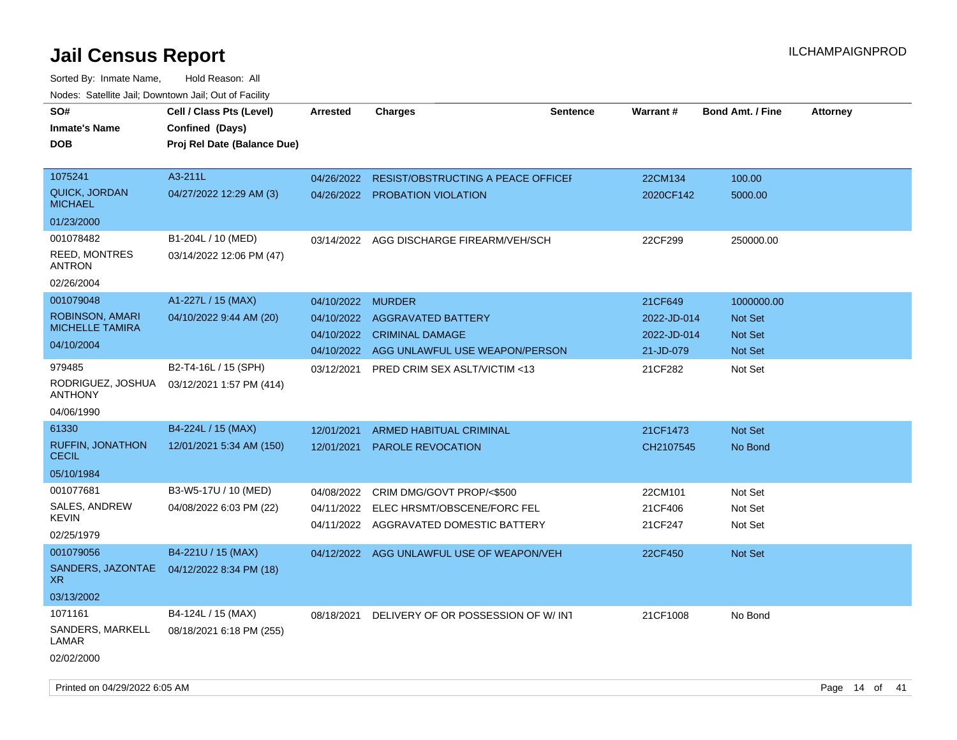| rouco. Calcinic Jan, Downtown Jan, Out of Facility |                                                                            |                   |                                           |                 |                 |                         |                 |
|----------------------------------------------------|----------------------------------------------------------------------------|-------------------|-------------------------------------------|-----------------|-----------------|-------------------------|-----------------|
| SO#<br><b>Inmate's Name</b><br>DOB                 | Cell / Class Pts (Level)<br>Confined (Days)<br>Proj Rel Date (Balance Due) | <b>Arrested</b>   | <b>Charges</b>                            | <b>Sentence</b> | <b>Warrant#</b> | <b>Bond Amt. / Fine</b> | <b>Attorney</b> |
|                                                    |                                                                            |                   |                                           |                 |                 |                         |                 |
| 1075241                                            | A3-211L                                                                    | 04/26/2022        | <b>RESIST/OBSTRUCTING A PEACE OFFICER</b> |                 | 22CM134         | 100.00                  |                 |
| <b>QUICK, JORDAN</b><br>MICHAEL                    | 04/27/2022 12:29 AM (3)                                                    | 04/26/2022        | <b>PROBATION VIOLATION</b>                |                 | 2020CF142       | 5000.00                 |                 |
| 01/23/2000                                         |                                                                            |                   |                                           |                 |                 |                         |                 |
| 001078482                                          | B1-204L / 10 (MED)                                                         |                   | 03/14/2022 AGG DISCHARGE FIREARM/VEH/SCH  |                 | 22CF299         | 250000.00               |                 |
| <b>REED, MONTRES</b><br>ANTRON                     | 03/14/2022 12:06 PM (47)                                                   |                   |                                           |                 |                 |                         |                 |
| 02/26/2004                                         |                                                                            |                   |                                           |                 |                 |                         |                 |
| 001079048                                          | A1-227L / 15 (MAX)                                                         | 04/10/2022 MURDER |                                           |                 | 21CF649         | 1000000.00              |                 |
| <b>ROBINSON, AMARI</b>                             | 04/10/2022 9:44 AM (20)                                                    | 04/10/2022        | <b>AGGRAVATED BATTERY</b>                 |                 | 2022-JD-014     | <b>Not Set</b>          |                 |
| <b>MICHELLE TAMIRA</b>                             |                                                                            | 04/10/2022        | <b>CRIMINAL DAMAGE</b>                    |                 | 2022-JD-014     | Not Set                 |                 |
| 04/10/2004                                         |                                                                            |                   | 04/10/2022 AGG UNLAWFUL USE WEAPON/PERSON |                 | 21-JD-079       | <b>Not Set</b>          |                 |
| 979485                                             | B2-T4-16L / 15 (SPH)                                                       | 03/12/2021        | <b>PRED CRIM SEX ASLT/VICTIM &lt;13</b>   |                 | 21CF282         | Not Set                 |                 |
| RODRIGUEZ, JOSHUA<br><b>ANTHONY</b>                | 03/12/2021 1:57 PM (414)                                                   |                   |                                           |                 |                 |                         |                 |
| 04/06/1990                                         |                                                                            |                   |                                           |                 |                 |                         |                 |
| 61330                                              | B4-224L / 15 (MAX)                                                         | 12/01/2021        | ARMED HABITUAL CRIMINAL                   |                 | 21CF1473        | <b>Not Set</b>          |                 |
| <b>RUFFIN, JONATHON</b><br>CECIL                   | 12/01/2021 5:34 AM (150)                                                   | 12/01/2021        | <b>PAROLE REVOCATION</b>                  |                 | CH2107545       | No Bond                 |                 |
| 05/10/1984                                         |                                                                            |                   |                                           |                 |                 |                         |                 |
| 001077681                                          | B3-W5-17U / 10 (MED)                                                       | 04/08/2022        | CRIM DMG/GOVT PROP/<\$500                 |                 | 22CM101         | Not Set                 |                 |
| <b>SALES, ANDREW</b>                               | 04/08/2022 6:03 PM (22)                                                    | 04/11/2022        | ELEC HRSMT/OBSCENE/FORC FEL               |                 | 21CF406         | Not Set                 |                 |
| KEVIN                                              |                                                                            | 04/11/2022        | AGGRAVATED DOMESTIC BATTERY               |                 | 21CF247         | Not Set                 |                 |
| 02/25/1979                                         |                                                                            |                   |                                           |                 |                 |                         |                 |
| 001079056                                          | B4-221U / 15 (MAX)                                                         |                   | 04/12/2022 AGG UNLAWFUL USE OF WEAPON/VEH |                 | 22CF450         | Not Set                 |                 |
| XR.                                                | SANDERS, JAZONTAE 04/12/2022 8:34 PM (18)                                  |                   |                                           |                 |                 |                         |                 |
| 03/13/2002                                         |                                                                            |                   |                                           |                 |                 |                         |                 |
| 1071161                                            | B4-124L / 15 (MAX)                                                         | 08/18/2021        | DELIVERY OF OR POSSESSION OF W/INT        |                 | 21CF1008        | No Bond                 |                 |
| SANDERS, MARKELL<br>LAMAR                          | 08/18/2021 6:18 PM (255)                                                   |                   |                                           |                 |                 |                         |                 |
| 02/02/2000                                         |                                                                            |                   |                                           |                 |                 |                         |                 |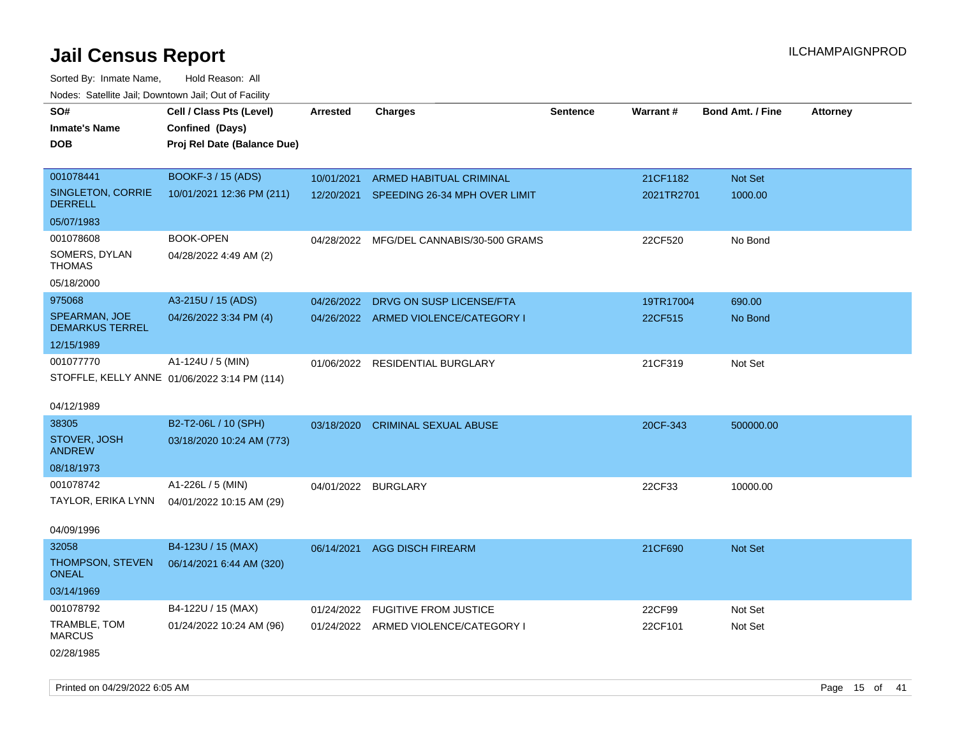Sorted By: Inmate Name, Hold Reason: All Nodes: Satellite Jail; Downtown Jail; Out of Facility

| rougs. Calcing Jan, Downtown Jan, Out of Facility |                                              |                 |                                          |                 |            |                         |                 |
|---------------------------------------------------|----------------------------------------------|-----------------|------------------------------------------|-----------------|------------|-------------------------|-----------------|
| SO#<br><b>Inmate's Name</b>                       | Cell / Class Pts (Level)<br>Confined (Days)  | <b>Arrested</b> | <b>Charges</b>                           | <b>Sentence</b> | Warrant#   | <b>Bond Amt. / Fine</b> | <b>Attorney</b> |
| <b>DOB</b>                                        | Proj Rel Date (Balance Due)                  |                 |                                          |                 |            |                         |                 |
| 001078441                                         | <b>BOOKF-3 / 15 (ADS)</b>                    | 10/01/2021      | ARMED HABITUAL CRIMINAL                  |                 | 21CF1182   | Not Set                 |                 |
| SINGLETON, CORRIE<br><b>DERRELL</b>               | 10/01/2021 12:36 PM (211)                    |                 | 12/20/2021 SPEEDING 26-34 MPH OVER LIMIT |                 | 2021TR2701 | 1000.00                 |                 |
| 05/07/1983                                        |                                              |                 |                                          |                 |            |                         |                 |
| 001078608                                         | <b>BOOK-OPEN</b>                             |                 | 04/28/2022 MFG/DEL CANNABIS/30-500 GRAMS |                 | 22CF520    | No Bond                 |                 |
| SOMERS, DYLAN<br>THOMAS                           | 04/28/2022 4:49 AM (2)                       |                 |                                          |                 |            |                         |                 |
| 05/18/2000                                        |                                              |                 |                                          |                 |            |                         |                 |
| 975068                                            | A3-215U / 15 (ADS)                           | 04/26/2022      | DRVG ON SUSP LICENSE/FTA                 |                 | 19TR17004  | 690.00                  |                 |
| SPEARMAN, JOE<br><b>DEMARKUS TERREL</b>           | 04/26/2022 3:34 PM (4)                       |                 | 04/26/2022 ARMED VIOLENCE/CATEGORY I     |                 | 22CF515    | No Bond                 |                 |
| 12/15/1989                                        |                                              |                 |                                          |                 |            |                         |                 |
| 001077770                                         | A1-124U / 5 (MIN)                            |                 | 01/06/2022 RESIDENTIAL BURGLARY          |                 | 21CF319    | Not Set                 |                 |
|                                                   | STOFFLE, KELLY ANNE 01/06/2022 3:14 PM (114) |                 |                                          |                 |            |                         |                 |
| 04/12/1989                                        |                                              |                 |                                          |                 |            |                         |                 |
| 38305                                             | B2-T2-06L / 10 (SPH)                         | 03/18/2020      | <b>CRIMINAL SEXUAL ABUSE</b>             |                 | 20CF-343   | 500000.00               |                 |
| STOVER, JOSH<br><b>ANDREW</b>                     | 03/18/2020 10:24 AM (773)                    |                 |                                          |                 |            |                         |                 |
| 08/18/1973                                        |                                              |                 |                                          |                 |            |                         |                 |
| 001078742                                         | A1-226L / 5 (MIN)                            |                 | 04/01/2022 BURGLARY                      |                 | 22CF33     | 10000.00                |                 |
| TAYLOR, ERIKA LYNN                                | 04/01/2022 10:15 AM (29)                     |                 |                                          |                 |            |                         |                 |
| 04/09/1996                                        |                                              |                 |                                          |                 |            |                         |                 |
| 32058                                             | B4-123U / 15 (MAX)                           | 06/14/2021      | <b>AGG DISCH FIREARM</b>                 |                 | 21CF690    | <b>Not Set</b>          |                 |
| THOMPSON, STEVEN<br>ONEAL                         | 06/14/2021 6:44 AM (320)                     |                 |                                          |                 |            |                         |                 |
| 03/14/1969                                        |                                              |                 |                                          |                 |            |                         |                 |
| 001078792                                         | B4-122U / 15 (MAX)                           | 01/24/2022      | <b>FUGITIVE FROM JUSTICE</b>             |                 | 22CF99     | Not Set                 |                 |
| TRAMBLE, TOM<br><b>MARCUS</b>                     | 01/24/2022 10:24 AM (96)                     |                 | 01/24/2022 ARMED VIOLENCE/CATEGORY I     |                 | 22CF101    | Not Set                 |                 |
| 02/28/1985                                        |                                              |                 |                                          |                 |            |                         |                 |

Printed on 04/29/2022 6:05 AM Page 15 of 41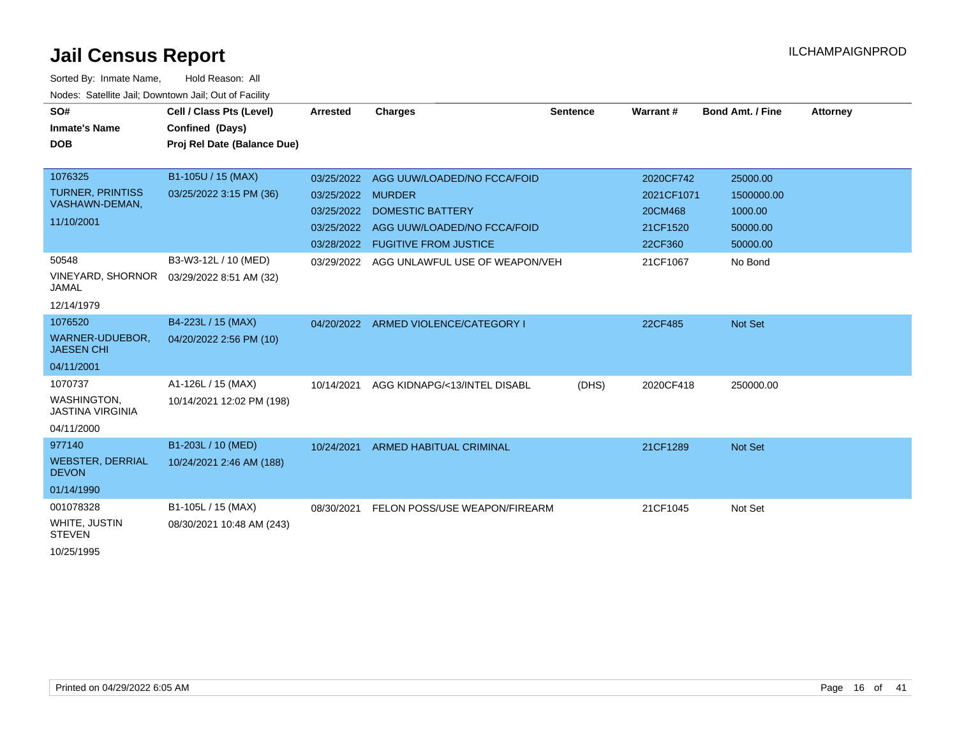| SO#                                          | Cell / Class Pts (Level)    | <b>Arrested</b>   | <b>Charges</b>                         | <b>Sentence</b> | Warrant#   | <b>Bond Amt. / Fine</b> | <b>Attorney</b> |
|----------------------------------------------|-----------------------------|-------------------|----------------------------------------|-----------------|------------|-------------------------|-----------------|
| <b>Inmate's Name</b>                         | Confined (Days)             |                   |                                        |                 |            |                         |                 |
| <b>DOB</b>                                   | Proj Rel Date (Balance Due) |                   |                                        |                 |            |                         |                 |
|                                              |                             |                   |                                        |                 |            |                         |                 |
| 1076325                                      | B1-105U / 15 (MAX)          |                   | 03/25/2022 AGG UUW/LOADED/NO FCCA/FOID |                 | 2020CF742  | 25000.00                |                 |
| <b>TURNER, PRINTISS</b><br>VASHAWN-DEMAN,    | 03/25/2022 3:15 PM (36)     | 03/25/2022 MURDER |                                        |                 | 2021CF1071 | 1500000.00              |                 |
| 11/10/2001                                   |                             | 03/25/2022        | <b>DOMESTIC BATTERY</b>                |                 | 20CM468    | 1000.00                 |                 |
|                                              |                             | 03/25/2022        | AGG UUW/LOADED/NO FCCA/FOID            |                 | 21CF1520   | 50000.00                |                 |
|                                              |                             | 03/28/2022        | <b>FUGITIVE FROM JUSTICE</b>           |                 | 22CF360    | 50000.00                |                 |
| 50548                                        | B3-W3-12L / 10 (MED)        | 03/29/2022        | AGG UNLAWFUL USE OF WEAPON/VEH         |                 | 21CF1067   | No Bond                 |                 |
| VINEYARD, SHORNOR<br><b>JAMAL</b>            | 03/29/2022 8:51 AM (32)     |                   |                                        |                 |            |                         |                 |
| 12/14/1979                                   |                             |                   |                                        |                 |            |                         |                 |
| 1076520                                      | B4-223L / 15 (MAX)          | 04/20/2022        | ARMED VIOLENCE/CATEGORY I              |                 | 22CF485    | Not Set                 |                 |
| WARNER-UDUEBOR,<br><b>JAESEN CHI</b>         | 04/20/2022 2:56 PM (10)     |                   |                                        |                 |            |                         |                 |
| 04/11/2001                                   |                             |                   |                                        |                 |            |                         |                 |
| 1070737                                      | A1-126L / 15 (MAX)          | 10/14/2021        | AGG KIDNAPG/<13/INTEL DISABL           | (DHS)           | 2020CF418  | 250000.00               |                 |
| <b>WASHINGTON</b><br><b>JASTINA VIRGINIA</b> | 10/14/2021 12:02 PM (198)   |                   |                                        |                 |            |                         |                 |
| 04/11/2000                                   |                             |                   |                                        |                 |            |                         |                 |
| 977140                                       | B1-203L / 10 (MED)          | 10/24/2021        | ARMED HABITUAL CRIMINAL                |                 | 21CF1289   | <b>Not Set</b>          |                 |
| <b>WEBSTER, DERRIAL</b><br><b>DEVON</b>      | 10/24/2021 2:46 AM (188)    |                   |                                        |                 |            |                         |                 |
| 01/14/1990                                   |                             |                   |                                        |                 |            |                         |                 |
| 001078328                                    | B1-105L / 15 (MAX)          | 08/30/2021        | FELON POSS/USE WEAPON/FIREARM          |                 | 21CF1045   | Not Set                 |                 |
| WHITE, JUSTIN<br><b>STEVEN</b>               | 08/30/2021 10:48 AM (243)   |                   |                                        |                 |            |                         |                 |
| 10/25/1995                                   |                             |                   |                                        |                 |            |                         |                 |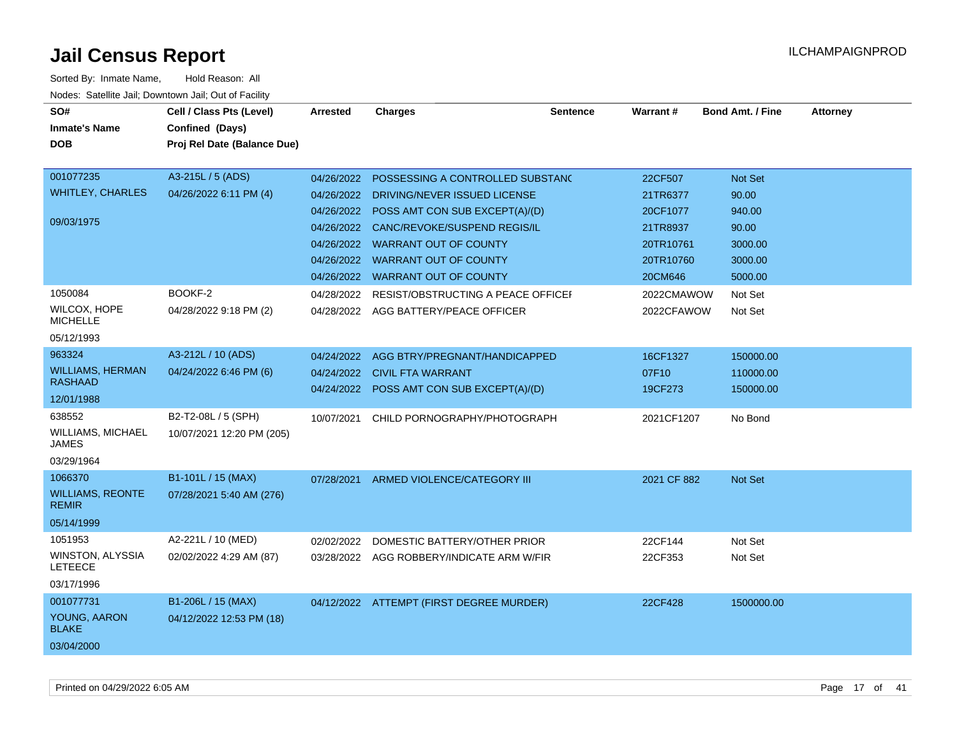| SO#<br><b>Inmate's Name</b><br><b>DOB</b>                         | Cell / Class Pts (Level)<br>Confined (Days)<br>Proj Rel Date (Balance Due) | Arrested                                                           | <b>Charges</b>                                                                                                                                                                                                                                                                       | <b>Sentence</b> | Warrant#                                                                                       | <b>Bond Amt. / Fine</b>                                                         | <b>Attorney</b> |
|-------------------------------------------------------------------|----------------------------------------------------------------------------|--------------------------------------------------------------------|--------------------------------------------------------------------------------------------------------------------------------------------------------------------------------------------------------------------------------------------------------------------------------------|-----------------|------------------------------------------------------------------------------------------------|---------------------------------------------------------------------------------|-----------------|
| 001077235<br><b>WHITLEY, CHARLES</b><br>09/03/1975<br>1050084     | A3-215L / 5 (ADS)<br>04/26/2022 6:11 PM (4)<br>BOOKF-2                     | 04/26/2022<br>04/26/2022<br>04/26/2022<br>04/26/2022<br>04/28/2022 | POSSESSING A CONTROLLED SUBSTANC<br>DRIVING/NEVER ISSUED LICENSE<br>POSS AMT CON SUB EXCEPT(A)/(D)<br>CANC/REVOKE/SUSPEND REGIS/IL<br>04/26/2022 WARRANT OUT OF COUNTY<br>04/26/2022 WARRANT OUT OF COUNTY<br>04/26/2022 WARRANT OUT OF COUNTY<br>RESIST/OBSTRUCTING A PEACE OFFICEF |                 | 22CF507<br>21TR6377<br>20CF1077<br>21TR8937<br>20TR10761<br>20TR10760<br>20CM646<br>2022CMAWOW | Not Set<br>90.00<br>940.00<br>90.00<br>3000.00<br>3000.00<br>5000.00<br>Not Set |                 |
| <b>WILCOX, HOPE</b><br><b>MICHELLE</b><br>05/12/1993              | 04/28/2022 9:18 PM (2)                                                     | 04/28/2022                                                         | AGG BATTERY/PEACE OFFICER                                                                                                                                                                                                                                                            |                 | 2022CFAWOW                                                                                     | Not Set                                                                         |                 |
| 963324<br><b>WILLIAMS, HERMAN</b><br><b>RASHAAD</b><br>12/01/1988 | A3-212L / 10 (ADS)<br>04/24/2022 6:46 PM (6)                               | 04/24/2022                                                         | AGG BTRY/PREGNANT/HANDICAPPED<br>04/24/2022 CIVIL FTA WARRANT<br>04/24/2022 POSS AMT CON SUB EXCEPT(A)/(D)                                                                                                                                                                           |                 | 16CF1327<br>07F10<br>19CF273                                                                   | 150000.00<br>110000.00<br>150000.00                                             |                 |
| 638552<br>WILLIAMS, MICHAEL<br><b>JAMES</b><br>03/29/1964         | B2-T2-08L / 5 (SPH)<br>10/07/2021 12:20 PM (205)                           | 10/07/2021                                                         | CHILD PORNOGRAPHY/PHOTOGRAPH                                                                                                                                                                                                                                                         |                 | 2021CF1207                                                                                     | No Bond                                                                         |                 |
| 1066370<br><b>WILLIAMS, REONTE</b><br><b>REMIR</b><br>05/14/1999  | B1-101L / 15 (MAX)<br>07/28/2021 5:40 AM (276)                             | 07/28/2021                                                         | ARMED VIOLENCE/CATEGORY III                                                                                                                                                                                                                                                          |                 | 2021 CF 882                                                                                    | Not Set                                                                         |                 |
| 1051953<br>WINSTON, ALYSSIA<br><b>LETEECE</b><br>03/17/1996       | A2-221L / 10 (MED)<br>02/02/2022 4:29 AM (87)                              | 02/02/2022                                                         | DOMESTIC BATTERY/OTHER PRIOR<br>03/28/2022 AGG ROBBERY/INDICATE ARM W/FIR                                                                                                                                                                                                            |                 | 22CF144<br>22CF353                                                                             | Not Set<br>Not Set                                                              |                 |
| 001077731<br>YOUNG, AARON<br><b>BLAKE</b><br>03/04/2000           | B1-206L / 15 (MAX)<br>04/12/2022 12:53 PM (18)                             |                                                                    | 04/12/2022 ATTEMPT (FIRST DEGREE MURDER)                                                                                                                                                                                                                                             |                 | 22CF428                                                                                        | 1500000.00                                                                      |                 |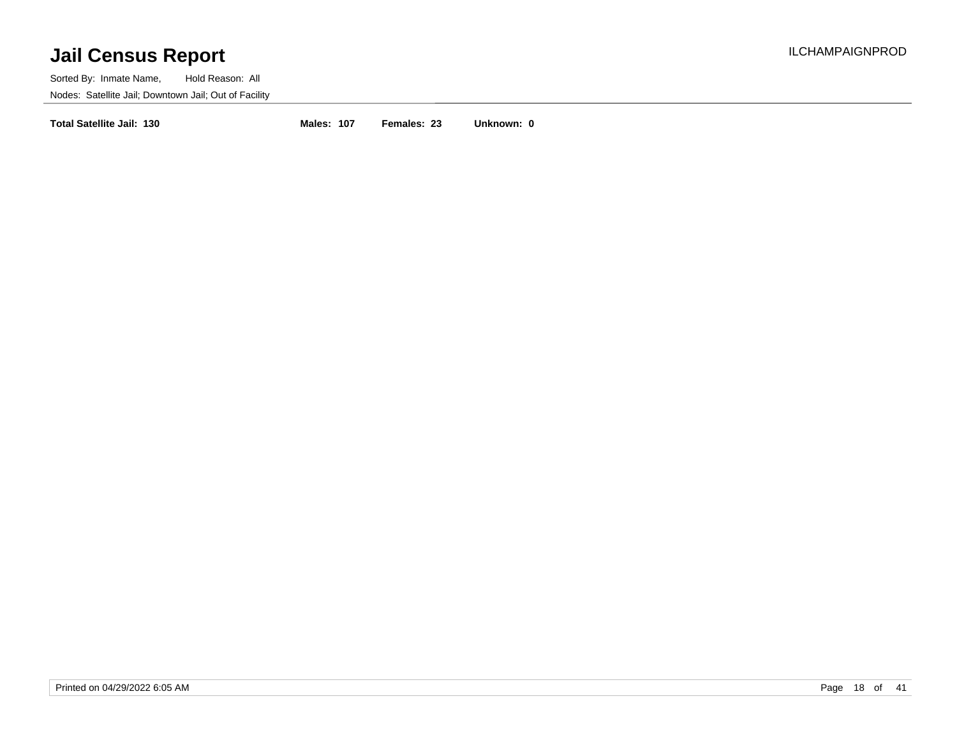Sorted By: Inmate Name, Hold Reason: All Nodes: Satellite Jail; Downtown Jail; Out of Facility

**Total Satellite Jail: 130 Males: 107 Females: 23 Unknown: 0**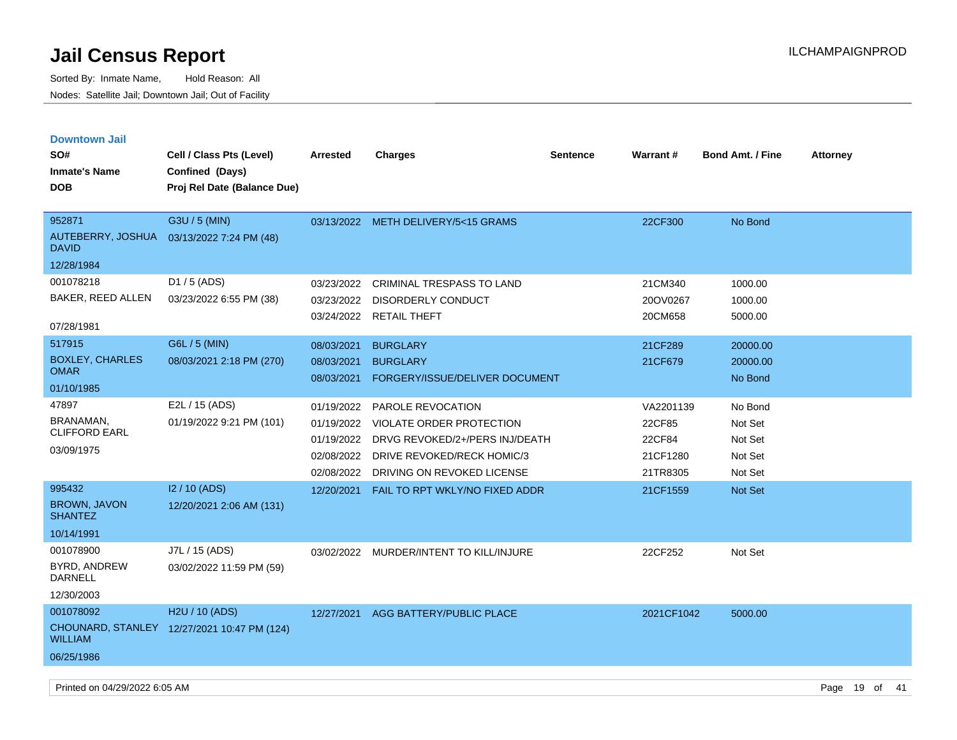Sorted By: Inmate Name, Hold Reason: All Nodes: Satellite Jail; Downtown Jail; Out of Facility

| <b>Downtown Jail</b><br>SO#<br><b>Inmate's Name</b><br><b>DOB</b> | Cell / Class Pts (Level)<br>Confined (Days)<br>Proj Rel Date (Balance Due) | <b>Arrested</b>                                                    | <b>Charges</b>                                                                                                                                     | <b>Sentence</b> | <b>Warrant#</b>                                       | <b>Bond Amt. / Fine</b>                             | <b>Attorney</b> |
|-------------------------------------------------------------------|----------------------------------------------------------------------------|--------------------------------------------------------------------|----------------------------------------------------------------------------------------------------------------------------------------------------|-----------------|-------------------------------------------------------|-----------------------------------------------------|-----------------|
|                                                                   |                                                                            |                                                                    |                                                                                                                                                    |                 |                                                       |                                                     |                 |
| 952871<br>AUTEBERRY, JOSHUA<br><b>DAVID</b>                       | G3U / 5 (MIN)<br>03/13/2022 7:24 PM (48)                                   |                                                                    | 03/13/2022 METH DELIVERY/5<15 GRAMS                                                                                                                |                 | 22CF300                                               | No Bond                                             |                 |
| 12/28/1984                                                        |                                                                            |                                                                    |                                                                                                                                                    |                 |                                                       |                                                     |                 |
| 001078218<br>BAKER, REED ALLEN<br>07/28/1981                      | D1 / 5 (ADS)<br>03/23/2022 6:55 PM (38)                                    | 03/23/2022<br>03/23/2022<br>03/24/2022                             | CRIMINAL TRESPASS TO LAND<br>DISORDERLY CONDUCT<br><b>RETAIL THEFT</b>                                                                             |                 | 21CM340<br>20OV0267<br>20CM658                        | 1000.00<br>1000.00<br>5000.00                       |                 |
| 517915                                                            | G6L / 5 (MIN)                                                              | 08/03/2021                                                         | <b>BURGLARY</b>                                                                                                                                    |                 | 21CF289                                               | 20000.00                                            |                 |
| <b>BOXLEY, CHARLES</b><br><b>OMAR</b>                             | 08/03/2021 2:18 PM (270)                                                   | 08/03/2021<br>08/03/2021                                           | <b>BURGLARY</b><br>FORGERY/ISSUE/DELIVER DOCUMENT                                                                                                  |                 | 21CF679                                               | 20000.00<br>No Bond                                 |                 |
| 01/10/1985                                                        |                                                                            |                                                                    |                                                                                                                                                    |                 |                                                       |                                                     |                 |
| 47897<br>BRANAMAN,<br><b>CLIFFORD EARL</b><br>03/09/1975          | E2L / 15 (ADS)<br>01/19/2022 9:21 PM (101)                                 | 01/19/2022<br>01/19/2022<br>01/19/2022<br>02/08/2022<br>02/08/2022 | PAROLE REVOCATION<br><b>VIOLATE ORDER PROTECTION</b><br>DRVG REVOKED/2+/PERS INJ/DEATH<br>DRIVE REVOKED/RECK HOMIC/3<br>DRIVING ON REVOKED LICENSE |                 | VA2201139<br>22CF85<br>22CF84<br>21CF1280<br>21TR8305 | No Bond<br>Not Set<br>Not Set<br>Not Set<br>Not Set |                 |
| 995432<br><b>BROWN, JAVON</b><br><b>SHANTEZ</b><br>10/14/1991     | I2 / 10 (ADS)<br>12/20/2021 2:06 AM (131)                                  | 12/20/2021                                                         | FAIL TO RPT WKLY/NO FIXED ADDR                                                                                                                     |                 | 21CF1559                                              | <b>Not Set</b>                                      |                 |
| 001078900<br>BYRD, ANDREW<br><b>DARNELL</b><br>12/30/2003         | J7L / 15 (ADS)<br>03/02/2022 11:59 PM (59)                                 | 03/02/2022                                                         | MURDER/INTENT TO KILL/INJURE                                                                                                                       |                 | 22CF252                                               | Not Set                                             |                 |
| 001078092<br><b>WILLIAM</b><br>06/25/1986                         | H2U / 10 (ADS)<br>CHOUNARD, STANLEY 12/27/2021 10:47 PM (124)              | 12/27/2021                                                         | AGG BATTERY/PUBLIC PLACE                                                                                                                           |                 | 2021CF1042                                            | 5000.00                                             |                 |

Printed on 04/29/2022 6:05 AM Page 19 of 41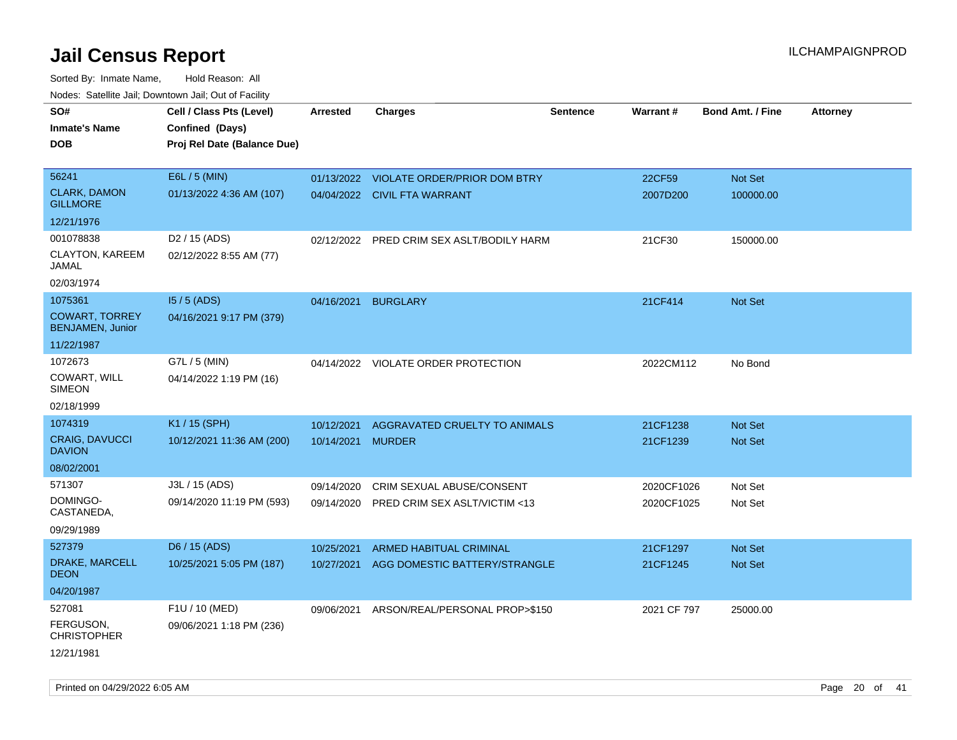Sorted By: Inmate Name, Hold Reason: All Nodes: Satellite Jail; Downtown Jail; Out of Facility

| SO#                                              | Cell / Class Pts (Level)    | <b>Arrested</b> | <b>Charges</b>                            | Sentence | Warrant#    | <b>Bond Amt. / Fine</b> | <b>Attorney</b> |
|--------------------------------------------------|-----------------------------|-----------------|-------------------------------------------|----------|-------------|-------------------------|-----------------|
| <b>Inmate's Name</b>                             | Confined (Days)             |                 |                                           |          |             |                         |                 |
| <b>DOB</b>                                       | Proj Rel Date (Balance Due) |                 |                                           |          |             |                         |                 |
| 56241                                            | E6L / 5 (MIN)               |                 | 01/13/2022 VIOLATE ORDER/PRIOR DOM BTRY   |          | 22CF59      | Not Set                 |                 |
| <b>CLARK, DAMON</b>                              | 01/13/2022 4:36 AM (107)    |                 |                                           |          |             |                         |                 |
| <b>GILLMORE</b>                                  |                             |                 | 04/04/2022 CIVIL FTA WARRANT              |          | 2007D200    | 100000.00               |                 |
| 12/21/1976                                       |                             |                 |                                           |          |             |                         |                 |
| 001078838                                        | D <sub>2</sub> / 15 (ADS)   |                 | 02/12/2022 PRED CRIM SEX ASLT/BODILY HARM |          | 21CF30      | 150000.00               |                 |
| CLAYTON, KAREEM<br>JAMAL                         | 02/12/2022 8:55 AM (77)     |                 |                                           |          |             |                         |                 |
| 02/03/1974                                       |                             |                 |                                           |          |             |                         |                 |
| 1075361                                          | $15/5$ (ADS)                | 04/16/2021      | <b>BURGLARY</b>                           |          | 21CF414     | <b>Not Set</b>          |                 |
| <b>COWART, TORREY</b><br><b>BENJAMEN, Junior</b> | 04/16/2021 9:17 PM (379)    |                 |                                           |          |             |                         |                 |
| 11/22/1987                                       |                             |                 |                                           |          |             |                         |                 |
| 1072673                                          | G7L / 5 (MIN)               |                 | 04/14/2022 VIOLATE ORDER PROTECTION       |          | 2022CM112   | No Bond                 |                 |
| COWART, WILL<br><b>SIMEON</b>                    | 04/14/2022 1:19 PM (16)     |                 |                                           |          |             |                         |                 |
| 02/18/1999                                       |                             |                 |                                           |          |             |                         |                 |
| 1074319                                          | K1 / 15 (SPH)               | 10/12/2021      | AGGRAVATED CRUELTY TO ANIMALS             |          | 21CF1238    | <b>Not Set</b>          |                 |
| CRAIG, DAVUCCI<br><b>DAVION</b>                  | 10/12/2021 11:36 AM (200)   | 10/14/2021      | <b>MURDER</b>                             |          | 21CF1239    | Not Set                 |                 |
| 08/02/2001                                       |                             |                 |                                           |          |             |                         |                 |
| 571307                                           | J3L / 15 (ADS)              | 09/14/2020      | CRIM SEXUAL ABUSE/CONSENT                 |          | 2020CF1026  | Not Set                 |                 |
| DOMINGO-<br>CASTANEDA,                           | 09/14/2020 11:19 PM (593)   | 09/14/2020      | PRED CRIM SEX ASLT/VICTIM <13             |          | 2020CF1025  | Not Set                 |                 |
| 09/29/1989                                       |                             |                 |                                           |          |             |                         |                 |
| 527379                                           | D6 / 15 (ADS)               | 10/25/2021      | <b>ARMED HABITUAL CRIMINAL</b>            |          | 21CF1297    | <b>Not Set</b>          |                 |
| DRAKE, MARCELL<br><b>DEON</b>                    | 10/25/2021 5:05 PM (187)    | 10/27/2021      | AGG DOMESTIC BATTERY/STRANGLE             |          | 21CF1245    | <b>Not Set</b>          |                 |
| 04/20/1987                                       |                             |                 |                                           |          |             |                         |                 |
| 527081                                           | F1U / 10 (MED)              | 09/06/2021      | ARSON/REAL/PERSONAL PROP>\$150            |          | 2021 CF 797 | 25000.00                |                 |
| FERGUSON,<br><b>CHRISTOPHER</b>                  | 09/06/2021 1:18 PM (236)    |                 |                                           |          |             |                         |                 |
| 12/21/1981                                       |                             |                 |                                           |          |             |                         |                 |

Printed on 04/29/2022 6:05 AM Page 20 of 41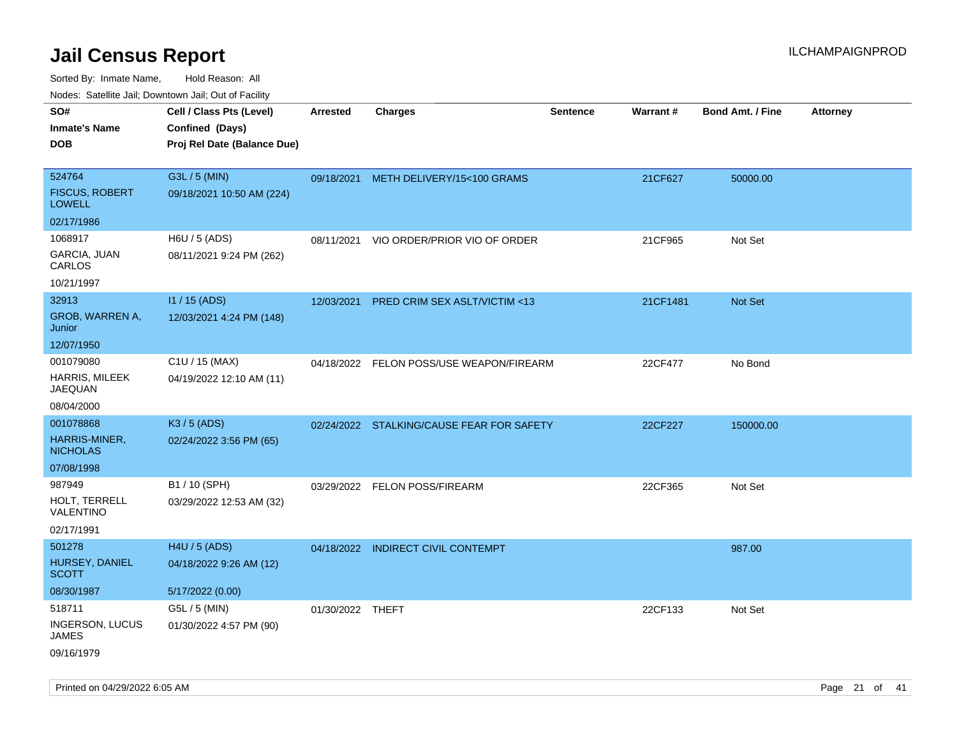Sorted By: Inmate Name, Hold Reason: All Nodes: Satellite Jail; Downtown Jail; Out of Facility

| Nudes. Satellite Jali, Downtown Jali, Out of Facility |                             |                  |                                           |                 |                 |                         |                 |
|-------------------------------------------------------|-----------------------------|------------------|-------------------------------------------|-----------------|-----------------|-------------------------|-----------------|
| SO#                                                   | Cell / Class Pts (Level)    | Arrested         | <b>Charges</b>                            | <b>Sentence</b> | <b>Warrant#</b> | <b>Bond Amt. / Fine</b> | <b>Attorney</b> |
| <b>Inmate's Name</b>                                  | Confined (Days)             |                  |                                           |                 |                 |                         |                 |
| <b>DOB</b>                                            | Proj Rel Date (Balance Due) |                  |                                           |                 |                 |                         |                 |
|                                                       |                             |                  |                                           |                 |                 |                         |                 |
| 524764                                                | G3L / 5 (MIN)               |                  | 09/18/2021 METH DELIVERY/15<100 GRAMS     |                 | 21CF627         | 50000.00                |                 |
| <b>FISCUS, ROBERT</b><br>LOWELL                       | 09/18/2021 10:50 AM (224)   |                  |                                           |                 |                 |                         |                 |
| 02/17/1986                                            |                             |                  |                                           |                 |                 |                         |                 |
| 1068917                                               | H6U / 5 (ADS)               | 08/11/2021       | VIO ORDER/PRIOR VIO OF ORDER              |                 | 21CF965         | Not Set                 |                 |
| GARCIA, JUAN<br>CARLOS                                | 08/11/2021 9:24 PM (262)    |                  |                                           |                 |                 |                         |                 |
| 10/21/1997                                            |                             |                  |                                           |                 |                 |                         |                 |
| 32913                                                 | $11/15$ (ADS)               |                  | 12/03/2021 PRED CRIM SEX ASLT/VICTIM <13  |                 | 21CF1481        | <b>Not Set</b>          |                 |
| GROB, WARREN A,<br>Junior                             | 12/03/2021 4:24 PM (148)    |                  |                                           |                 |                 |                         |                 |
| 12/07/1950                                            |                             |                  |                                           |                 |                 |                         |                 |
| 001079080                                             | C1U / 15 (MAX)              |                  | 04/18/2022 FELON POSS/USE WEAPON/FIREARM  |                 | 22CF477         | No Bond                 |                 |
| <b>HARRIS, MILEEK</b><br>JAEQUAN                      | 04/19/2022 12:10 AM (11)    |                  |                                           |                 |                 |                         |                 |
| 08/04/2000                                            |                             |                  |                                           |                 |                 |                         |                 |
| 001078868                                             | $K3/5$ (ADS)                |                  | 02/24/2022 STALKING/CAUSE FEAR FOR SAFETY |                 | 22CF227         | 150000.00               |                 |
| HARRIS-MINER,<br><b>NICHOLAS</b>                      | 02/24/2022 3:56 PM (65)     |                  |                                           |                 |                 |                         |                 |
| 07/08/1998                                            |                             |                  |                                           |                 |                 |                         |                 |
| 987949                                                | B1 / 10 (SPH)               |                  | 03/29/2022 FELON POSS/FIREARM             |                 | 22CF365         | Not Set                 |                 |
| HOLT, TERRELL<br>VALENTINO                            | 03/29/2022 12:53 AM (32)    |                  |                                           |                 |                 |                         |                 |
| 02/17/1991                                            |                             |                  |                                           |                 |                 |                         |                 |
| 501278                                                | H4U / 5 (ADS)               |                  | 04/18/2022 INDIRECT CIVIL CONTEMPT        |                 |                 | 987.00                  |                 |
| HURSEY, DANIEL<br>SCOTT                               | 04/18/2022 9:26 AM (12)     |                  |                                           |                 |                 |                         |                 |
| 08/30/1987                                            | 5/17/2022 (0.00)            |                  |                                           |                 |                 |                         |                 |
| 518711                                                | G5L / 5 (MIN)               | 01/30/2022 THEFT |                                           |                 | 22CF133         | Not Set                 |                 |
| <b>INGERSON, LUCUS</b><br>JAMES                       | 01/30/2022 4:57 PM (90)     |                  |                                           |                 |                 |                         |                 |
| 09/16/1979                                            |                             |                  |                                           |                 |                 |                         |                 |

Printed on 04/29/2022 6:05 AM Page 21 of 41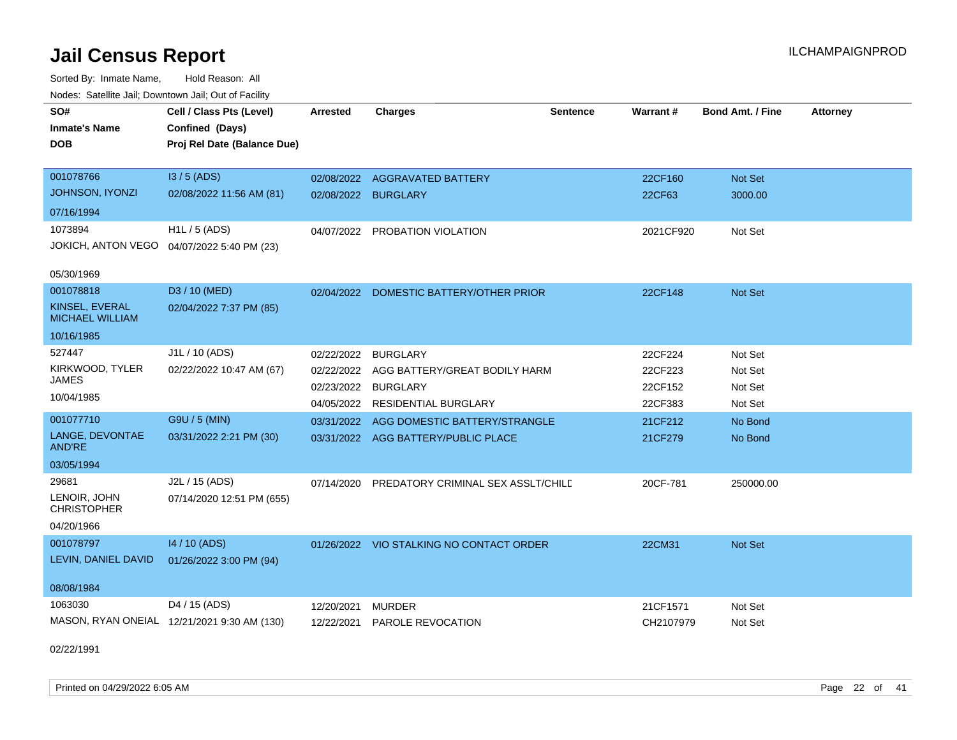Sorted By: Inmate Name, Hold Reason: All Nodes: Satellite Jail; Downtown Jail; Out of Facility

| SO#                                      | Cell / Class Pts (Level)                    | <b>Arrested</b>     | <b>Charges</b>                           | <b>Sentence</b> | Warrant#  | <b>Bond Amt. / Fine</b> | <b>Attorney</b> |
|------------------------------------------|---------------------------------------------|---------------------|------------------------------------------|-----------------|-----------|-------------------------|-----------------|
| <b>Inmate's Name</b>                     | Confined (Days)                             |                     |                                          |                 |           |                         |                 |
| <b>DOB</b>                               | Proj Rel Date (Balance Due)                 |                     |                                          |                 |           |                         |                 |
|                                          |                                             |                     |                                          |                 |           |                         |                 |
| 001078766                                | I3 / 5 (ADS)                                | 02/08/2022          | <b>AGGRAVATED BATTERY</b>                |                 | 22CF160   | <b>Not Set</b>          |                 |
| <b>JOHNSON, IYONZI</b>                   | 02/08/2022 11:56 AM (81)                    | 02/08/2022 BURGLARY |                                          |                 | 22CF63    | 3000.00                 |                 |
| 07/16/1994                               |                                             |                     |                                          |                 |           |                         |                 |
| 1073894                                  | $H1L / 5$ (ADS)                             | 04/07/2022          | PROBATION VIOLATION                      |                 | 2021CF920 | Not Set                 |                 |
| <b>JOKICH, ANTON VEGO</b>                | 04/07/2022 5:40 PM (23)                     |                     |                                          |                 |           |                         |                 |
| 05/30/1969                               |                                             |                     |                                          |                 |           |                         |                 |
| 001078818                                | D3 / 10 (MED)                               | 02/04/2022          | DOMESTIC BATTERY/OTHER PRIOR             |                 | 22CF148   | Not Set                 |                 |
| KINSEL, EVERAL<br><b>MICHAEL WILLIAM</b> | 02/04/2022 7:37 PM (85)                     |                     |                                          |                 |           |                         |                 |
| 10/16/1985                               |                                             |                     |                                          |                 |           |                         |                 |
| 527447                                   | J1L / 10 (ADS)                              | 02/22/2022          | <b>BURGLARY</b>                          |                 | 22CF224   | Not Set                 |                 |
| KIRKWOOD, TYLER                          | 02/22/2022 10:47 AM (67)                    | 02/22/2022          | AGG BATTERY/GREAT BODILY HARM            |                 | 22CF223   | Not Set                 |                 |
| <b>JAMES</b>                             |                                             | 02/23/2022          | <b>BURGLARY</b>                          |                 | 22CF152   | Not Set                 |                 |
| 10/04/1985                               |                                             | 04/05/2022          | <b>RESIDENTIAL BURGLARY</b>              |                 | 22CF383   | Not Set                 |                 |
| 001077710                                | G9U / 5 (MIN)                               | 03/31/2022          | AGG DOMESTIC BATTERY/STRANGLE            |                 | 21CF212   | No Bond                 |                 |
| LANGE, DEVONTAE<br><b>AND'RE</b>         | 03/31/2022 2:21 PM (30)                     |                     | 03/31/2022 AGG BATTERY/PUBLIC PLACE      |                 | 21CF279   | No Bond                 |                 |
| 03/05/1994                               |                                             |                     |                                          |                 |           |                         |                 |
| 29681                                    | J2L / 15 (ADS)                              | 07/14/2020          | PREDATORY CRIMINAL SEX ASSLT/CHILD       |                 | 20CF-781  | 250000.00               |                 |
| LENOIR, JOHN<br><b>CHRISTOPHER</b>       | 07/14/2020 12:51 PM (655)                   |                     |                                          |                 |           |                         |                 |
| 04/20/1966                               |                                             |                     |                                          |                 |           |                         |                 |
| 001078797                                | 14 / 10 (ADS)                               |                     | 01/26/2022 VIO STALKING NO CONTACT ORDER |                 | 22CM31    | Not Set                 |                 |
| LEVIN, DANIEL DAVID                      | 01/26/2022 3:00 PM (94)                     |                     |                                          |                 |           |                         |                 |
| 08/08/1984                               |                                             |                     |                                          |                 |           |                         |                 |
| 1063030                                  | D4 / 15 (ADS)                               | 12/20/2021          | <b>MURDER</b>                            |                 | 21CF1571  | Not Set                 |                 |
|                                          | MASON, RYAN ONEIAL 12/21/2021 9:30 AM (130) | 12/22/2021          | PAROLE REVOCATION                        |                 | CH2107979 | Not Set                 |                 |

02/22/1991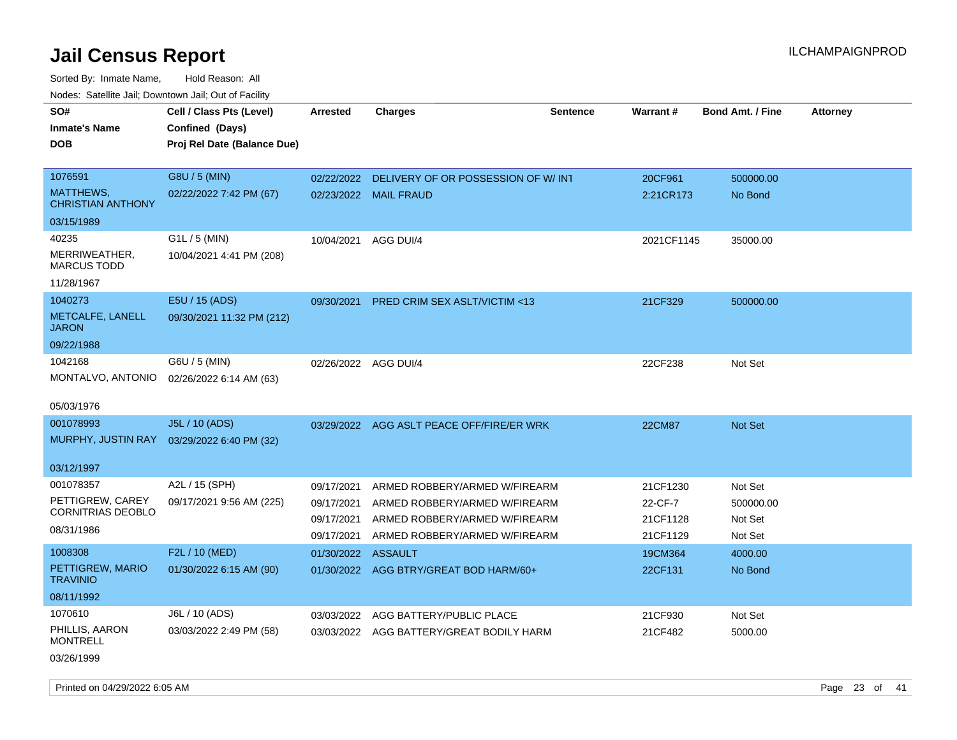Sorted By: Inmate Name, Hold Reason: All Nodes: Satellite Jail; Downtown Jail; Out of Facility

| roaco. Catolino cali, Domntonn cali, Out of Facility |                             |                          |                                                                |                 |                 |                      |                 |
|------------------------------------------------------|-----------------------------|--------------------------|----------------------------------------------------------------|-----------------|-----------------|----------------------|-----------------|
| SO#                                                  | Cell / Class Pts (Level)    | <b>Arrested</b>          | <b>Charges</b>                                                 | <b>Sentence</b> | <b>Warrant#</b> | Bond Amt. / Fine     | <b>Attorney</b> |
| <b>Inmate's Name</b>                                 | Confined (Days)             |                          |                                                                |                 |                 |                      |                 |
| <b>DOB</b>                                           | Proj Rel Date (Balance Due) |                          |                                                                |                 |                 |                      |                 |
|                                                      |                             |                          |                                                                |                 |                 |                      |                 |
| 1076591                                              | G8U / 5 (MIN)               | 02/22/2022               | DELIVERY OF OR POSSESSION OF W/ INT                            |                 | 20CF961         | 500000.00            |                 |
| MATTHEWS,<br><b>CHRISTIAN ANTHONY</b>                | 02/22/2022 7:42 PM (67)     |                          | 02/23/2022 MAIL FRAUD                                          |                 | 2:21CR173       | No Bond              |                 |
| 03/15/1989                                           |                             |                          |                                                                |                 |                 |                      |                 |
| 40235                                                | G1L / 5 (MIN)               | 10/04/2021               | AGG DUI/4                                                      |                 | 2021CF1145      | 35000.00             |                 |
| MERRIWEATHER,<br><b>MARCUS TODD</b>                  | 10/04/2021 4:41 PM (208)    |                          |                                                                |                 |                 |                      |                 |
| 11/28/1967                                           |                             |                          |                                                                |                 |                 |                      |                 |
| 1040273                                              | E5U / 15 (ADS)              | 09/30/2021               | PRED CRIM SEX ASLT/VICTIM <13                                  |                 | 21CF329         | 500000.00            |                 |
| METCALFE, LANELL<br><b>JARON</b>                     | 09/30/2021 11:32 PM (212)   |                          |                                                                |                 |                 |                      |                 |
| 09/22/1988                                           |                             |                          |                                                                |                 |                 |                      |                 |
| 1042168                                              | G6U / 5 (MIN)               | 02/26/2022 AGG DUI/4     |                                                                |                 | 22CF238         | Not Set              |                 |
| MONTALVO, ANTONIO                                    | 02/26/2022 6:14 AM (63)     |                          |                                                                |                 |                 |                      |                 |
|                                                      |                             |                          |                                                                |                 |                 |                      |                 |
| 05/03/1976                                           |                             |                          |                                                                |                 |                 |                      |                 |
| 001078993                                            | J5L / 10 (ADS)              |                          | 03/29/2022 AGG ASLT PEACE OFF/FIRE/ER WRK                      |                 | <b>22CM87</b>   | <b>Not Set</b>       |                 |
| MURPHY, JUSTIN RAY                                   | 03/29/2022 6:40 PM (32)     |                          |                                                                |                 |                 |                      |                 |
| 03/12/1997                                           |                             |                          |                                                                |                 |                 |                      |                 |
| 001078357                                            | A2L / 15 (SPH)              |                          |                                                                |                 | 21CF1230        |                      |                 |
| PETTIGREW, CAREY                                     | 09/17/2021 9:56 AM (225)    | 09/17/2021<br>09/17/2021 | ARMED ROBBERY/ARMED W/FIREARM<br>ARMED ROBBERY/ARMED W/FIREARM |                 | 22-CF-7         | Not Set<br>500000.00 |                 |
| <b>CORNITRIAS DEOBLO</b>                             |                             | 09/17/2021               | ARMED ROBBERY/ARMED W/FIREARM                                  |                 | 21CF1128        | Not Set              |                 |
| 08/31/1986                                           |                             | 09/17/2021               | ARMED ROBBERY/ARMED W/FIREARM                                  |                 | 21CF1129        | Not Set              |                 |
| 1008308                                              | F2L / 10 (MED)              |                          |                                                                |                 |                 |                      |                 |
| PETTIGREW, MARIO                                     |                             | 01/30/2022 ASSAULT       |                                                                |                 | 19CM364         | 4000.00              |                 |
| <b>TRAVINIO</b>                                      | 01/30/2022 6:15 AM (90)     |                          | 01/30/2022 AGG BTRY/GREAT BOD HARM/60+                         |                 | 22CF131         | No Bond              |                 |
| 08/11/1992                                           |                             |                          |                                                                |                 |                 |                      |                 |
| 1070610                                              | J6L / 10 (ADS)              | 03/03/2022               | AGG BATTERY/PUBLIC PLACE                                       |                 | 21CF930         | Not Set              |                 |
| PHILLIS, AARON<br><b>MONTRELL</b>                    | 03/03/2022 2:49 PM (58)     |                          | 03/03/2022 AGG BATTERY/GREAT BODILY HARM                       |                 | 21CF482         | 5000.00              |                 |
| 03/26/1999                                           |                             |                          |                                                                |                 |                 |                      |                 |

Printed on 04/29/2022 6:05 AM Page 23 of 41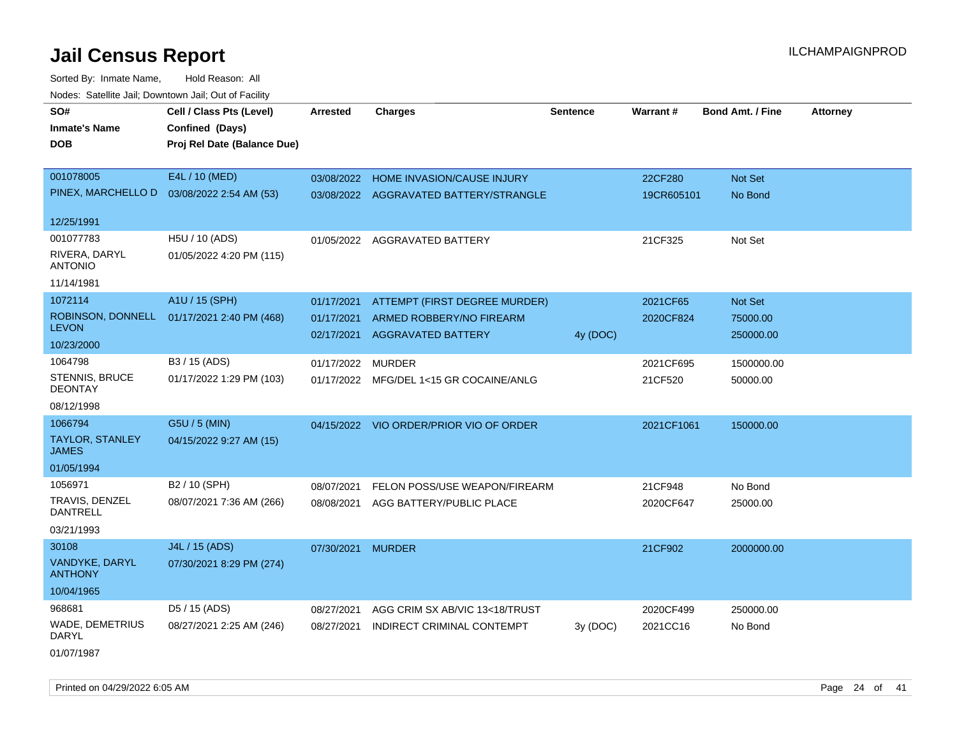Sorted By: Inmate Name, Hold Reason: All Nodes: Satellite Jail; Downtown Jail; Out of Facility

| SO#<br><b>Inmate's Name</b><br><b>DOB</b> | Cell / Class Pts (Level)<br>Confined (Days)<br>Proj Rel Date (Balance Due) | <b>Arrested</b>          | <b>Charges</b>                                        | <b>Sentence</b> | <b>Warrant#</b> | <b>Bond Amt. / Fine</b> | <b>Attorney</b> |
|-------------------------------------------|----------------------------------------------------------------------------|--------------------------|-------------------------------------------------------|-----------------|-----------------|-------------------------|-----------------|
|                                           |                                                                            |                          |                                                       |                 |                 |                         |                 |
| 001078005                                 | E4L / 10 (MED)                                                             | 03/08/2022               | HOME INVASION/CAUSE INJURY                            |                 | 22CF280         | <b>Not Set</b>          |                 |
|                                           | PINEX, MARCHELLO D  03/08/2022 2:54 AM (53)                                |                          | 03/08/2022 AGGRAVATED BATTERY/STRANGLE                |                 | 19CR605101      | No Bond                 |                 |
| 12/25/1991                                |                                                                            |                          |                                                       |                 |                 |                         |                 |
| 001077783                                 | H5U / 10 (ADS)                                                             |                          | 01/05/2022 AGGRAVATED BATTERY                         |                 | 21CF325         | Not Set                 |                 |
| RIVERA, DARYL<br><b>ANTONIO</b>           | 01/05/2022 4:20 PM (115)                                                   |                          |                                                       |                 |                 |                         |                 |
| 11/14/1981                                |                                                                            |                          |                                                       |                 |                 |                         |                 |
| 1072114                                   | A1U / 15 (SPH)                                                             | 01/17/2021               | ATTEMPT (FIRST DEGREE MURDER)                         |                 | 2021CF65        | <b>Not Set</b>          |                 |
| ROBINSON, DONNELL<br><b>LEVON</b>         | 01/17/2021 2:40 PM (468)                                                   | 01/17/2021<br>02/17/2021 | ARMED ROBBERY/NO FIREARM<br><b>AGGRAVATED BATTERY</b> | 4y (DOC)        | 2020CF824       | 75000.00<br>250000.00   |                 |
| 10/23/2000                                |                                                                            |                          |                                                       |                 |                 |                         |                 |
| 1064798                                   | B3 / 15 (ADS)                                                              | 01/17/2022               | <b>MURDER</b>                                         |                 | 2021CF695       | 1500000.00              |                 |
| <b>STENNIS, BRUCE</b><br><b>DEONTAY</b>   | 01/17/2022 1:29 PM (103)                                                   |                          | 01/17/2022 MFG/DEL 1<15 GR COCAINE/ANLG               |                 | 21CF520         | 50000.00                |                 |
| 08/12/1998                                |                                                                            |                          |                                                       |                 |                 |                         |                 |
| 1066794                                   | G5U / 5 (MIN)                                                              |                          | 04/15/2022 VIO ORDER/PRIOR VIO OF ORDER               |                 | 2021CF1061      | 150000.00               |                 |
| <b>TAYLOR, STANLEY</b><br><b>JAMES</b>    | 04/15/2022 9:27 AM (15)                                                    |                          |                                                       |                 |                 |                         |                 |
| 01/05/1994                                |                                                                            |                          |                                                       |                 |                 |                         |                 |
| 1056971                                   | B2 / 10 (SPH)                                                              | 08/07/2021               | FELON POSS/USE WEAPON/FIREARM                         |                 | 21CF948         | No Bond                 |                 |
| TRAVIS, DENZEL<br>DANTRELL                | 08/07/2021 7:36 AM (266)                                                   |                          | 08/08/2021 AGG BATTERY/PUBLIC PLACE                   |                 | 2020CF647       | 25000.00                |                 |
| 03/21/1993                                |                                                                            |                          |                                                       |                 |                 |                         |                 |
| 30108                                     | J4L / 15 (ADS)                                                             | 07/30/2021               | <b>MURDER</b>                                         |                 | 21CF902         | 2000000.00              |                 |
| VANDYKE, DARYL<br><b>ANTHONY</b>          | 07/30/2021 8:29 PM (274)                                                   |                          |                                                       |                 |                 |                         |                 |
| 10/04/1965                                |                                                                            |                          |                                                       |                 |                 |                         |                 |
| 968681                                    | D5 / 15 (ADS)                                                              | 08/27/2021               | AGG CRIM SX AB/VIC 13<18/TRUST                        |                 | 2020CF499       | 250000.00               |                 |
| WADE, DEMETRIUS<br>DARYL                  | 08/27/2021 2:25 AM (246)                                                   | 08/27/2021               | INDIRECT CRIMINAL CONTEMPT                            | 3y (DOC)        | 2021CC16        | No Bond                 |                 |
| $      -$                                 |                                                                            |                          |                                                       |                 |                 |                         |                 |

01/07/1987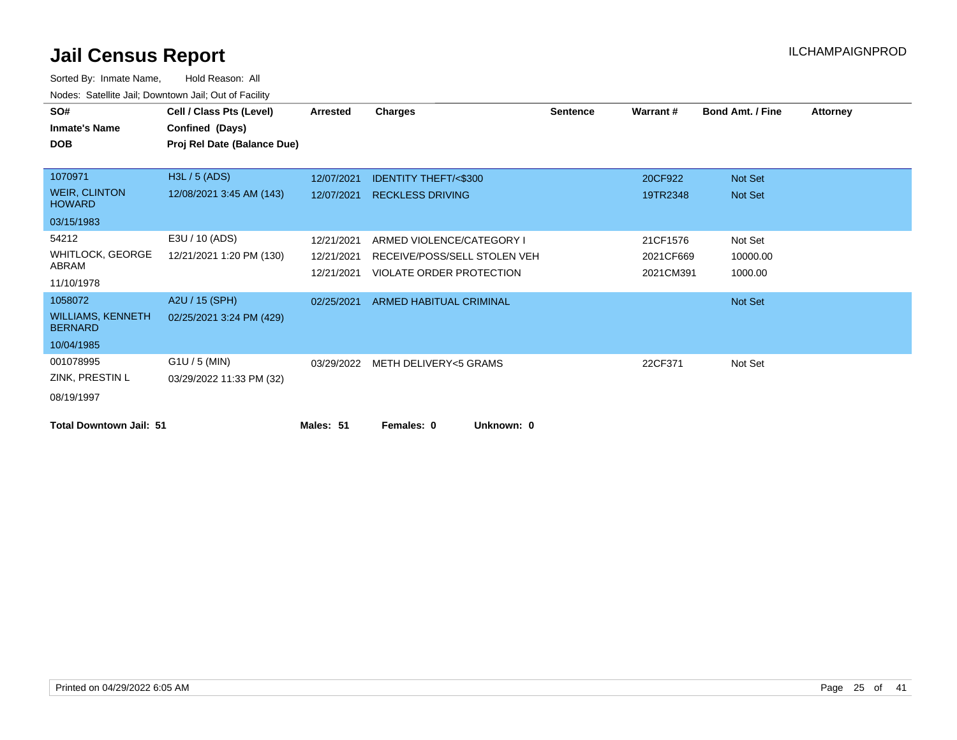| SO#                                        | Cell / Class Pts (Level)    | Arrested   | <b>Charges</b>                   | <b>Sentence</b> | Warrant#  | <b>Bond Amt. / Fine</b> | <b>Attorney</b> |
|--------------------------------------------|-----------------------------|------------|----------------------------------|-----------------|-----------|-------------------------|-----------------|
| <b>Inmate's Name</b>                       | Confined (Days)             |            |                                  |                 |           |                         |                 |
| <b>DOB</b>                                 | Proj Rel Date (Balance Due) |            |                                  |                 |           |                         |                 |
|                                            |                             |            |                                  |                 |           |                         |                 |
| 1070971                                    | H3L / 5 (ADS)               | 12/07/2021 | <b>IDENTITY THEFT/&lt;\$300</b>  |                 | 20CF922   | Not Set                 |                 |
| <b>WEIR, CLINTON</b><br><b>HOWARD</b>      | 12/08/2021 3:45 AM (143)    | 12/07/2021 | <b>RECKLESS DRIVING</b>          |                 | 19TR2348  | Not Set                 |                 |
| 03/15/1983                                 |                             |            |                                  |                 |           |                         |                 |
| 54212                                      | E3U / 10 (ADS)              | 12/21/2021 | ARMED VIOLENCE/CATEGORY I        |                 | 21CF1576  | Not Set                 |                 |
| <b>WHITLOCK, GEORGE</b>                    | 12/21/2021 1:20 PM (130)    | 12/21/2021 | RECEIVE/POSS/SELL STOLEN VEH     |                 | 2021CF669 | 10000.00                |                 |
| ABRAM                                      |                             | 12/21/2021 | VIOLATE ORDER PROTECTION         |                 | 2021CM391 | 1000.00                 |                 |
| 11/10/1978                                 |                             |            |                                  |                 |           |                         |                 |
| 1058072                                    | A2U / 15 (SPH)              | 02/25/2021 | ARMED HABITUAL CRIMINAL          |                 |           | Not Set                 |                 |
| <b>WILLIAMS, KENNETH</b><br><b>BERNARD</b> | 02/25/2021 3:24 PM (429)    |            |                                  |                 |           |                         |                 |
| 10/04/1985                                 |                             |            |                                  |                 |           |                         |                 |
| 001078995                                  | $G1U / 5$ (MIN)             |            | 03/29/2022 METH DELIVERY<5 GRAMS |                 | 22CF371   | Not Set                 |                 |
| ZINK, PRESTIN L                            | 03/29/2022 11:33 PM (32)    |            |                                  |                 |           |                         |                 |
| 08/19/1997                                 |                             |            |                                  |                 |           |                         |                 |
| <b>Total Downtown Jail: 51</b>             |                             | Males: 51  | Unknown: 0<br>Females: 0         |                 |           |                         |                 |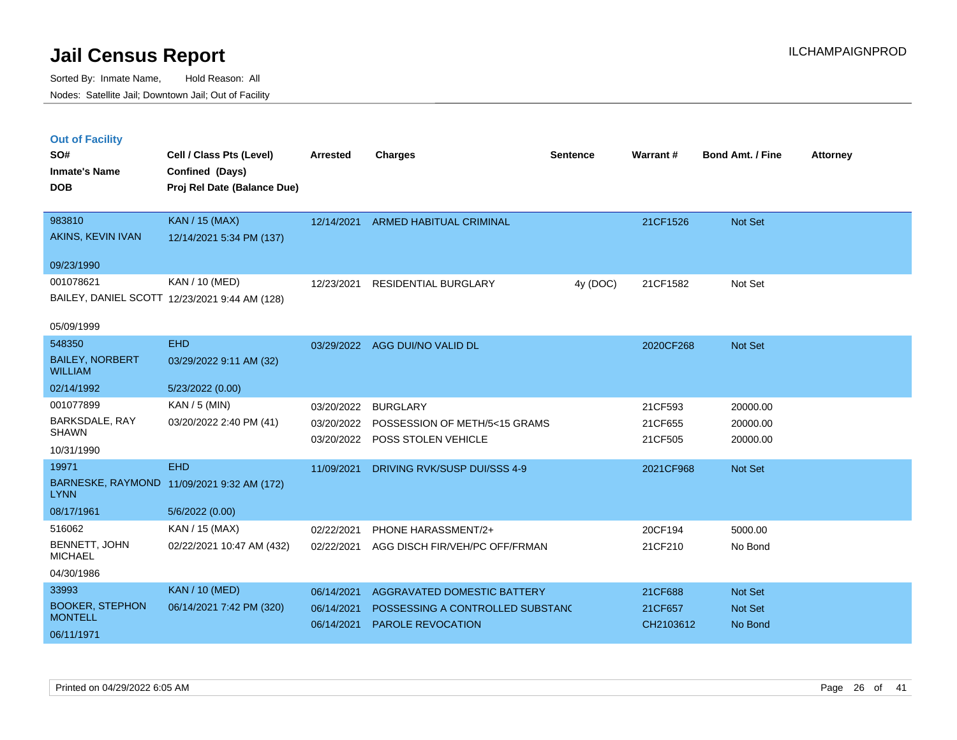|  | <b>Out of Facility</b> |  |
|--|------------------------|--|
|  |                        |  |
|  |                        |  |
|  |                        |  |

| SO#<br><b>Inmate's Name</b><br><b>DOB</b>                 | Cell / Class Pts (Level)<br>Confined (Days)<br>Proj Rel Date (Balance Due) | Arrested                 | <b>Charges</b>                                                                     | <b>Sentence</b> | Warrant#                      | <b>Bond Amt. / Fine</b>          | <b>Attorney</b> |
|-----------------------------------------------------------|----------------------------------------------------------------------------|--------------------------|------------------------------------------------------------------------------------|-----------------|-------------------------------|----------------------------------|-----------------|
| 983810<br>AKINS, KEVIN IVAN                               | <b>KAN / 15 (MAX)</b><br>12/14/2021 5:34 PM (137)                          | 12/14/2021               | <b>ARMED HABITUAL CRIMINAL</b>                                                     |                 | 21CF1526                      | Not Set                          |                 |
| 09/23/1990                                                |                                                                            |                          |                                                                                    |                 |                               |                                  |                 |
| 001078621                                                 | KAN / 10 (MED)<br>BAILEY, DANIEL SCOTT 12/23/2021 9:44 AM (128)            | 12/23/2021               | <b>RESIDENTIAL BURGLARY</b>                                                        | 4y (DOC)        | 21CF1582                      | Not Set                          |                 |
| 05/09/1999                                                |                                                                            |                          |                                                                                    |                 |                               |                                  |                 |
| 548350                                                    | <b>EHD</b>                                                                 | 03/29/2022               | AGG DUI/NO VALID DL                                                                |                 | 2020CF268                     | Not Set                          |                 |
| <b>BAILEY, NORBERT</b><br><b>WILLIAM</b>                  | 03/29/2022 9:11 AM (32)                                                    |                          |                                                                                    |                 |                               |                                  |                 |
| 02/14/1992                                                | 5/23/2022 (0.00)                                                           |                          |                                                                                    |                 |                               |                                  |                 |
| 001077899<br>BARKSDALE, RAY<br><b>SHAWN</b><br>10/31/1990 | KAN / 5 (MIN)<br>03/20/2022 2:40 PM (41)                                   | 03/20/2022<br>03/20/2022 | <b>BURGLARY</b><br>03/20/2022 POSSESSION OF METH/5<15 GRAMS<br>POSS STOLEN VEHICLE |                 | 21CF593<br>21CF655<br>21CF505 | 20000.00<br>20000.00<br>20000.00 |                 |
| 19971                                                     | <b>EHD</b>                                                                 | 11/09/2021               | DRIVING RVK/SUSP DUI/SSS 4-9                                                       |                 | 2021CF968                     | Not Set                          |                 |
| <b>LYNN</b>                                               | BARNESKE, RAYMOND 11/09/2021 9:32 AM (172)                                 |                          |                                                                                    |                 |                               |                                  |                 |
| 08/17/1961                                                | 5/6/2022 (0.00)                                                            |                          |                                                                                    |                 |                               |                                  |                 |
| 516062                                                    | KAN / 15 (MAX)                                                             | 02/22/2021               | <b>PHONE HARASSMENT/2+</b>                                                         |                 | 20CF194                       | 5000.00                          |                 |
| BENNETT, JOHN<br><b>MICHAEL</b>                           | 02/22/2021 10:47 AM (432)                                                  | 02/22/2021               | AGG DISCH FIR/VEH/PC OFF/FRMAN                                                     |                 | 21CF210                       | No Bond                          |                 |
| 04/30/1986                                                |                                                                            |                          |                                                                                    |                 |                               |                                  |                 |
| 33993                                                     | <b>KAN / 10 (MED)</b>                                                      | 06/14/2021               | AGGRAVATED DOMESTIC BATTERY                                                        |                 | 21CF688                       | Not Set                          |                 |
| <b>BOOKER, STEPHON</b><br><b>MONTELL</b>                  | 06/14/2021 7:42 PM (320)                                                   | 06/14/2021<br>06/14/2021 | POSSESSING A CONTROLLED SUBSTANC<br><b>PAROLE REVOCATION</b>                       |                 | 21CF657<br>CH2103612          | Not Set<br>No Bond               |                 |
| 06/11/1971                                                |                                                                            |                          |                                                                                    |                 |                               |                                  |                 |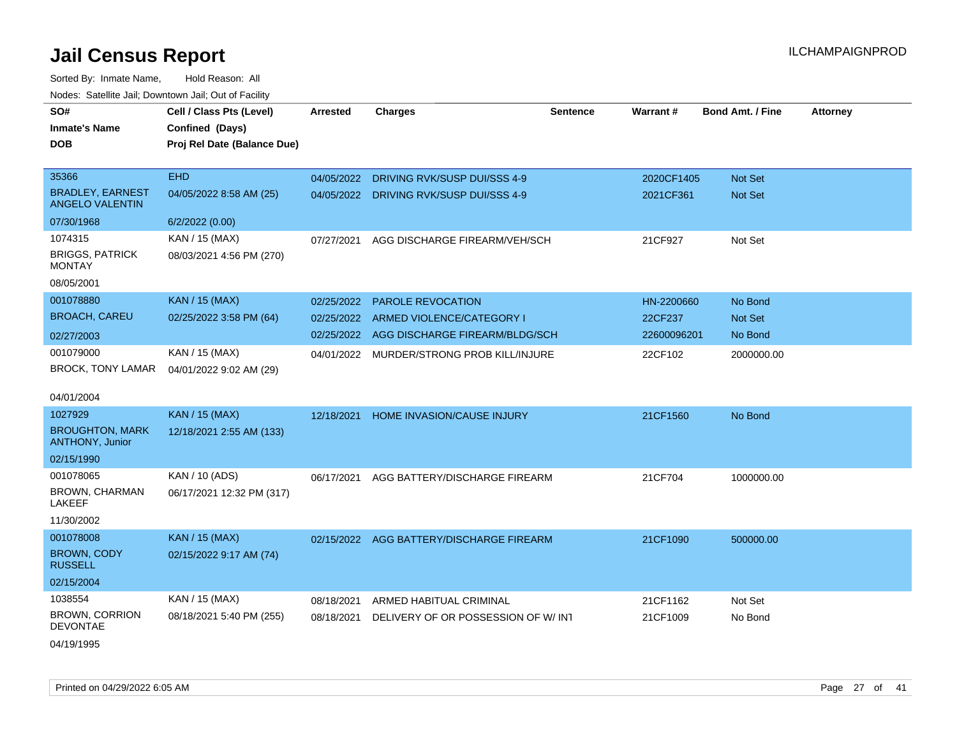| Noues. Sateme Jan, Downtown Jan, Out or Facility  |                             |                 |                                          |                 |                 |                         |                 |
|---------------------------------------------------|-----------------------------|-----------------|------------------------------------------|-----------------|-----------------|-------------------------|-----------------|
| SO#                                               | Cell / Class Pts (Level)    | <b>Arrested</b> | <b>Charges</b>                           | <b>Sentence</b> | <b>Warrant#</b> | <b>Bond Amt. / Fine</b> | <b>Attorney</b> |
| <b>Inmate's Name</b>                              | Confined (Days)             |                 |                                          |                 |                 |                         |                 |
| DOB                                               | Proj Rel Date (Balance Due) |                 |                                          |                 |                 |                         |                 |
|                                                   |                             |                 |                                          |                 |                 |                         |                 |
| 35366                                             | <b>EHD</b>                  | 04/05/2022      | DRIVING RVK/SUSP DUI/SSS 4-9             |                 | 2020CF1405      | Not Set                 |                 |
| <b>BRADLEY, EARNEST</b><br><b>ANGELO VALENTIN</b> | 04/05/2022 8:58 AM (25)     | 04/05/2022      | DRIVING RVK/SUSP DUI/SSS 4-9             |                 | 2021CF361       | Not Set                 |                 |
| 07/30/1968                                        | 6/2/2022 (0.00)             |                 |                                          |                 |                 |                         |                 |
| 1074315                                           | KAN / 15 (MAX)              | 07/27/2021      | AGG DISCHARGE FIREARM/VEH/SCH            |                 | 21CF927         | Not Set                 |                 |
| <b>BRIGGS, PATRICK</b><br>MONTAY                  | 08/03/2021 4:56 PM (270)    |                 |                                          |                 |                 |                         |                 |
| 08/05/2001                                        |                             |                 |                                          |                 |                 |                         |                 |
| 001078880                                         | <b>KAN / 15 (MAX)</b>       | 02/25/2022      | <b>PAROLE REVOCATION</b>                 |                 | HN-2200660      | No Bond                 |                 |
| <b>BROACH, CAREU</b>                              | 02/25/2022 3:58 PM (64)     | 02/25/2022      | ARMED VIOLENCE/CATEGORY I                |                 | 22CF237         | <b>Not Set</b>          |                 |
| 02/27/2003                                        |                             | 02/25/2022      | AGG DISCHARGE FIREARM/BLDG/SCH           |                 | 22600096201     | No Bond                 |                 |
| 001079000                                         | KAN / 15 (MAX)              | 04/01/2022      | MURDER/STRONG PROB KILL/INJURE           |                 | 22CF102         | 2000000.00              |                 |
| BROCK, TONY LAMAR                                 | 04/01/2022 9:02 AM (29)     |                 |                                          |                 |                 |                         |                 |
| 04/01/2004                                        |                             |                 |                                          |                 |                 |                         |                 |
| 1027929                                           | <b>KAN / 15 (MAX)</b>       | 12/18/2021      | HOME INVASION/CAUSE INJURY               |                 | 21CF1560        | No Bond                 |                 |
| <b>BROUGHTON, MARK</b><br><b>ANTHONY, Junior</b>  | 12/18/2021 2:55 AM (133)    |                 |                                          |                 |                 |                         |                 |
| 02/15/1990                                        |                             |                 |                                          |                 |                 |                         |                 |
| 001078065                                         | KAN / 10 (ADS)              | 06/17/2021      | AGG BATTERY/DISCHARGE FIREARM            |                 | 21CF704         | 1000000.00              |                 |
| BROWN, CHARMAN<br>LAKEEF                          | 06/17/2021 12:32 PM (317)   |                 |                                          |                 |                 |                         |                 |
| 11/30/2002                                        |                             |                 |                                          |                 |                 |                         |                 |
| 001078008                                         | <b>KAN / 15 (MAX)</b>       |                 | 02/15/2022 AGG BATTERY/DISCHARGE FIREARM |                 | 21CF1090        | 500000.00               |                 |
| BROWN, CODY<br><b>RUSSELL</b>                     | 02/15/2022 9:17 AM (74)     |                 |                                          |                 |                 |                         |                 |
| 02/15/2004                                        |                             |                 |                                          |                 |                 |                         |                 |
| 1038554                                           | KAN / 15 (MAX)              | 08/18/2021      | ARMED HABITUAL CRIMINAL                  |                 | 21CF1162        | Not Set                 |                 |
| BROWN, CORRION<br>DEVONTAE                        | 08/18/2021 5:40 PM (255)    | 08/18/2021      | DELIVERY OF OR POSSESSION OF W/INT       |                 | 21CF1009        | No Bond                 |                 |
| 04/19/1995                                        |                             |                 |                                          |                 |                 |                         |                 |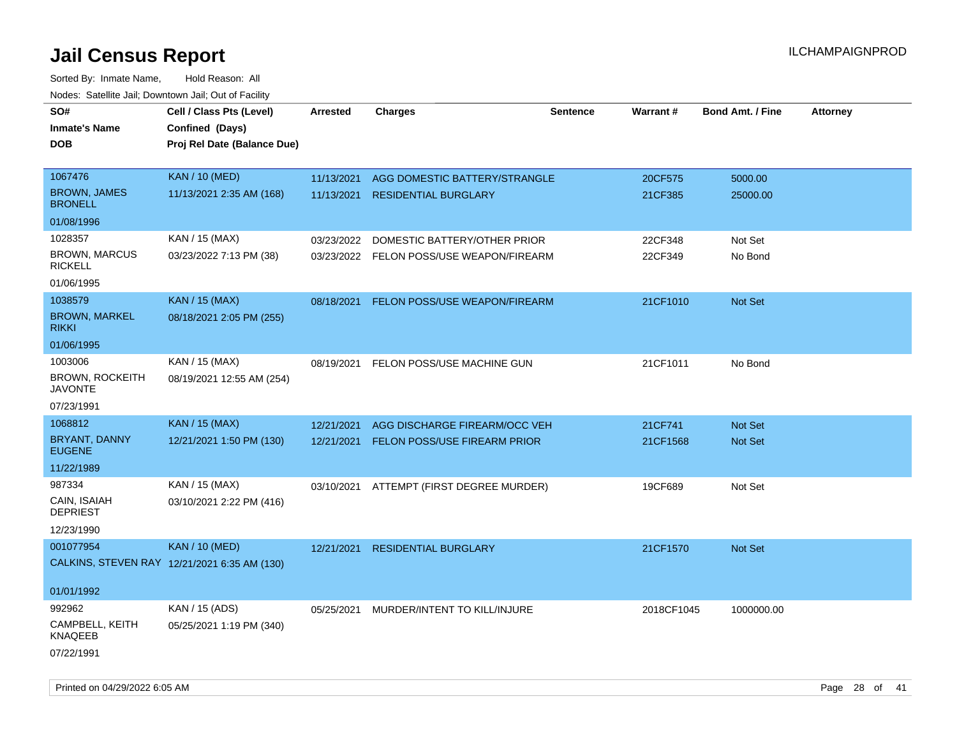| SO#<br><b>Inmate's Name</b>              | Cell / Class Pts (Level)<br>Confined (Days)  | Arrested   | <b>Charges</b>                           | <b>Sentence</b> | <b>Warrant#</b> | <b>Bond Amt. / Fine</b> | <b>Attorney</b> |
|------------------------------------------|----------------------------------------------|------------|------------------------------------------|-----------------|-----------------|-------------------------|-----------------|
| <b>DOB</b>                               | Proj Rel Date (Balance Due)                  |            |                                          |                 |                 |                         |                 |
| 1067476                                  | <b>KAN / 10 (MED)</b>                        | 11/13/2021 | AGG DOMESTIC BATTERY/STRANGLE            |                 | 20CF575         | 5000.00                 |                 |
| <b>BROWN, JAMES</b><br><b>BRONELL</b>    | 11/13/2021 2:35 AM (168)                     | 11/13/2021 | <b>RESIDENTIAL BURGLARY</b>              |                 | 21CF385         | 25000.00                |                 |
| 01/08/1996                               |                                              |            |                                          |                 |                 |                         |                 |
| 1028357                                  | KAN / 15 (MAX)                               | 03/23/2022 | DOMESTIC BATTERY/OTHER PRIOR             |                 | 22CF348         | Not Set                 |                 |
| <b>BROWN, MARCUS</b><br><b>RICKELL</b>   | 03/23/2022 7:13 PM (38)                      |            | 03/23/2022 FELON POSS/USE WEAPON/FIREARM |                 | 22CF349         | No Bond                 |                 |
| 01/06/1995                               |                                              |            |                                          |                 |                 |                         |                 |
| 1038579                                  | <b>KAN / 15 (MAX)</b>                        | 08/18/2021 | FELON POSS/USE WEAPON/FIREARM            |                 | 21CF1010        | Not Set                 |                 |
| <b>BROWN, MARKEL</b><br><b>RIKKI</b>     | 08/18/2021 2:05 PM (255)                     |            |                                          |                 |                 |                         |                 |
| 01/06/1995                               |                                              |            |                                          |                 |                 |                         |                 |
| 1003006                                  | KAN / 15 (MAX)                               | 08/19/2021 | FELON POSS/USE MACHINE GUN               |                 | 21CF1011        | No Bond                 |                 |
| <b>BROWN, ROCKEITH</b><br><b>JAVONTE</b> | 08/19/2021 12:55 AM (254)                    |            |                                          |                 |                 |                         |                 |
| 07/23/1991                               |                                              |            |                                          |                 |                 |                         |                 |
| 1068812                                  | <b>KAN / 15 (MAX)</b>                        | 12/21/2021 | AGG DISCHARGE FIREARM/OCC VEH            |                 | 21CF741         | <b>Not Set</b>          |                 |
| <b>BRYANT, DANNY</b><br><b>EUGENE</b>    | 12/21/2021 1:50 PM (130)                     | 12/21/2021 | <b>FELON POSS/USE FIREARM PRIOR</b>      |                 | 21CF1568        | Not Set                 |                 |
| 11/22/1989                               |                                              |            |                                          |                 |                 |                         |                 |
| 987334                                   | KAN / 15 (MAX)                               |            | 03/10/2021 ATTEMPT (FIRST DEGREE MURDER) |                 | 19CF689         | Not Set                 |                 |
| CAIN, ISAIAH<br><b>DEPRIEST</b>          | 03/10/2021 2:22 PM (416)                     |            |                                          |                 |                 |                         |                 |
| 12/23/1990                               |                                              |            |                                          |                 |                 |                         |                 |
| 001077954                                | <b>KAN / 10 (MED)</b>                        | 12/21/2021 | <b>RESIDENTIAL BURGLARY</b>              |                 | 21CF1570        | <b>Not Set</b>          |                 |
|                                          | CALKINS, STEVEN RAY 12/21/2021 6:35 AM (130) |            |                                          |                 |                 |                         |                 |
| 01/01/1992                               |                                              |            |                                          |                 |                 |                         |                 |
| 992962                                   | KAN / 15 (ADS)                               | 05/25/2021 | MURDER/INTENT TO KILL/INJURE             |                 | 2018CF1045      | 1000000.00              |                 |
| CAMPBELL, KEITH<br>KNAQEEB               | 05/25/2021 1:19 PM (340)                     |            |                                          |                 |                 |                         |                 |
| 07/22/1991                               |                                              |            |                                          |                 |                 |                         |                 |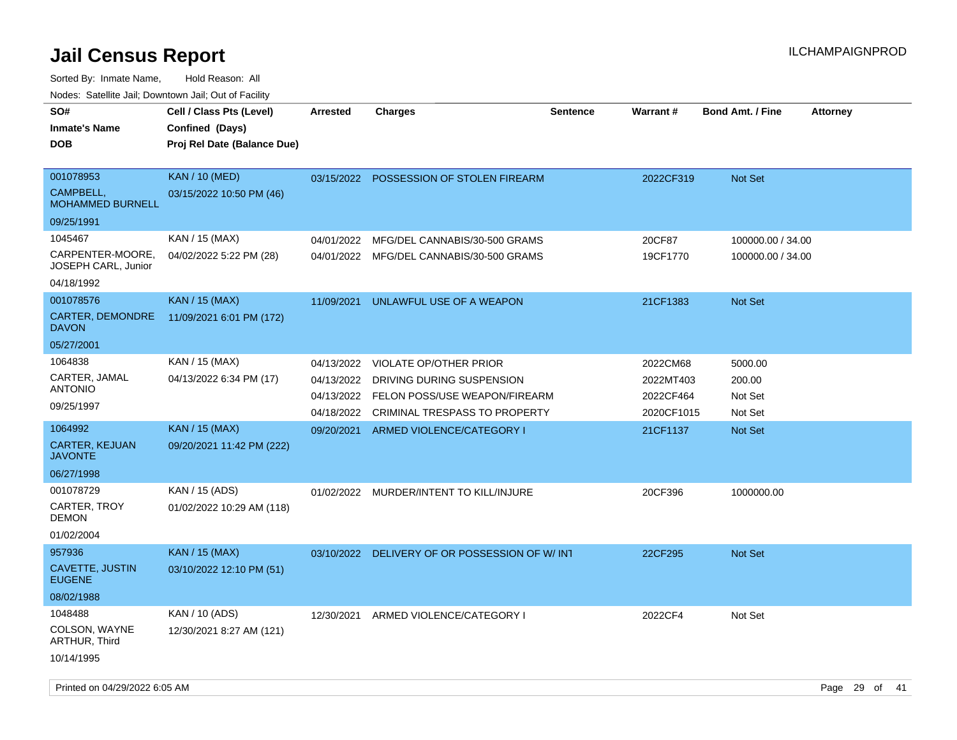Sorted By: Inmate Name, Hold Reason: All

Nodes: Satellite Jail; Downtown Jail; Out of Facility

| SO#<br><b>Inmate's Name</b><br><b>DOB</b>                   | Cell / Class Pts (Level)<br>Confined (Days)<br>Proj Rel Date (Balance Due) | <b>Arrested</b>                        | <b>Charges</b>                                                                              | <b>Sentence</b> | Warrant#                             | <b>Bond Amt. / Fine</b>                | <b>Attorney</b> |
|-------------------------------------------------------------|----------------------------------------------------------------------------|----------------------------------------|---------------------------------------------------------------------------------------------|-----------------|--------------------------------------|----------------------------------------|-----------------|
| 001078953<br><b>CAMPBELL.</b><br><b>MOHAMMED BURNELL</b>    | <b>KAN / 10 (MED)</b><br>03/15/2022 10:50 PM (46)                          | 03/15/2022                             | <b>POSSESSION OF STOLEN FIREARM</b>                                                         |                 | 2022CF319                            | Not Set                                |                 |
| 09/25/1991                                                  |                                                                            |                                        |                                                                                             |                 |                                      |                                        |                 |
| 1045467<br>CARPENTER-MOORE,<br>JOSEPH CARL, Junior          | KAN / 15 (MAX)<br>04/02/2022 5:22 PM (28)                                  | 04/01/2022                             | MFG/DEL CANNABIS/30-500 GRAMS<br>04/01/2022 MFG/DEL CANNABIS/30-500 GRAMS                   |                 | 20CF87<br>19CF1770                   | 100000.00 / 34.00<br>100000.00 / 34.00 |                 |
| 04/18/1992                                                  |                                                                            |                                        |                                                                                             |                 |                                      |                                        |                 |
| 001078576<br>CARTER, DEMONDRE<br><b>DAVON</b><br>05/27/2001 | <b>KAN / 15 (MAX)</b><br>11/09/2021 6:01 PM (172)                          | 11/09/2021                             | UNLAWFUL USE OF A WEAPON                                                                    |                 | 21CF1383                             | <b>Not Set</b>                         |                 |
| 1064838                                                     | KAN / 15 (MAX)                                                             | 04/13/2022                             | <b>VIOLATE OP/OTHER PRIOR</b>                                                               |                 | 2022CM68                             | 5000.00                                |                 |
| CARTER, JAMAL<br><b>ANTONIO</b><br>09/25/1997               | 04/13/2022 6:34 PM (17)                                                    | 04/13/2022<br>04/13/2022<br>04/18/2022 | DRIVING DURING SUSPENSION<br>FELON POSS/USE WEAPON/FIREARM<br>CRIMINAL TRESPASS TO PROPERTY |                 | 2022MT403<br>2022CF464<br>2020CF1015 | 200.00<br>Not Set<br>Not Set           |                 |
| 1064992                                                     | <b>KAN / 15 (MAX)</b>                                                      | 09/20/2021                             | ARMED VIOLENCE/CATEGORY I                                                                   |                 | 21CF1137                             | <b>Not Set</b>                         |                 |
| <b>CARTER, KEJUAN</b><br><b>JAVONTE</b>                     | 09/20/2021 11:42 PM (222)                                                  |                                        |                                                                                             |                 |                                      |                                        |                 |
| 06/27/1998                                                  |                                                                            |                                        |                                                                                             |                 |                                      |                                        |                 |
| 001078729<br>CARTER, TROY<br><b>DEMON</b><br>01/02/2004     | KAN / 15 (ADS)<br>01/02/2022 10:29 AM (118)                                |                                        | 01/02/2022 MURDER/INTENT TO KILL/INJURE                                                     |                 | 20CF396                              | 1000000.00                             |                 |
| 957936                                                      | <b>KAN</b> / 15 (MAX)                                                      | 03/10/2022                             | DELIVERY OF OR POSSESSION OF W/INT                                                          |                 | 22CF295                              | Not Set                                |                 |
| CAVETTE, JUSTIN<br><b>EUGENE</b>                            | 03/10/2022 12:10 PM (51)                                                   |                                        |                                                                                             |                 |                                      |                                        |                 |
| 08/02/1988                                                  |                                                                            |                                        |                                                                                             |                 |                                      |                                        |                 |
| 1048488<br>COLSON, WAYNE<br>ARTHUR, Third                   | KAN / 10 (ADS)<br>12/30/2021 8:27 AM (121)                                 | 12/30/2021                             | ARMED VIOLENCE/CATEGORY I                                                                   |                 | 2022CF4                              | Not Set                                |                 |
| 10/14/1995                                                  |                                                                            |                                        |                                                                                             |                 |                                      |                                        |                 |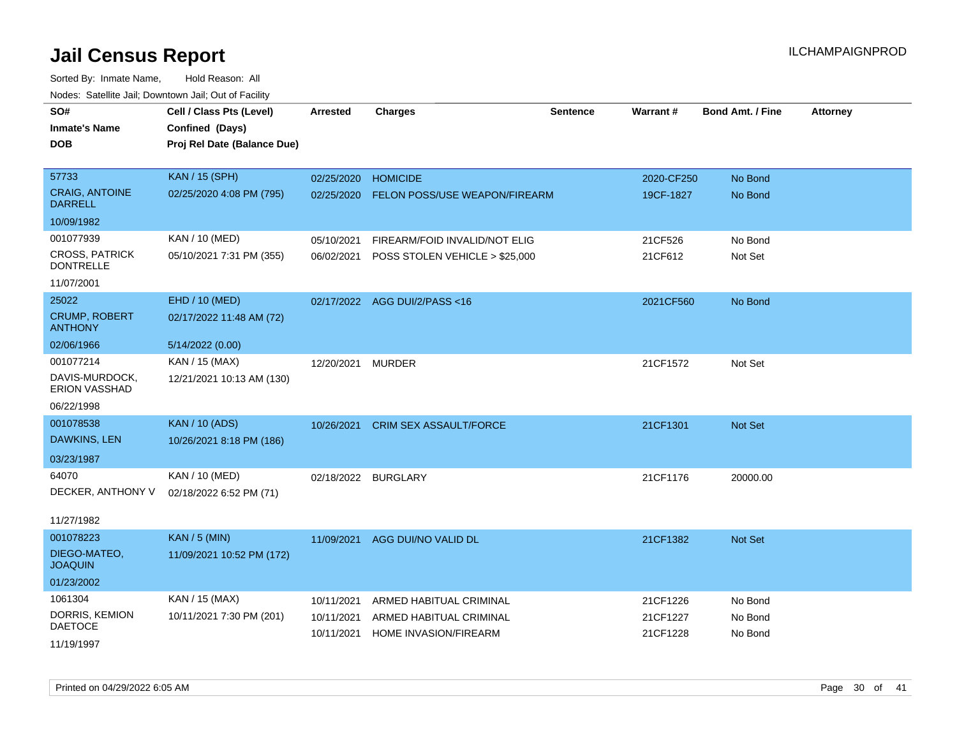| roaco. Catolino cali, Downtown cali, Out of Fability |                             |                     |                                |          |            |                         |                 |
|------------------------------------------------------|-----------------------------|---------------------|--------------------------------|----------|------------|-------------------------|-----------------|
| SO#                                                  | Cell / Class Pts (Level)    | <b>Arrested</b>     | <b>Charges</b>                 | Sentence | Warrant#   | <b>Bond Amt. / Fine</b> | <b>Attorney</b> |
| <b>Inmate's Name</b>                                 | Confined (Days)             |                     |                                |          |            |                         |                 |
| <b>DOB</b>                                           | Proj Rel Date (Balance Due) |                     |                                |          |            |                         |                 |
|                                                      |                             |                     |                                |          |            |                         |                 |
| 57733                                                | <b>KAN / 15 (SPH)</b>       | 02/25/2020          | <b>HOMICIDE</b>                |          | 2020-CF250 | No Bond                 |                 |
| <b>CRAIG, ANTOINE</b><br><b>DARRELL</b>              | 02/25/2020 4:08 PM (795)    | 02/25/2020          | FELON POSS/USE WEAPON/FIREARM  |          | 19CF-1827  | No Bond                 |                 |
| 10/09/1982                                           |                             |                     |                                |          |            |                         |                 |
| 001077939                                            | KAN / 10 (MED)              | 05/10/2021          | FIREARM/FOID INVALID/NOT ELIG  |          | 21CF526    | No Bond                 |                 |
| <b>CROSS, PATRICK</b><br><b>DONTRELLE</b>            | 05/10/2021 7:31 PM (355)    | 06/02/2021          | POSS STOLEN VEHICLE > \$25,000 |          | 21CF612    | Not Set                 |                 |
| 11/07/2001                                           |                             |                     |                                |          |            |                         |                 |
| 25022                                                | EHD / 10 (MED)              |                     | 02/17/2022 AGG DUI/2/PASS<16   |          | 2021CF560  | No Bond                 |                 |
| <b>CRUMP, ROBERT</b><br><b>ANTHONY</b>               | 02/17/2022 11:48 AM (72)    |                     |                                |          |            |                         |                 |
| 02/06/1966                                           | 5/14/2022 (0.00)            |                     |                                |          |            |                         |                 |
| 001077214                                            | KAN / 15 (MAX)              | 12/20/2021          | <b>MURDER</b>                  |          | 21CF1572   | Not Set                 |                 |
| DAVIS-MURDOCK,<br><b>ERION VASSHAD</b>               | 12/21/2021 10:13 AM (130)   |                     |                                |          |            |                         |                 |
| 06/22/1998                                           |                             |                     |                                |          |            |                         |                 |
| 001078538                                            | <b>KAN / 10 (ADS)</b>       | 10/26/2021          | CRIM SEX ASSAULT/FORCE         |          | 21CF1301   | Not Set                 |                 |
| DAWKINS, LEN                                         | 10/26/2021 8:18 PM (186)    |                     |                                |          |            |                         |                 |
| 03/23/1987                                           |                             |                     |                                |          |            |                         |                 |
| 64070                                                | KAN / 10 (MED)              | 02/18/2022 BURGLARY |                                |          | 21CF1176   | 20000.00                |                 |
| DECKER, ANTHONY V                                    | 02/18/2022 6:52 PM (71)     |                     |                                |          |            |                         |                 |
|                                                      |                             |                     |                                |          |            |                         |                 |
| 11/27/1982                                           |                             |                     |                                |          |            |                         |                 |
| 001078223                                            | <b>KAN / 5 (MIN)</b>        | 11/09/2021          | AGG DUI/NO VALID DL            |          | 21CF1382   | Not Set                 |                 |
| DIEGO-MATEO,<br><b>JOAQUIN</b>                       | 11/09/2021 10:52 PM (172)   |                     |                                |          |            |                         |                 |
| 01/23/2002                                           |                             |                     |                                |          |            |                         |                 |
| 1061304                                              | KAN / 15 (MAX)              | 10/11/2021          | ARMED HABITUAL CRIMINAL        |          | 21CF1226   | No Bond                 |                 |
| DORRIS, KEMION                                       | 10/11/2021 7:30 PM (201)    | 10/11/2021          | ARMED HABITUAL CRIMINAL        |          | 21CF1227   | No Bond                 |                 |
| <b>DAETOCE</b>                                       |                             | 10/11/2021          | HOME INVASION/FIREARM          |          | 21CF1228   | No Bond                 |                 |
| 11/19/1997                                           |                             |                     |                                |          |            |                         |                 |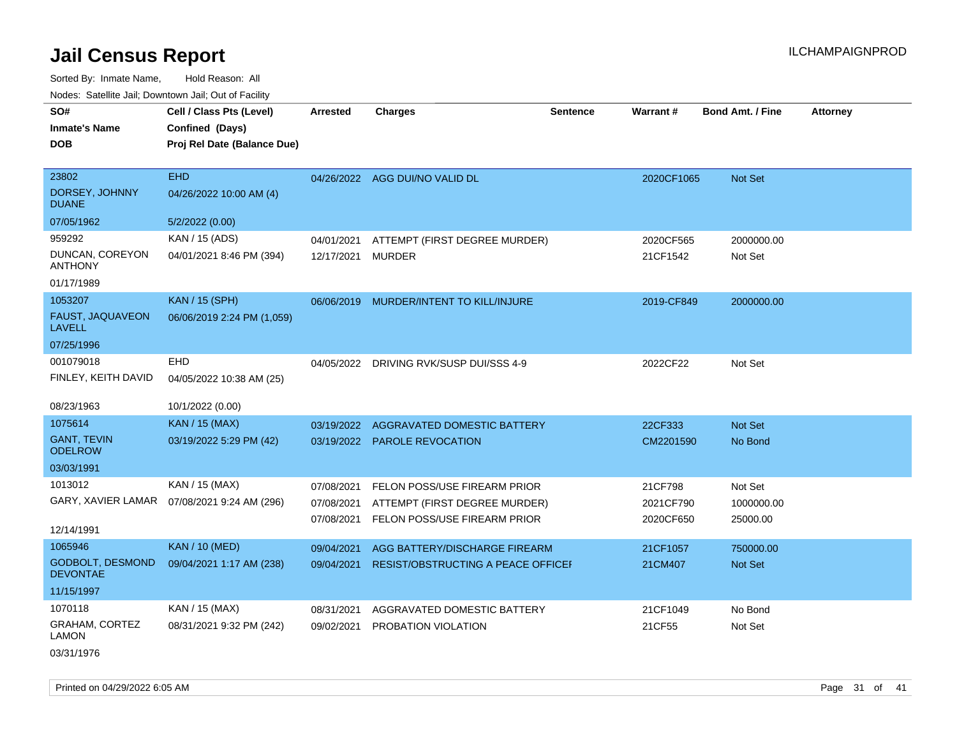Sorted By: Inmate Name, Hold Reason: All Nodes: Satellite Jail; Downtown Jail; Out of Facility

| SO#<br><b>Inmate's Name</b><br><b>DOB</b>  | Cell / Class Pts (Level)<br>Confined (Days)<br>Proj Rel Date (Balance Due) | <b>Arrested</b> | <b>Charges</b>                          | <b>Sentence</b> | Warrant#   | <b>Bond Amt. / Fine</b> | <b>Attorney</b> |
|--------------------------------------------|----------------------------------------------------------------------------|-----------------|-----------------------------------------|-----------------|------------|-------------------------|-----------------|
| 23802<br>DORSEY, JOHNNY<br><b>DUANE</b>    | <b>EHD</b><br>04/26/2022 10:00 AM (4)                                      |                 | 04/26/2022 AGG DUI/NO VALID DL          |                 | 2020CF1065 | Not Set                 |                 |
| 07/05/1962                                 | 5/2/2022 (0.00)                                                            |                 |                                         |                 |            |                         |                 |
| 959292                                     | KAN / 15 (ADS)                                                             | 04/01/2021      | ATTEMPT (FIRST DEGREE MURDER)           |                 | 2020CF565  | 2000000.00              |                 |
| DUNCAN, COREYON<br><b>ANTHONY</b>          | 04/01/2021 8:46 PM (394)                                                   | 12/17/2021      | <b>MURDER</b>                           |                 | 21CF1542   | Not Set                 |                 |
| 01/17/1989                                 |                                                                            |                 |                                         |                 |            |                         |                 |
| 1053207                                    | <b>KAN / 15 (SPH)</b>                                                      |                 | 06/06/2019 MURDER/INTENT TO KILL/INJURE |                 | 2019-CF849 | 2000000.00              |                 |
| <b>FAUST, JAQUAVEON</b><br><b>LAVELL</b>   | 06/06/2019 2:24 PM (1,059)                                                 |                 |                                         |                 |            |                         |                 |
| 07/25/1996                                 |                                                                            |                 |                                         |                 |            |                         |                 |
| 001079018                                  | <b>EHD</b>                                                                 | 04/05/2022      | DRIVING RVK/SUSP DUI/SSS 4-9            |                 | 2022CF22   | Not Set                 |                 |
| FINLEY, KEITH DAVID                        | 04/05/2022 10:38 AM (25)                                                   |                 |                                         |                 |            |                         |                 |
| 08/23/1963                                 | 10/1/2022 (0.00)                                                           |                 |                                         |                 |            |                         |                 |
| 1075614                                    | <b>KAN / 15 (MAX)</b>                                                      | 03/19/2022      | AGGRAVATED DOMESTIC BATTERY             |                 | 22CF333    | Not Set                 |                 |
| <b>GANT, TEVIN</b><br><b>ODELROW</b>       | 03/19/2022 5:29 PM (42)                                                    |                 | 03/19/2022 PAROLE REVOCATION            |                 | CM2201590  | No Bond                 |                 |
| 03/03/1991                                 |                                                                            |                 |                                         |                 |            |                         |                 |
| 1013012                                    | KAN / 15 (MAX)                                                             | 07/08/2021      | FELON POSS/USE FIREARM PRIOR            |                 | 21CF798    | Not Set                 |                 |
|                                            | GARY, XAVIER LAMAR  07/08/2021 9:24 AM (296)                               | 07/08/2021      | ATTEMPT (FIRST DEGREE MURDER)           |                 | 2021CF790  | 1000000.00              |                 |
| 12/14/1991                                 |                                                                            | 07/08/2021      | FELON POSS/USE FIREARM PRIOR            |                 | 2020CF650  | 25000.00                |                 |
| 1065946                                    | <b>KAN / 10 (MED)</b>                                                      | 09/04/2021      | AGG BATTERY/DISCHARGE FIREARM           |                 | 21CF1057   | 750000.00               |                 |
| <b>GODBOLT, DESMOND</b><br><b>DEVONTAE</b> | 09/04/2021 1:17 AM (238)                                                   | 09/04/2021      | RESIST/OBSTRUCTING A PEACE OFFICEI      |                 | 21CM407    | Not Set                 |                 |
| 11/15/1997                                 |                                                                            |                 |                                         |                 |            |                         |                 |
| 1070118                                    | KAN / 15 (MAX)                                                             | 08/31/2021      | AGGRAVATED DOMESTIC BATTERY             |                 | 21CF1049   | No Bond                 |                 |
| GRAHAM, CORTEZ<br>LAMON                    | 08/31/2021 9:32 PM (242)                                                   | 09/02/2021      | PROBATION VIOLATION                     |                 | 21CF55     | Not Set                 |                 |

03/31/1976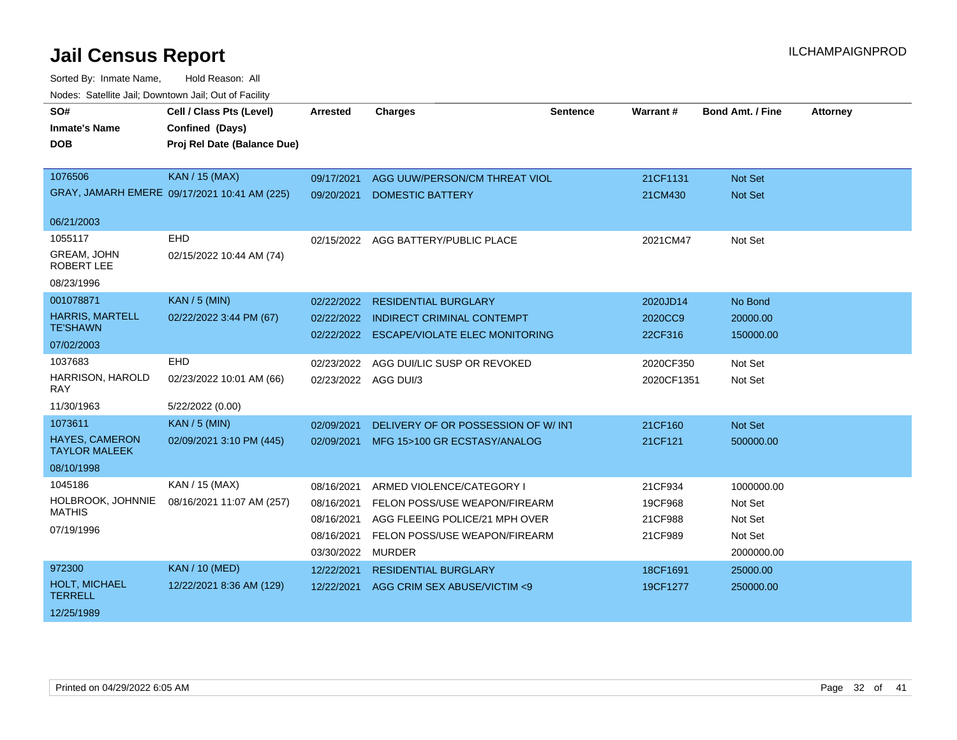| SO#<br><b>Inmate's Name</b><br><b>DOB</b>     | Cell / Class Pts (Level)<br>Confined (Days)<br>Proj Rel Date (Balance Due) | <b>Arrested</b>      | <b>Charges</b>                        | <b>Sentence</b> | <b>Warrant#</b> | <b>Bond Amt. / Fine</b> | <b>Attorney</b> |
|-----------------------------------------------|----------------------------------------------------------------------------|----------------------|---------------------------------------|-----------------|-----------------|-------------------------|-----------------|
| 1076506                                       | <b>KAN / 15 (MAX)</b>                                                      | 09/17/2021           | AGG UUW/PERSON/CM THREAT VIOL         |                 | 21CF1131        | <b>Not Set</b>          |                 |
|                                               | GRAY, JAMARH EMERE 09/17/2021 10:41 AM (225)                               | 09/20/2021           | <b>DOMESTIC BATTERY</b>               |                 | 21CM430         | Not Set                 |                 |
| 06/21/2003                                    |                                                                            |                      |                                       |                 |                 |                         |                 |
| 1055117                                       | <b>EHD</b>                                                                 |                      | 02/15/2022 AGG BATTERY/PUBLIC PLACE   |                 | 2021CM47        | Not Set                 |                 |
| GREAM, JOHN<br><b>ROBERT LEE</b>              | 02/15/2022 10:44 AM (74)                                                   |                      |                                       |                 |                 |                         |                 |
| 08/23/1996                                    |                                                                            |                      |                                       |                 |                 |                         |                 |
| 001078871                                     | <b>KAN / 5 (MIN)</b>                                                       | 02/22/2022           | <b>RESIDENTIAL BURGLARY</b>           |                 | 2020JD14        | No Bond                 |                 |
| <b>HARRIS, MARTELL</b>                        | 02/22/2022 3:44 PM (67)                                                    | 02/22/2022           | <b>INDIRECT CRIMINAL CONTEMPT</b>     |                 | 2020CC9         | 20000.00                |                 |
| <b>TE'SHAWN</b>                               |                                                                            | 02/22/2022           | <b>ESCAPE/VIOLATE ELEC MONITORING</b> |                 | 22CF316         | 150000.00               |                 |
| 07/02/2003                                    |                                                                            |                      |                                       |                 |                 |                         |                 |
| 1037683                                       | <b>EHD</b>                                                                 | 02/23/2022           | AGG DUI/LIC SUSP OR REVOKED           |                 | 2020CF350       | Not Set                 |                 |
| HARRISON, HAROLD<br>RAY                       | 02/23/2022 10:01 AM (66)                                                   | 02/23/2022 AGG DUI/3 |                                       |                 | 2020CF1351      | Not Set                 |                 |
| 11/30/1963                                    | 5/22/2022 (0.00)                                                           |                      |                                       |                 |                 |                         |                 |
| 1073611                                       | <b>KAN / 5 (MIN)</b>                                                       | 02/09/2021           | DELIVERY OF OR POSSESSION OF W/INT    |                 | 21CF160         | <b>Not Set</b>          |                 |
| <b>HAYES, CAMERON</b><br><b>TAYLOR MALEEK</b> | 02/09/2021 3:10 PM (445)                                                   | 02/09/2021           | MFG 15>100 GR ECSTASY/ANALOG          |                 | 21CF121         | 500000.00               |                 |
| 08/10/1998                                    |                                                                            |                      |                                       |                 |                 |                         |                 |
| 1045186                                       | KAN / 15 (MAX)                                                             | 08/16/2021           | ARMED VIOLENCE/CATEGORY I             |                 | 21CF934         | 1000000.00              |                 |
| HOLBROOK, JOHNNIE                             | 08/16/2021 11:07 AM (257)                                                  | 08/16/2021           | FELON POSS/USE WEAPON/FIREARM         |                 | 19CF968         | Not Set                 |                 |
| <b>MATHIS</b>                                 |                                                                            | 08/16/2021           | AGG FLEEING POLICE/21 MPH OVER        |                 | 21CF988         | Not Set                 |                 |
| 07/19/1996                                    |                                                                            | 08/16/2021           | FELON POSS/USE WEAPON/FIREARM         |                 | 21CF989         | Not Set                 |                 |
|                                               |                                                                            | 03/30/2022           | <b>MURDER</b>                         |                 |                 | 2000000.00              |                 |
| 972300                                        | <b>KAN / 10 (MED)</b>                                                      | 12/22/2021           | <b>RESIDENTIAL BURGLARY</b>           |                 | 18CF1691        | 25000.00                |                 |
| HOLT, MICHAEL<br><b>TERRELL</b>               | 12/22/2021 8:36 AM (129)                                                   | 12/22/2021           | AGG CRIM SEX ABUSE/VICTIM <9          |                 | 19CF1277        | 250000.00               |                 |
| 12/25/1989                                    |                                                                            |                      |                                       |                 |                 |                         |                 |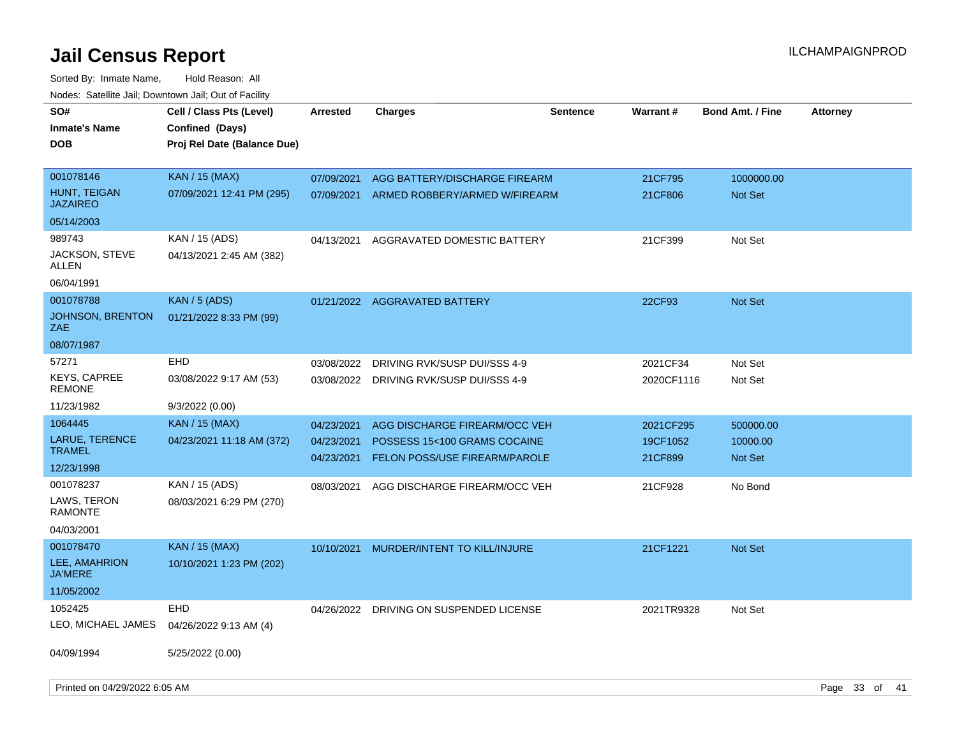| SO#<br><b>Inmate's Name</b><br><b>DOB</b>                              | Cell / Class Pts (Level)<br>Confined (Days)<br>Proj Rel Date (Balance Due) | <b>Arrested</b>                        | <b>Charges</b>                                                                                 | <b>Sentence</b> | <b>Warrant#</b>                  | <b>Bond Amt. / Fine</b>          | <b>Attorney</b> |  |
|------------------------------------------------------------------------|----------------------------------------------------------------------------|----------------------------------------|------------------------------------------------------------------------------------------------|-----------------|----------------------------------|----------------------------------|-----------------|--|
| 001078146<br>HUNT, TEIGAN<br><b>JAZAIREO</b><br>05/14/2003             | <b>KAN / 15 (MAX)</b><br>07/09/2021 12:41 PM (295)                         | 07/09/2021<br>07/09/2021               | AGG BATTERY/DISCHARGE FIREARM<br>ARMED ROBBERY/ARMED W/FIREARM                                 |                 | 21CF795<br>21CF806               | 1000000.00<br>Not Set            |                 |  |
| 989743<br><b>JACKSON, STEVE</b><br>ALLEN<br>06/04/1991                 | KAN / 15 (ADS)<br>04/13/2021 2:45 AM (382)                                 | 04/13/2021                             | AGGRAVATED DOMESTIC BATTERY                                                                    |                 | 21CF399                          | Not Set                          |                 |  |
| 001078788<br><b>JOHNSON, BRENTON</b><br>ZAE<br>08/07/1987              | KAN / 5 (ADS)<br>01/21/2022 8:33 PM (99)                                   |                                        | 01/21/2022 AGGRAVATED BATTERY                                                                  |                 | 22CF93                           | <b>Not Set</b>                   |                 |  |
| 57271<br><b>KEYS, CAPREE</b><br><b>REMONE</b>                          | <b>EHD</b><br>03/08/2022 9:17 AM (53)                                      | 03/08/2022<br>03/08/2022               | DRIVING RVK/SUSP DUI/SSS 4-9<br>DRIVING RVK/SUSP DUI/SSS 4-9                                   |                 | 2021CF34<br>2020CF1116           | Not Set<br>Not Set               |                 |  |
| 11/23/1982<br>1064445<br>LARUE, TERENCE<br><b>TRAMEL</b><br>12/23/1998 | 9/3/2022 (0.00)<br><b>KAN / 15 (MAX)</b><br>04/23/2021 11:18 AM (372)      | 04/23/2021<br>04/23/2021<br>04/23/2021 | AGG DISCHARGE FIREARM/OCC VEH<br>POSSESS 15<100 GRAMS COCAINE<br>FELON POSS/USE FIREARM/PAROLE |                 | 2021CF295<br>19CF1052<br>21CF899 | 500000.00<br>10000.00<br>Not Set |                 |  |
| 001078237<br>LAWS, TERON<br><b>RAMONTE</b><br>04/03/2001               | KAN / 15 (ADS)<br>08/03/2021 6:29 PM (270)                                 | 08/03/2021                             | AGG DISCHARGE FIREARM/OCC VEH                                                                  |                 | 21CF928                          | No Bond                          |                 |  |
| 001078470<br>LEE, AMAHRION<br>JA'MERE<br>11/05/2002                    | <b>KAN / 15 (MAX)</b><br>10/10/2021 1:23 PM (202)                          | 10/10/2021                             | MURDER/INTENT TO KILL/INJURE                                                                   |                 | 21CF1221                         | <b>Not Set</b>                   |                 |  |
| 1052425<br>LEO, MICHAEL JAMES<br>04/09/1994                            | EHD<br>04/26/2022 9:13 AM (4)<br>5/25/2022 (0.00)                          | 04/26/2022                             | DRIVING ON SUSPENDED LICENSE                                                                   |                 | 2021TR9328                       | Not Set                          |                 |  |
| Printed on 04/29/2022 6:05 AM                                          |                                                                            |                                        |                                                                                                |                 |                                  |                                  | Page 33 of 41   |  |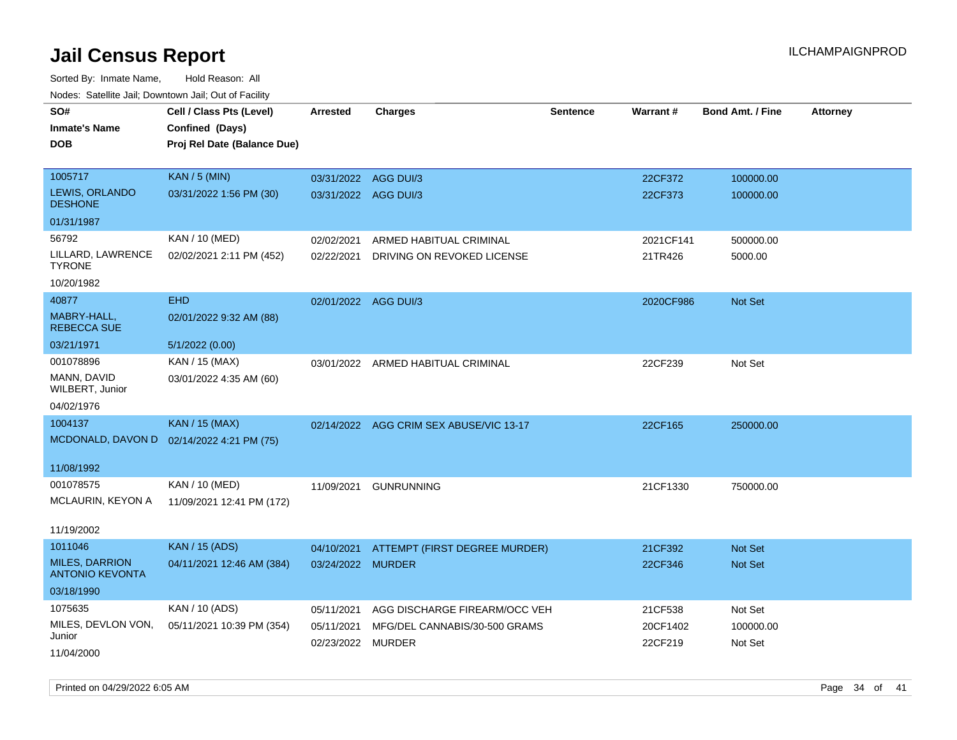| rougs. Calcing Jan, Downtown Jan, Out of Facility |                                           |                      |                                         |                 |           |                         |                 |
|---------------------------------------------------|-------------------------------------------|----------------------|-----------------------------------------|-----------------|-----------|-------------------------|-----------------|
| SO#                                               | Cell / Class Pts (Level)                  | <b>Arrested</b>      | <b>Charges</b>                          | <b>Sentence</b> | Warrant#  | <b>Bond Amt. / Fine</b> | <b>Attorney</b> |
| <b>Inmate's Name</b>                              | Confined (Days)                           |                      |                                         |                 |           |                         |                 |
| <b>DOB</b>                                        | Proj Rel Date (Balance Due)               |                      |                                         |                 |           |                         |                 |
|                                                   |                                           |                      |                                         |                 |           |                         |                 |
| 1005717                                           | <b>KAN / 5 (MIN)</b>                      | 03/31/2022 AGG DUI/3 |                                         |                 | 22CF372   | 100000.00               |                 |
| LEWIS, ORLANDO<br><b>DESHONE</b>                  | 03/31/2022 1:56 PM (30)                   | 03/31/2022 AGG DUI/3 |                                         |                 | 22CF373   | 100000.00               |                 |
| 01/31/1987                                        |                                           |                      |                                         |                 |           |                         |                 |
| 56792                                             | KAN / 10 (MED)                            | 02/02/2021           | ARMED HABITUAL CRIMINAL                 |                 | 2021CF141 | 500000.00               |                 |
| LILLARD, LAWRENCE<br><b>TYRONE</b>                | 02/02/2021 2:11 PM (452)                  | 02/22/2021           | DRIVING ON REVOKED LICENSE              |                 | 21TR426   | 5000.00                 |                 |
| 10/20/1982                                        |                                           |                      |                                         |                 |           |                         |                 |
| 40877                                             | <b>EHD</b>                                | 02/01/2022 AGG DUI/3 |                                         |                 | 2020CF986 | <b>Not Set</b>          |                 |
| MABRY-HALL,<br><b>REBECCA SUE</b>                 | 02/01/2022 9:32 AM (88)                   |                      |                                         |                 |           |                         |                 |
| 03/21/1971                                        | 5/1/2022 (0.00)                           |                      |                                         |                 |           |                         |                 |
| 001078896                                         | KAN / 15 (MAX)                            |                      | 03/01/2022 ARMED HABITUAL CRIMINAL      |                 | 22CF239   | Not Set                 |                 |
| MANN, DAVID<br>WILBERT, Junior                    | 03/01/2022 4:35 AM (60)                   |                      |                                         |                 |           |                         |                 |
| 04/02/1976                                        |                                           |                      |                                         |                 |           |                         |                 |
| 1004137                                           | <b>KAN / 15 (MAX)</b>                     |                      | 02/14/2022 AGG CRIM SEX ABUSE/VIC 13-17 |                 | 22CF165   | 250000.00               |                 |
|                                                   | MCDONALD, DAVON D 02/14/2022 4:21 PM (75) |                      |                                         |                 |           |                         |                 |
| 11/08/1992                                        |                                           |                      |                                         |                 |           |                         |                 |
| 001078575                                         | KAN / 10 (MED)                            | 11/09/2021           | <b>GUNRUNNING</b>                       |                 | 21CF1330  | 750000.00               |                 |
| MCLAURIN, KEYON A                                 | 11/09/2021 12:41 PM (172)                 |                      |                                         |                 |           |                         |                 |
|                                                   |                                           |                      |                                         |                 |           |                         |                 |
| 11/19/2002                                        |                                           |                      |                                         |                 |           |                         |                 |
| 1011046                                           | <b>KAN / 15 (ADS)</b>                     | 04/10/2021           | ATTEMPT (FIRST DEGREE MURDER)           |                 | 21CF392   | <b>Not Set</b>          |                 |
| <b>MILES, DARRION</b><br><b>ANTONIO KEVONTA</b>   | 04/11/2021 12:46 AM (384)                 | 03/24/2022 MURDER    |                                         |                 | 22CF346   | <b>Not Set</b>          |                 |
| 03/18/1990                                        |                                           |                      |                                         |                 |           |                         |                 |
| 1075635                                           | KAN / 10 (ADS)                            | 05/11/2021           | AGG DISCHARGE FIREARM/OCC VEH           |                 | 21CF538   | Not Set                 |                 |
| MILES, DEVLON VON,                                | 05/11/2021 10:39 PM (354)                 | 05/11/2021           | MFG/DEL CANNABIS/30-500 GRAMS           |                 | 20CF1402  | 100000.00               |                 |
| Junior                                            |                                           | 02/23/2022 MURDER    |                                         |                 | 22CF219   | Not Set                 |                 |
| 11/04/2000                                        |                                           |                      |                                         |                 |           |                         |                 |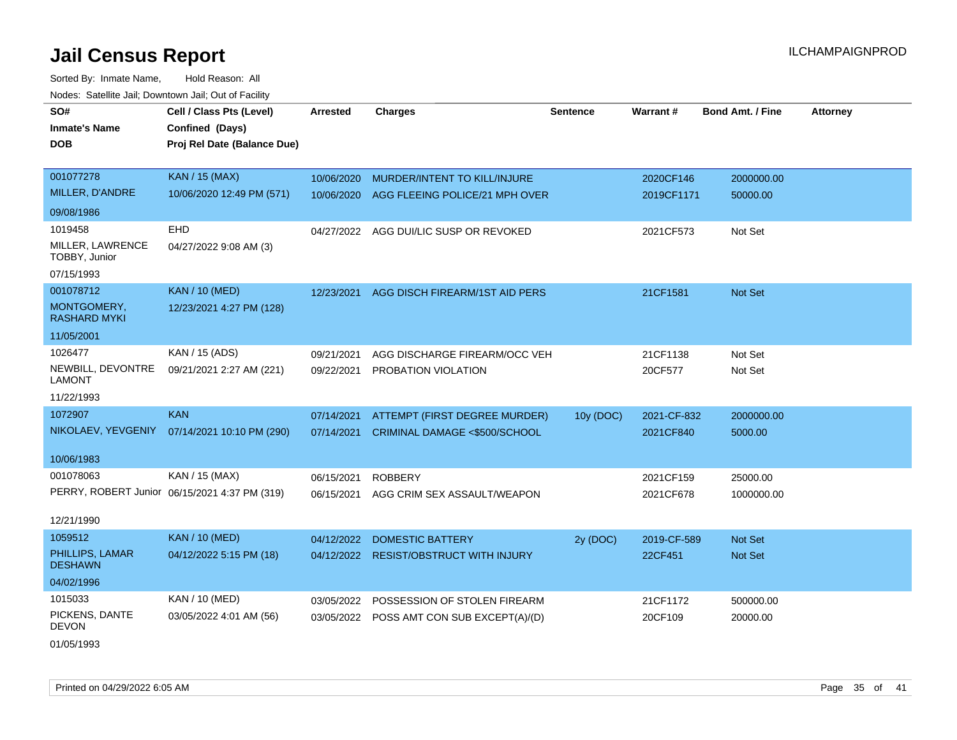Sorted By: Inmate Name, Hold Reason: All Nodes: Satellite Jail; Downtown Jail; Out of Facility

| SO#                                | Cell / Class Pts (Level)                      | <b>Arrested</b> | <b>Charges</b>                            | <b>Sentence</b> | Warrant#    | <b>Bond Amt. / Fine</b> | <b>Attorney</b> |
|------------------------------------|-----------------------------------------------|-----------------|-------------------------------------------|-----------------|-------------|-------------------------|-----------------|
| <b>Inmate's Name</b>               | Confined (Days)                               |                 |                                           |                 |             |                         |                 |
| <b>DOB</b>                         | Proj Rel Date (Balance Due)                   |                 |                                           |                 |             |                         |                 |
|                                    |                                               |                 |                                           |                 |             |                         |                 |
| 001077278                          | <b>KAN / 15 (MAX)</b>                         | 10/06/2020      | MURDER/INTENT TO KILL/INJURE              |                 | 2020CF146   | 2000000.00              |                 |
| MILLER, D'ANDRE                    | 10/06/2020 12:49 PM (571)                     | 10/06/2020      | AGG FLEEING POLICE/21 MPH OVER            |                 | 2019CF1171  | 50000.00                |                 |
| 09/08/1986                         |                                               |                 |                                           |                 |             |                         |                 |
| 1019458                            | EHD                                           | 04/27/2022      | AGG DUI/LIC SUSP OR REVOKED               |                 | 2021CF573   | Not Set                 |                 |
| MILLER, LAWRENCE<br>TOBBY, Junior  | 04/27/2022 9:08 AM (3)                        |                 |                                           |                 |             |                         |                 |
| 07/15/1993                         |                                               |                 |                                           |                 |             |                         |                 |
| 001078712                          | <b>KAN / 10 (MED)</b>                         | 12/23/2021      | AGG DISCH FIREARM/1ST AID PERS            |                 | 21CF1581    | Not Set                 |                 |
| MONTGOMERY,<br><b>RASHARD MYKI</b> | 12/23/2021 4:27 PM (128)                      |                 |                                           |                 |             |                         |                 |
| 11/05/2001                         |                                               |                 |                                           |                 |             |                         |                 |
| 1026477                            | KAN / 15 (ADS)                                | 09/21/2021      | AGG DISCHARGE FIREARM/OCC VEH             |                 | 21CF1138    | Not Set                 |                 |
| NEWBILL, DEVONTRE<br><b>LAMONT</b> | 09/21/2021 2:27 AM (221)                      | 09/22/2021      | PROBATION VIOLATION                       |                 | 20CF577     | Not Set                 |                 |
| 11/22/1993                         |                                               |                 |                                           |                 |             |                         |                 |
| 1072907                            | <b>KAN</b>                                    | 07/14/2021      | ATTEMPT (FIRST DEGREE MURDER)             | 10y (DOC)       | 2021-CF-832 | 2000000.00              |                 |
|                                    | NIKOLAEV, YEVGENIY 07/14/2021 10:10 PM (290)  | 07/14/2021      | CRIMINAL DAMAGE <\$500/SCHOOL             |                 | 2021CF840   | 5000.00                 |                 |
| 10/06/1983                         |                                               |                 |                                           |                 |             |                         |                 |
| 001078063                          | KAN / 15 (MAX)                                | 06/15/2021      | <b>ROBBERY</b>                            |                 | 2021CF159   | 25000.00                |                 |
|                                    | PERRY, ROBERT Junior 06/15/2021 4:37 PM (319) | 06/15/2021      | AGG CRIM SEX ASSAULT/WEAPON               |                 | 2021CF678   | 1000000.00              |                 |
| 12/21/1990                         |                                               |                 |                                           |                 |             |                         |                 |
| 1059512                            | <b>KAN / 10 (MED)</b>                         | 04/12/2022      | <b>DOMESTIC BATTERY</b>                   | 2y (DOC)        | 2019-CF-589 | <b>Not Set</b>          |                 |
| PHILLIPS, LAMAR<br><b>DESHAWN</b>  | 04/12/2022 5:15 PM (18)                       |                 | 04/12/2022 RESIST/OBSTRUCT WITH INJURY    |                 | 22CF451     | Not Set                 |                 |
| 04/02/1996                         |                                               |                 |                                           |                 |             |                         |                 |
| 1015033                            | KAN / 10 (MED)                                | 03/05/2022      | POSSESSION OF STOLEN FIREARM              |                 | 21CF1172    | 500000.00               |                 |
| PICKENS, DANTE<br><b>DEVON</b>     | 03/05/2022 4:01 AM (56)                       |                 | 03/05/2022 POSS AMT CON SUB EXCEPT(A)/(D) |                 | 20CF109     | 20000.00                |                 |

01/05/1993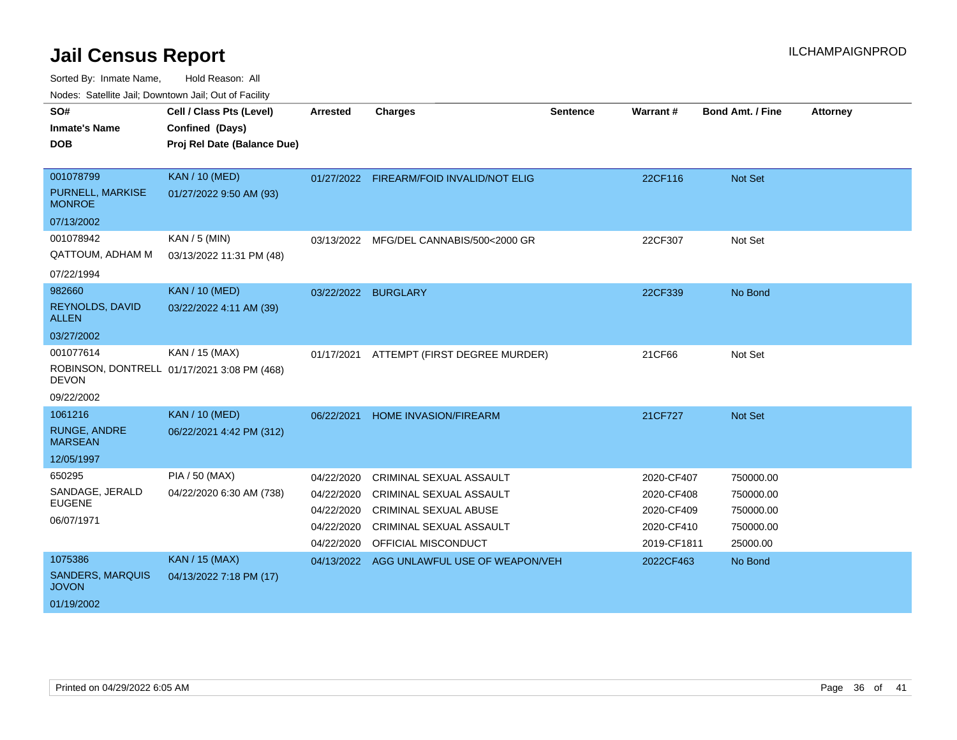Sorted By: Inmate Name, Hold Reason: All

Nodes: Satellite Jail; Downtown Jail; Out of Facility

| SO#<br><b>Inmate's Name</b><br><b>DOB</b>                        | Cell / Class Pts (Level)<br>Confined (Days)<br>Proj Rel Date (Balance Due) | <b>Arrested</b>                                                    | <b>Charges</b>                                                                                                                              | <b>Sentence</b> | Warrant#                                                            | Bond Amt. / Fine                                             | <b>Attorney</b> |
|------------------------------------------------------------------|----------------------------------------------------------------------------|--------------------------------------------------------------------|---------------------------------------------------------------------------------------------------------------------------------------------|-----------------|---------------------------------------------------------------------|--------------------------------------------------------------|-----------------|
| 001078799<br>PURNELL, MARKISE<br><b>MONROE</b><br>07/13/2002     | <b>KAN / 10 (MED)</b><br>01/27/2022 9:50 AM (93)                           |                                                                    | 01/27/2022 FIREARM/FOID INVALID/NOT ELIG                                                                                                    |                 | 22CF116                                                             | Not Set                                                      |                 |
| 001078942<br><b>QATTOUM, ADHAM M</b><br>07/22/1994               | $KAN / 5$ (MIN)<br>03/13/2022 11:31 PM (48)                                | 03/13/2022                                                         | MFG/DEL CANNABIS/500<2000 GR                                                                                                                |                 | 22CF307                                                             | Not Set                                                      |                 |
| 982660<br><b>REYNOLDS, DAVID</b><br><b>ALLEN</b><br>03/27/2002   | <b>KAN / 10 (MED)</b><br>03/22/2022 4:11 AM (39)                           | 03/22/2022                                                         | <b>BURGLARY</b>                                                                                                                             |                 | 22CF339                                                             | No Bond                                                      |                 |
| 001077614<br><b>DEVON</b><br>09/22/2002                          | KAN / 15 (MAX)<br>ROBINSON, DONTRELL 01/17/2021 3:08 PM (468)              | 01/17/2021                                                         | ATTEMPT (FIRST DEGREE MURDER)                                                                                                               |                 | 21CF66                                                              | Not Set                                                      |                 |
| 1061216<br><b>RUNGE, ANDRE</b><br><b>MARSEAN</b><br>12/05/1997   | <b>KAN / 10 (MED)</b><br>06/22/2021 4:42 PM (312)                          | 06/22/2021                                                         | HOME INVASION/FIREARM                                                                                                                       |                 | 21CF727                                                             | <b>Not Set</b>                                               |                 |
| 650295<br>SANDAGE, JERALD<br><b>EUGENE</b><br>06/07/1971         | PIA / 50 (MAX)<br>04/22/2020 6:30 AM (738)                                 | 04/22/2020<br>04/22/2020<br>04/22/2020<br>04/22/2020<br>04/22/2020 | CRIMINAL SEXUAL ASSAULT<br><b>CRIMINAL SEXUAL ASSAULT</b><br>CRIMINAL SEXUAL ABUSE<br><b>CRIMINAL SEXUAL ASSAULT</b><br>OFFICIAL MISCONDUCT |                 | 2020-CF407<br>2020-CF408<br>2020-CF409<br>2020-CF410<br>2019-CF1811 | 750000.00<br>750000.00<br>750000.00<br>750000.00<br>25000.00 |                 |
| 1075386<br><b>SANDERS, MARQUIS</b><br><b>JOVON</b><br>01/19/2002 | <b>KAN / 15 (MAX)</b><br>04/13/2022 7:18 PM (17)                           |                                                                    | 04/13/2022 AGG UNLAWFUL USE OF WEAPON/VEH                                                                                                   |                 | 2022CF463                                                           | No Bond                                                      |                 |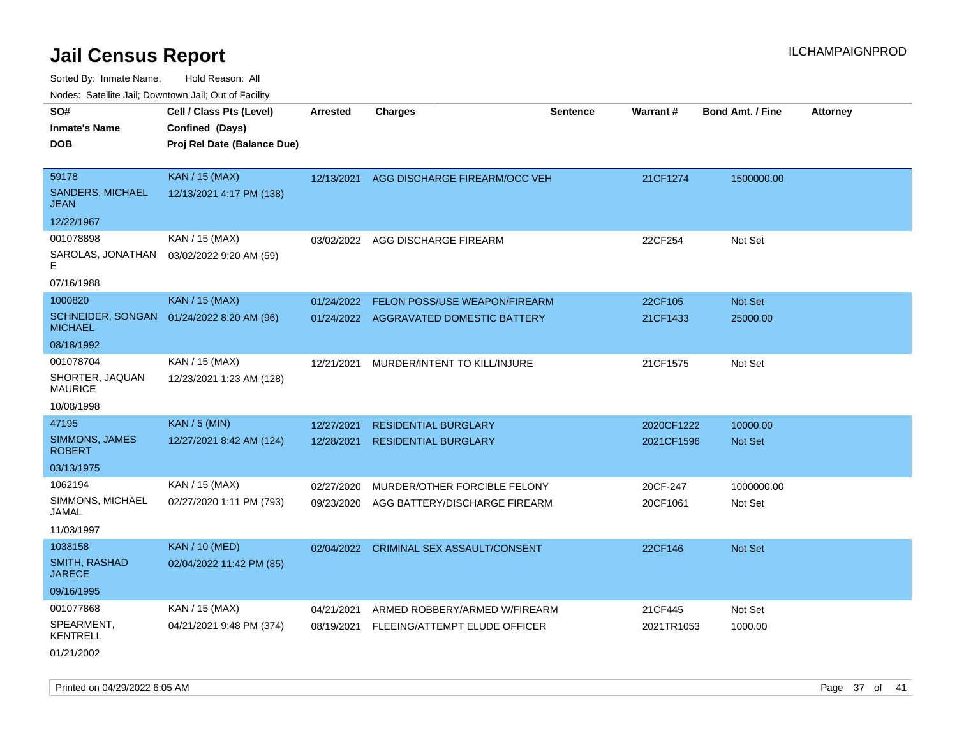Sorted By: Inmate Name, Hold Reason: All

| Nodes: Satellite Jail; Downtown Jail; Out of Facility |                             |                 |                                        |                 |                 |                  |                 |  |  |
|-------------------------------------------------------|-----------------------------|-----------------|----------------------------------------|-----------------|-----------------|------------------|-----------------|--|--|
| SO#                                                   | Cell / Class Pts (Level)    | <b>Arrested</b> | <b>Charges</b>                         | <b>Sentence</b> | <b>Warrant#</b> | Bond Amt. / Fine | <b>Attorney</b> |  |  |
| <b>Inmate's Name</b>                                  | Confined (Days)             |                 |                                        |                 |                 |                  |                 |  |  |
| <b>DOB</b>                                            | Proj Rel Date (Balance Due) |                 |                                        |                 |                 |                  |                 |  |  |
|                                                       |                             |                 |                                        |                 |                 |                  |                 |  |  |
| 59178                                                 | <b>KAN / 15 (MAX)</b>       | 12/13/2021      | AGG DISCHARGE FIREARM/OCC VEH          |                 | 21CF1274        | 1500000.00       |                 |  |  |
| <b>SANDERS, MICHAEL</b><br><b>JEAN</b>                | 12/13/2021 4:17 PM (138)    |                 |                                        |                 |                 |                  |                 |  |  |
| 12/22/1967                                            |                             |                 |                                        |                 |                 |                  |                 |  |  |
| 001078898                                             | KAN / 15 (MAX)              | 03/02/2022      | AGG DISCHARGE FIREARM                  |                 | 22CF254         | Not Set          |                 |  |  |
| SAROLAS, JONATHAN<br>F                                | 03/02/2022 9:20 AM (59)     |                 |                                        |                 |                 |                  |                 |  |  |
| 07/16/1988                                            |                             |                 |                                        |                 |                 |                  |                 |  |  |
| 1000820                                               | <b>KAN / 15 (MAX)</b>       | 01/24/2022      | FELON POSS/USE WEAPON/FIREARM          |                 | 22CF105         | Not Set          |                 |  |  |
| <b>SCHNEIDER, SONGAN</b><br><b>MICHAEL</b>            | 01/24/2022 8:20 AM (96)     |                 | 01/24/2022 AGGRAVATED DOMESTIC BATTERY |                 | 21CF1433        | 25000.00         |                 |  |  |
| 08/18/1992                                            |                             |                 |                                        |                 |                 |                  |                 |  |  |
| 001078704                                             | KAN / 15 (MAX)              | 12/21/2021      | MURDER/INTENT TO KILL/INJURE           |                 | 21CF1575        | Not Set          |                 |  |  |
| SHORTER, JAQUAN<br><b>MAURICE</b>                     | 12/23/2021 1:23 AM (128)    |                 |                                        |                 |                 |                  |                 |  |  |
| 10/08/1998                                            |                             |                 |                                        |                 |                 |                  |                 |  |  |
| 47195                                                 | <b>KAN / 5 (MIN)</b>        | 12/27/2021      | <b>RESIDENTIAL BURGLARY</b>            |                 | 2020CF1222      | 10000.00         |                 |  |  |
| SIMMONS, JAMES<br><b>ROBERT</b>                       | 12/27/2021 8:42 AM (124)    | 12/28/2021      | <b>RESIDENTIAL BURGLARY</b>            |                 | 2021CF1596      | Not Set          |                 |  |  |
| 03/13/1975                                            |                             |                 |                                        |                 |                 |                  |                 |  |  |
| 1062194                                               | KAN / 15 (MAX)              | 02/27/2020      | MURDER/OTHER FORCIBLE FELONY           |                 | 20CF-247        | 1000000.00       |                 |  |  |
| SIMMONS, MICHAEL<br>JAMAL                             | 02/27/2020 1:11 PM (793)    | 09/23/2020      | AGG BATTERY/DISCHARGE FIREARM          |                 | 20CF1061        | Not Set          |                 |  |  |
| 11/03/1997                                            |                             |                 |                                        |                 |                 |                  |                 |  |  |
| 1038158                                               | <b>KAN / 10 (MED)</b>       | 02/04/2022      | CRIMINAL SEX ASSAULT/CONSENT           |                 | 22CF146         | Not Set          |                 |  |  |
| SMITH, RASHAD<br><b>JARECE</b>                        | 02/04/2022 11:42 PM (85)    |                 |                                        |                 |                 |                  |                 |  |  |
| 09/16/1995                                            |                             |                 |                                        |                 |                 |                  |                 |  |  |
| 001077868                                             | KAN / 15 (MAX)              | 04/21/2021      | ARMED ROBBERY/ARMED W/FIREARM          |                 | 21CF445         | Not Set          |                 |  |  |
| SPEARMENT,<br><b>KENTRELL</b>                         | 04/21/2021 9:48 PM (374)    | 08/19/2021      | FLEEING/ATTEMPT ELUDE OFFICER          |                 | 2021TR1053      | 1000.00          |                 |  |  |
| 01/21/2002                                            |                             |                 |                                        |                 |                 |                  |                 |  |  |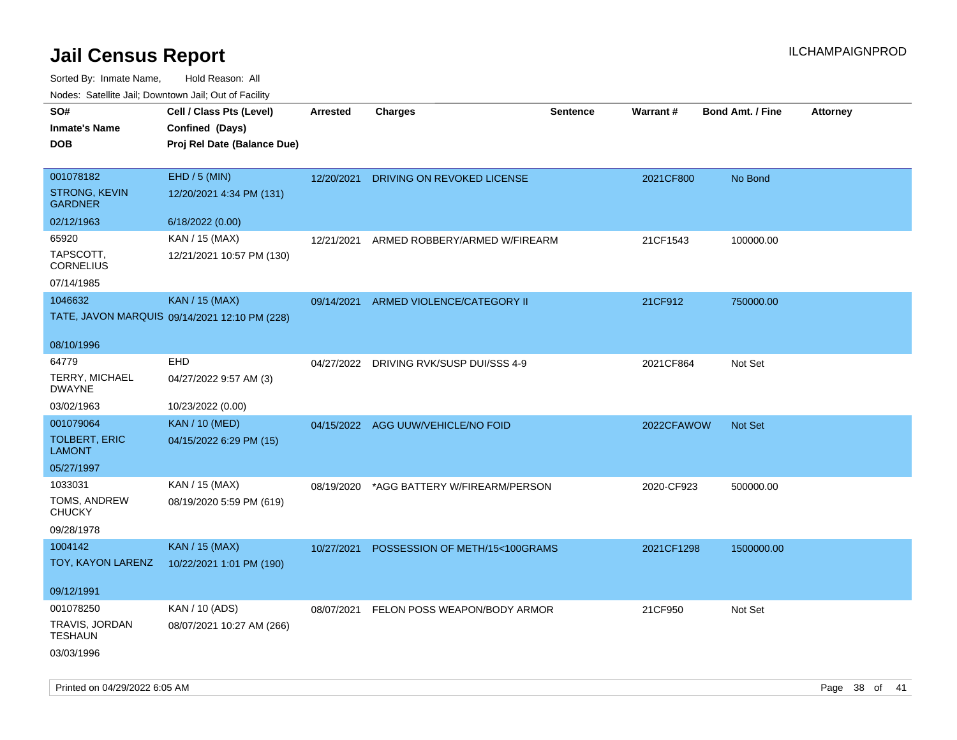| roaco. Catolino dall, Downtown dall, Out of Fability |                                               |                 |                                         |                 |            |                         |                 |
|------------------------------------------------------|-----------------------------------------------|-----------------|-----------------------------------------|-----------------|------------|-------------------------|-----------------|
| SO#                                                  | Cell / Class Pts (Level)                      | <b>Arrested</b> | <b>Charges</b>                          | <b>Sentence</b> | Warrant#   | <b>Bond Amt. / Fine</b> | <b>Attorney</b> |
| <b>Inmate's Name</b>                                 | Confined (Days)                               |                 |                                         |                 |            |                         |                 |
| <b>DOB</b>                                           | Proj Rel Date (Balance Due)                   |                 |                                         |                 |            |                         |                 |
|                                                      |                                               |                 |                                         |                 |            |                         |                 |
| 001078182                                            | EHD / 5 (MIN)                                 | 12/20/2021      | DRIVING ON REVOKED LICENSE              |                 | 2021CF800  | No Bond                 |                 |
| <b>STRONG, KEVIN</b><br><b>GARDNER</b>               | 12/20/2021 4:34 PM (131)                      |                 |                                         |                 |            |                         |                 |
| 02/12/1963                                           | 6/18/2022 (0.00)                              |                 |                                         |                 |            |                         |                 |
| 65920                                                | KAN / 15 (MAX)                                | 12/21/2021      | ARMED ROBBERY/ARMED W/FIREARM           |                 | 21CF1543   | 100000.00               |                 |
| TAPSCOTT,<br><b>CORNELIUS</b>                        | 12/21/2021 10:57 PM (130)                     |                 |                                         |                 |            |                         |                 |
| 07/14/1985                                           |                                               |                 |                                         |                 |            |                         |                 |
| 1046632                                              | <b>KAN / 15 (MAX)</b>                         | 09/14/2021      | ARMED VIOLENCE/CATEGORY II              |                 | 21CF912    | 750000.00               |                 |
|                                                      | TATE, JAVON MARQUIS 09/14/2021 12:10 PM (228) |                 |                                         |                 |            |                         |                 |
|                                                      |                                               |                 |                                         |                 |            |                         |                 |
| 08/10/1996                                           |                                               |                 |                                         |                 |            |                         |                 |
| 64779                                                | <b>EHD</b>                                    | 04/27/2022      | DRIVING RVK/SUSP DUI/SSS 4-9            |                 | 2021CF864  | Not Set                 |                 |
| <b>TERRY, MICHAEL</b><br><b>DWAYNE</b>               | 04/27/2022 9:57 AM (3)                        |                 |                                         |                 |            |                         |                 |
| 03/02/1963                                           | 10/23/2022 (0.00)                             |                 |                                         |                 |            |                         |                 |
| 001079064                                            | <b>KAN / 10 (MED)</b>                         |                 | 04/15/2022 AGG UUW/VEHICLE/NO FOID      |                 | 2022CFAWOW | <b>Not Set</b>          |                 |
| <b>TOLBERT, ERIC</b><br><b>LAMONT</b>                | 04/15/2022 6:29 PM (15)                       |                 |                                         |                 |            |                         |                 |
| 05/27/1997                                           |                                               |                 |                                         |                 |            |                         |                 |
| 1033031                                              | KAN / 15 (MAX)                                | 08/19/2020      | *AGG BATTERY W/FIREARM/PERSON           |                 | 2020-CF923 | 500000.00               |                 |
| TOMS, ANDREW<br><b>CHUCKY</b>                        | 08/19/2020 5:59 PM (619)                      |                 |                                         |                 |            |                         |                 |
| 09/28/1978                                           |                                               |                 |                                         |                 |            |                         |                 |
| 1004142                                              | <b>KAN / 15 (MAX)</b>                         | 10/27/2021      | POSSESSION OF METH/15<100GRAMS          |                 | 2021CF1298 | 1500000.00              |                 |
| TOY, KAYON LARENZ                                    | 10/22/2021 1:01 PM (190)                      |                 |                                         |                 |            |                         |                 |
|                                                      |                                               |                 |                                         |                 |            |                         |                 |
| 09/12/1991                                           |                                               |                 |                                         |                 |            |                         |                 |
| 001078250                                            | KAN / 10 (ADS)                                |                 | 08/07/2021 FELON POSS WEAPON/BODY ARMOR |                 | 21CF950    | Not Set                 |                 |
| TRAVIS, JORDAN<br>TESHAUN                            | 08/07/2021 10:27 AM (266)                     |                 |                                         |                 |            |                         |                 |
| 03/03/1996                                           |                                               |                 |                                         |                 |            |                         |                 |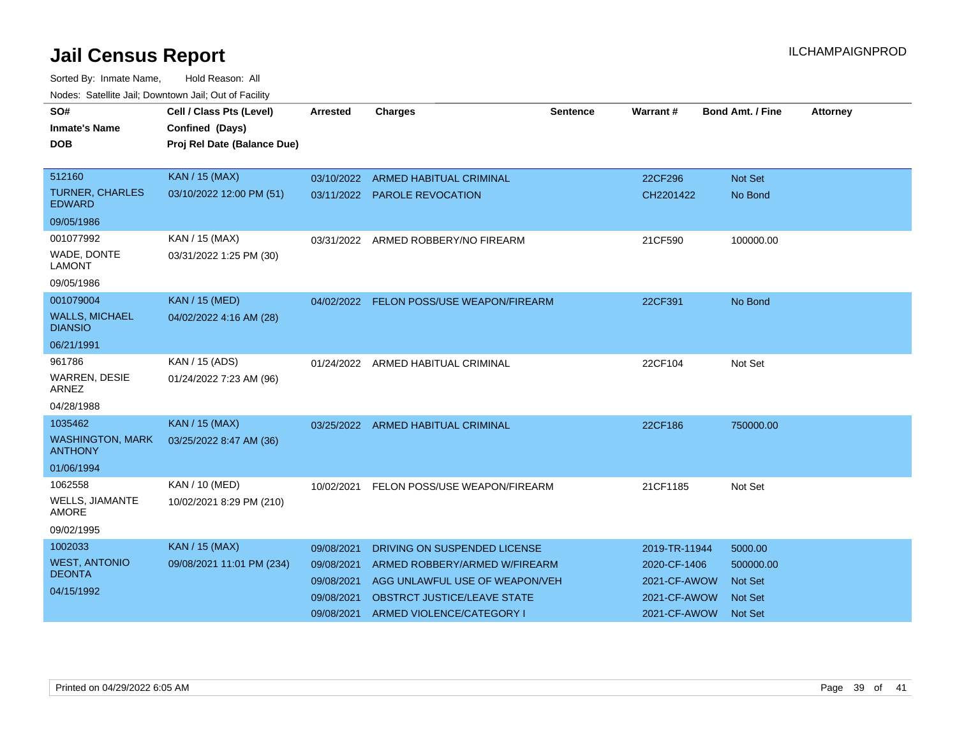| SO#<br><b>Inmate's Name</b><br>DOB                                           | Cell / Class Pts (Level)<br>Confined (Days)<br>Proj Rel Date (Balance Due) | <b>Arrested</b>                                                    | <b>Charges</b>                                                                                                                                                     | <b>Sentence</b> | Warrant#                                                                      | <b>Bond Amt. / Fine</b>                                                    | <b>Attorney</b> |
|------------------------------------------------------------------------------|----------------------------------------------------------------------------|--------------------------------------------------------------------|--------------------------------------------------------------------------------------------------------------------------------------------------------------------|-----------------|-------------------------------------------------------------------------------|----------------------------------------------------------------------------|-----------------|
| 512160<br><b>TURNER, CHARLES</b><br><b>EDWARD</b><br>09/05/1986<br>001077992 | <b>KAN / 15 (MAX)</b><br>03/10/2022 12:00 PM (51)<br>KAN / 15 (MAX)        | 03/10/2022                                                         | <b>ARMED HABITUAL CRIMINAL</b><br>03/11/2022 PAROLE REVOCATION<br>03/31/2022 ARMED ROBBERY/NO FIREARM                                                              |                 | 22CF296<br>CH2201422<br>21CF590                                               | <b>Not Set</b><br>No Bond<br>100000.00                                     |                 |
| WADE, DONTE<br><b>LAMONT</b><br>09/05/1986                                   | 03/31/2022 1:25 PM (30)                                                    |                                                                    |                                                                                                                                                                    |                 |                                                                               |                                                                            |                 |
| 001079004<br><b>WALLS, MICHAEL</b><br><b>DIANSIO</b><br>06/21/1991           | <b>KAN / 15 (MED)</b><br>04/02/2022 4:16 AM (28)                           |                                                                    | 04/02/2022 FELON POSS/USE WEAPON/FIREARM                                                                                                                           |                 | 22CF391                                                                       | No Bond                                                                    |                 |
| 961786<br><b>WARREN, DESIE</b><br><b>ARNEZ</b><br>04/28/1988                 | KAN / 15 (ADS)<br>01/24/2022 7:23 AM (96)                                  |                                                                    | 01/24/2022 ARMED HABITUAL CRIMINAL                                                                                                                                 |                 | 22CF104                                                                       | Not Set                                                                    |                 |
| 1035462<br><b>WASHINGTON, MARK</b><br><b>ANTHONY</b><br>01/06/1994           | <b>KAN / 15 (MAX)</b><br>03/25/2022 8:47 AM (36)                           | 03/25/2022                                                         | ARMED HABITUAL CRIMINAL                                                                                                                                            |                 | 22CF186                                                                       | 750000.00                                                                  |                 |
| 1062558<br><b>WELLS, JIAMANTE</b><br><b>AMORE</b><br>09/02/1995              | KAN / 10 (MED)<br>10/02/2021 8:29 PM (210)                                 | 10/02/2021                                                         | FELON POSS/USE WEAPON/FIREARM                                                                                                                                      |                 | 21CF1185                                                                      | Not Set                                                                    |                 |
| 1002033<br><b>WEST, ANTONIO</b><br><b>DEONTA</b><br>04/15/1992               | <b>KAN / 15 (MAX)</b><br>09/08/2021 11:01 PM (234)                         | 09/08/2021<br>09/08/2021<br>09/08/2021<br>09/08/2021<br>09/08/2021 | DRIVING ON SUSPENDED LICENSE<br>ARMED ROBBERY/ARMED W/FIREARM<br>AGG UNLAWFUL USE OF WEAPON/VEH<br><b>OBSTRCT JUSTICE/LEAVE STATE</b><br>ARMED VIOLENCE/CATEGORY I |                 | 2019-TR-11944<br>2020-CF-1406<br>2021-CF-AWOW<br>2021-CF-AWOW<br>2021-CF-AWOW | 5000.00<br>500000.00<br><b>Not Set</b><br><b>Not Set</b><br><b>Not Set</b> |                 |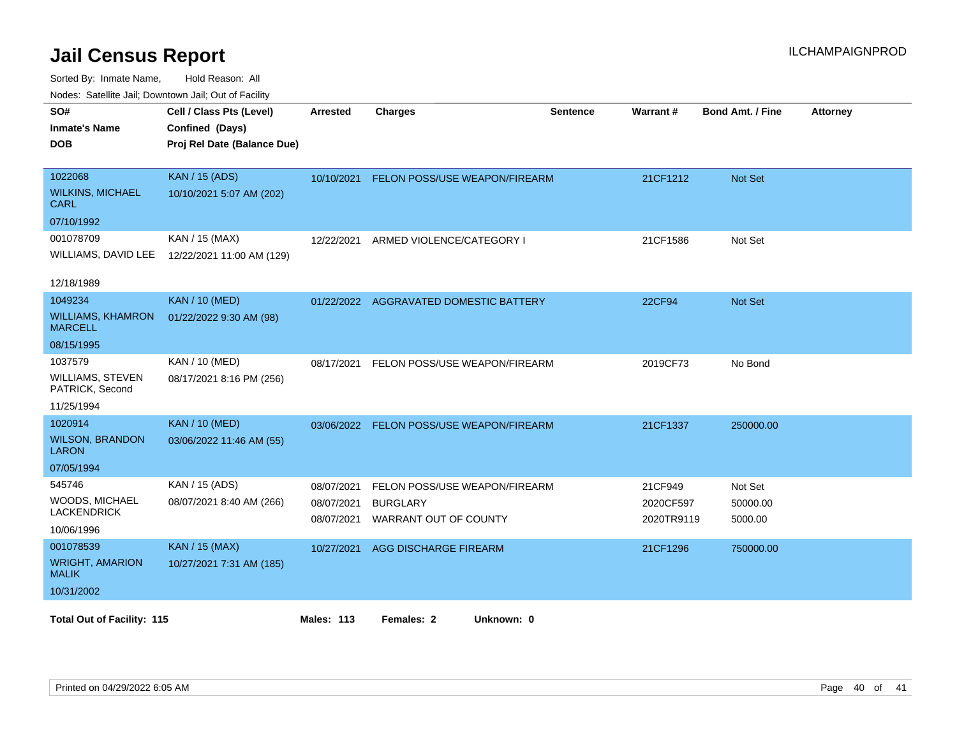| <b>Houce.</b> Catellite ball, Downtown ball, Out of Fability<br>SO# | Cell / Class Pts (Level)    | Arrested   | <b>Charges</b>                           | <b>Sentence</b> | Warrant#   | <b>Bond Amt. / Fine</b> | <b>Attorney</b> |
|---------------------------------------------------------------------|-----------------------------|------------|------------------------------------------|-----------------|------------|-------------------------|-----------------|
| <b>Inmate's Name</b>                                                | Confined (Days)             |            |                                          |                 |            |                         |                 |
| <b>DOB</b>                                                          | Proj Rel Date (Balance Due) |            |                                          |                 |            |                         |                 |
|                                                                     |                             |            |                                          |                 |            |                         |                 |
| 1022068                                                             | <b>KAN / 15 (ADS)</b>       | 10/10/2021 | <b>FELON POSS/USE WEAPON/FIREARM</b>     |                 | 21CF1212   | <b>Not Set</b>          |                 |
| <b>WILKINS, MICHAEL</b><br><b>CARL</b>                              | 10/10/2021 5:07 AM (202)    |            |                                          |                 |            |                         |                 |
| 07/10/1992                                                          |                             |            |                                          |                 |            |                         |                 |
| 001078709                                                           | KAN / 15 (MAX)              | 12/22/2021 | ARMED VIOLENCE/CATEGORY I                |                 | 21CF1586   | Not Set                 |                 |
| WILLIAMS, DAVID LEE                                                 | 12/22/2021 11:00 AM (129)   |            |                                          |                 |            |                         |                 |
|                                                                     |                             |            |                                          |                 |            |                         |                 |
| 12/18/1989                                                          |                             |            |                                          |                 |            |                         |                 |
| 1049234                                                             | <b>KAN / 10 (MED)</b>       |            | 01/22/2022 AGGRAVATED DOMESTIC BATTERY   |                 | 22CF94     | <b>Not Set</b>          |                 |
| <b>WILLIAMS, KHAMRON</b><br><b>MARCELL</b>                          | 01/22/2022 9:30 AM (98)     |            |                                          |                 |            |                         |                 |
| 08/15/1995                                                          |                             |            |                                          |                 |            |                         |                 |
| 1037579                                                             | KAN / 10 (MED)              | 08/17/2021 | FELON POSS/USE WEAPON/FIREARM            |                 | 2019CF73   | No Bond                 |                 |
| WILLIAMS, STEVEN<br>PATRICK, Second                                 | 08/17/2021 8:16 PM (256)    |            |                                          |                 |            |                         |                 |
| 11/25/1994                                                          |                             |            |                                          |                 |            |                         |                 |
| 1020914                                                             | <b>KAN / 10 (MED)</b>       |            | 03/06/2022 FELON POSS/USE WEAPON/FIREARM |                 | 21CF1337   | 250000.00               |                 |
| <b>WILSON, BRANDON</b><br><b>LARON</b>                              | 03/06/2022 11:46 AM (55)    |            |                                          |                 |            |                         |                 |
| 07/05/1994                                                          |                             |            |                                          |                 |            |                         |                 |
| 545746                                                              | KAN / 15 (ADS)              | 08/07/2021 | FELON POSS/USE WEAPON/FIREARM            |                 | 21CF949    | Not Set                 |                 |
| WOODS, MICHAEL                                                      | 08/07/2021 8:40 AM (266)    | 08/07/2021 | <b>BURGLARY</b>                          |                 | 2020CF597  | 50000.00                |                 |
| <b>LACKENDRICK</b>                                                  |                             | 08/07/2021 | <b>WARRANT OUT OF COUNTY</b>             |                 | 2020TR9119 | 5000.00                 |                 |
| 10/06/1996                                                          |                             |            |                                          |                 |            |                         |                 |
| 001078539                                                           | <b>KAN / 15 (MAX)</b>       | 10/27/2021 | <b>AGG DISCHARGE FIREARM</b>             |                 | 21CF1296   | 750000.00               |                 |
| <b>WRIGHT, AMARION</b><br><b>MALIK</b>                              | 10/27/2021 7:31 AM (185)    |            |                                          |                 |            |                         |                 |
| 10/31/2002                                                          |                             |            |                                          |                 |            |                         |                 |
|                                                                     |                             |            |                                          |                 |            |                         |                 |
| <b>Total Out of Facility: 115</b>                                   |                             | Males: 113 | Females: 2<br>Unknown: 0                 |                 |            |                         |                 |